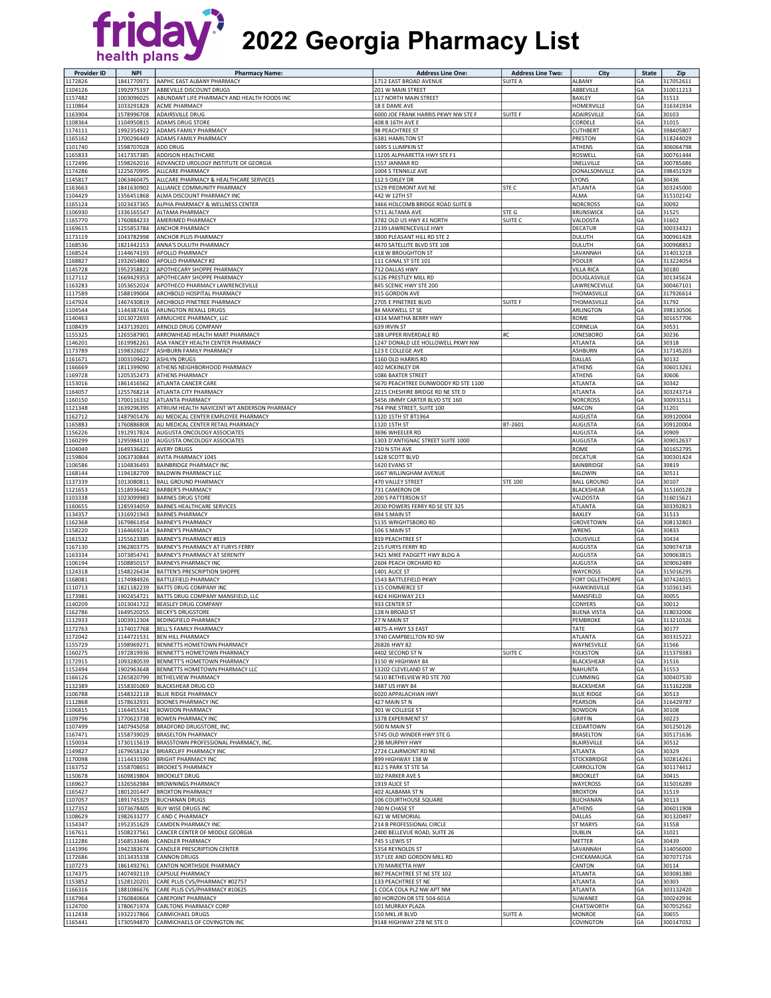

| <b>Provider ID</b> | <b>NPI</b>               | <b>Pharmacy Name:</b>                                                              | <b>Address Line One:</b>                                   | <b>Address Line Two:</b> | City                               | <b>State</b> | Zip                    |
|--------------------|--------------------------|------------------------------------------------------------------------------------|------------------------------------------------------------|--------------------------|------------------------------------|--------------|------------------------|
| 1172826<br>1104126 | 1841770971<br>1992975197 | AAPHC EAST ALBANY PHARMACY<br>ABBEVILLE DISCOUNT DRUGS                             | 1712 EAST BROAD AVENUE<br>201 W MAIN STREET                | <b>SUITE A</b>           | ALBANY<br>ABBEVILLE                | GA<br>GA     | 317052611<br>310011213 |
| 1157482            | 1003096025               | ABUNDANT LIFE PHARMACY AND HEALTH FOODS INC                                        | 117 NORTH MAIN STREET                                      |                          | BAXLEY                             | GA           | 31513                  |
| 1110864            | 1033291828               | ACME PHARMACY                                                                      | 18 E DAME AVE                                              |                          | HOMERVILLE                         | GA           | 316341934              |
| 1163904            | 1578996708               | ADAIRSVILLE DRUG                                                                   | 6000 JOE FRANK HARRIS PKWY NW STE F                        | <b>SUITE F</b>           | ADAIRSVILLE                        | GA           | 30103                  |
| 1108364            | 1104950815               | ADAMS DRUG STORE                                                                   | 408 B 16TH AVE E                                           |                          | <b>CORDELE</b>                     | GA           | 31015                  |
| 1174111<br>1165162 | 1992354922<br>1700296449 | ADAMS FAMILY PHARMACY<br>ADAMS FAMILY PHARMACY                                     | 98 PEACHTREE ST<br>6381 HAMILTON ST                        |                          | CUTHBERT<br>PRESTON                | GA<br>GA     | 398405807<br>318244029 |
| 1101740            | 1598707028               | ADD DRUG                                                                           | 1695 S LUMPKIN ST                                          |                          | ATHENS                             | GA           | 306064798              |
| 1165833            | 1417357385               | ADDISON HEALTHCARE                                                                 | 11205 ALPHARETTA HWY STE F1                                |                          | ROSWELL                            | GA           | 300761444              |
| 1172496            | 1598262016               | ADVANCED UROLOGY INSTITUTE OF GEORGIA                                              | 1557 JANMAR RD                                             |                          | SNELLVILLE                         | GA           | 300785686              |
| 1174286            | 1225670995               | ALLCARE PHARMACY                                                                   | 1004 S TENNILLE AVE                                        |                          | DONALSONVILLE                      | GA           | 398451929              |
| 1145817            | 1063460475               | ALLCARE PHARMACY & HEALTHCARE SERVICES                                             | 112 S OXLEY DR                                             |                          | <b>LYONS</b>                       | GA           | 30436                  |
| 1163663<br>1104429 | 1841630902<br>1356451868 | ALLIANCE COMMUNITY PHARMACY<br>ALMA DISCOUNT PHARMACY INC                          | 1529 PIEDMONT AVE NE<br>442 W 12TH ST                      | STE C                    | <b>ATLANTA</b><br>ALMA             | GA<br>GA     | 303245000<br>315102142 |
| 1165124            | 1023437365               | ALPHA PHARMACY & WELLNESS CENTER                                                   | 3466 HOLCOMB BRIDGE ROAD SUITE B                           |                          | <b>NORCROSS</b>                    | GA           | 30092                  |
| 1106930            | 1336165547               | ALTAMA PHARMACY                                                                    | 5711 ALTAMA AVE                                            | STE G                    | <b>BRUNSWICK</b>                   | GA           | 31525                  |
| 1165770            | 1760884233               | AMERIMED PHARMACY                                                                  | 3782 OLD US HWY 41 NORTH                                   | SUITE C                  | VALDOSTA                           | GA           | 31602                  |
| 1169615            | 1255853784               | ANCHOR PHARMACY                                                                    | 2139 LAWRENCEVILLE HWY                                     |                          | DECATUR                            | GA           | 300334321              |
| 1173119            | 1043782998               | ANCHOR PLUS PHARMACY                                                               | 3800 PLEASANT HILL RD STE 2<br>4470 SATELLITE BLVD STE 108 |                          | <b>DULUTH</b>                      | GA           | 300961428              |
| 1168536<br>1168524 | 1821442153<br>1144674193 | ANNA'S DULUTH PHARMACY<br>APOLLO PHARMACY                                          | 418 W BROUGHTON ST                                         |                          | DULUTH<br>SAVANNAH                 | GA<br>GA     | 300968852<br>314013218 |
| 1168827            | 1932654860               | APOLLO PHARMACY #2                                                                 | 111 CANAL ST STE 101                                       |                          | POOLER                             | GA           | 313224054              |
| 1145728            | 1952358822               | APOTHECARY SHOPPE PHARMACY                                                         | 712 DALLAS HWY                                             |                          | VILLA RICA                         | GA           | 30180                  |
| 1127112            | 1669429353               | APOTHECARY SHOPPE PHARMACY                                                         | 6126 PRESTLEY MILL RD                                      |                          | DOUGLASVILLE                       | GA           | 301345624              |
| 1163283            | 1053652024               | APOTHECO PHARMACY LAWRENCEVILLE                                                    | 845 SCENIC HWY STE 200                                     |                          | LAWRENCEVILLE                      | GA           | 300467101              |
| 1117589            | 1588199004<br>1467430819 | ARCHBOLD HOSPITAL PHARMACY<br>ARCHBOLD PINETREE PHARMACY                           | 915 GORDON AVE<br>2705 E PINETREE BLVD                     | <b>SUITE F</b>           | THOMASVILLE<br>THOMASVILLE         | GA<br>GA     | 317926614<br>31792     |
| 1147924<br>1104544 | 1144387416               | ARLINGTON REXALL DRUGS                                                             | 84 MAXWELL ST SE                                           |                          | ARLINGTON                          | GA           | 398130506              |
| 1140463            | 1013072693               | ARMUCHEE PHARMACY, LLC                                                             | 4334 MARTHA BERRY HWY                                      |                          | ROME                               | GA           | 301657706              |
| 1108439            | 1437139201               | ARNOLD DRUG COMPANY                                                                | 639 IRVIN ST                                               |                          | CORNELIA                           | GA           | 30531                  |
| 1155325            | 1265587901               | ARROWHEAD HEALTH MART PHARMACY                                                     | 188 UPPER RIVERDALE RD                                     | #C                       | <b>JONESBORO</b>                   | GA           | 30236                  |
| 1146201            | 1619982261               | ASA YANCEY HEALTH CENTER PHARMACY                                                  | 1247 DONALD LEE HOLLOWELL PKWY NW                          |                          | <b>ATLANTA</b>                     | GA           | 30318                  |
| 1173789<br>1161671 | 1598326027<br>1003109422 | ASHBURN FAMILY PHARMACY<br><b>ASHLYN DRUGS</b>                                     | 123 E COLLEGE AVE<br>1160 OLD HARRIS RD                    |                          | <b>ASHBURN</b><br>DALLAS           | GA<br>GA     | 317145203<br>30132     |
| 1166669            | 1811399090               | ATHENS NEIGHBORHOOD PHARMACY                                                       | 402 MCKINLEY DR                                            |                          | ATHENS                             | GA           | 306013261              |
| 1169728            | 1205352473               | <b>ATHENS PHARMACY</b>                                                             | 1086 BAXTER STREET                                         |                          | <b>ATHENS</b>                      | GA           | 30606                  |
| 1153016            | 1861416562               | ATLANTA CANCER CARE                                                                | 5670 PEACHTREE DUNWOODY RD STE 1100                        |                          | ATLANTA                            | GA           | 30342                  |
| 1164057            | 1255768214               | ATLANTA CITY PHARMACY                                                              | 2215 CHESHIRE BRIDGE RD NE STE D                           |                          | <b>ATLANTA</b>                     | GA           | 303243714              |
| 1160150            | 1700116332<br>1639296395 | <b>ATLANTA PHARMACY</b>                                                            | 5456 JIMMY CARTER BLVD STE 160                             |                          | <b>NORCROSS</b>                    | GA           | 300931511<br>31201     |
| 1121348<br>1162712 | 1487901476               | ATRIUM HEALTH NAVICENT WT ANDERSON PHARMACY<br>AU MEDICAL CENTER EMPLOYEE PHARMACY | 764 PINE STREET, SUITE 100<br>1120 15TH ST BT1964          |                          | MACON<br><b>AUGUSTA</b>            | GA<br>GA     | 309120004              |
| 1165883            | 1760886808               | AU MEDICAL CENTER RETAIL PHARMACY                                                  | 1120 15TH ST                                               | BT-2601                  | <b>AUGUSTA</b>                     | GA           | 309120004              |
| 1156226            | 1912917824               | AUGUSTA ONCOLOGY ASSOCIATES                                                        | 3696 WHEELER RD                                            |                          | AUGUSTA                            | GA           | 30909                  |
| 1160299            | 1295984110               | AUGUSTA ONCOLOGY ASSOCIATES                                                        | 1303 D'ANTIGNAC STREET SUITE 1000                          |                          | <b>AUGUSTA</b>                     | GA           | 309012637              |
| 1104049            | 1649336421               | <b>AVERY DRUGS</b>                                                                 | 710 N 5TH AVE                                              |                          | ROME                               | GA           | 301652795              |
| 1159804            | 1063730844               | AVITA PHARMACY 1045                                                                | 1428 SCOTT BLVD                                            |                          | DECATUR                            | GA<br>GA     | 300301424              |
| 1106586<br>1168144 | 1104836493<br>1194182709 | <b>BAINBRIDGE PHARMACY INC</b><br>BALDWIN PHARMACY LLC                             | 1420 EVANS ST<br>1667 WILLINGHAM AVENUE                    |                          | BAINBRIDGE<br>BALDWIN              | GA           | 39819<br>30511         |
| 1137339            | 1013080811               | <b>BALL GROUND PHARMACY</b>                                                        | 470 VALLEY STREET                                          | <b>STE 100</b>           | <b>BALL GROUND</b>                 | GA           | 30107                  |
| 1121653            | 1518936442               | <b>BARBER'S PHARMACY</b>                                                           | 731 CAMERON DR                                             |                          | <b>BLACKSHEAR</b>                  | GA           | 315160128              |
| 1103338            | 1023099983               | <b>BARNES DRUG STORE</b>                                                           | 200 S PATTERSON ST                                         |                          | VALDOSTA                           | GA           | 316015621              |
| 1160655            | 1285934059               | BARNES HEALTHCARE SERVICES                                                         | 2030 POWERS FERRY RD SE STE 325                            |                          | ATLANTA                            | GA           | 303392823              |
| 1134357<br>1162368 | 1316921943<br>1679861454 | <b>BARNES PHARMACY</b><br><b>BARNEY'S PHARMACY</b>                                 | 694 S MAIN ST<br>5135 WRIGHTSBORO RD                       |                          | BAXLEY<br>GROVETOWN                | GA<br>GA     | 31513<br>308132803     |
| 1158220            | 1164669214               | <b>BARNEY'S PHARMACY</b>                                                           | 106 S MAIN ST                                              |                          | WRENS                              | GA           | 30833                  |
| 1161532            | 1255623385               | BARNEY'S PHARMACY #819                                                             | 819 PEACHTREE ST                                           |                          | LOUISVILLE                         | GA           | 30434                  |
| 1167130            | 1962803775               | BARNEY'S PHARMACY AT FURYS FERRY                                                   | 215 FURYS FERRY RD                                         |                          | <b>AUGUSTA</b>                     | GA           | 309074718              |
| 1163334            | 1073854741               | BARNEY'S PHARMACY AT SERENITY                                                      | 3421 MIKE PADGETT HWY BLDG A                               |                          | AUGUSTA                            | GA           | 309063815              |
| 1106194            | 1508850157<br>1548226434 | <b>BARNEYS PHARMACY INC</b>                                                        | 2604 PEACH ORCHARD RD                                      |                          | <b>AUGUSTA</b>                     | GA           | 309062489              |
| 1124318<br>1168081 | 1174984926               | BATTEN'S PRESCRIPTION SHOPPE<br>BATTLEFIELD PHARMACY                               | 1401 ALICE ST<br>1543 BATTLEFIELD PKWY                     |                          | WAYCROSS<br>FORT OGLETHORPE        | GA<br>GA     | 315016295<br>307424015 |
| 1110713            | 1821182239               | <b>BATTS DRUG COMPANY INC</b>                                                      | 115 COMMERCE ST                                            |                          | HAWKINSVILLE                       | GA           | 310361345              |
| 1173981            | 1902454721               | BATTS DRUG COMPANY MANSFIELD, LLC                                                  | 4424 HIGHWAY 213                                           |                          | MANSFIELD                          | GA           | 30055                  |
| 1140209            | 1013041722               | <b>BEASLEY DRUG COMPANY</b>                                                        | 933 CENTER ST                                              |                          | CONYERS                            | GA           | 30012                  |
| 1162786            | 1649520255               | <b>BECKY'S DRUGSTORE</b>                                                           | 128 N BROAD ST                                             |                          | <b>BUENA VISTA</b>                 | GA           | 318032006              |
| 1112933<br>1172763 | 1003912304<br>1174017768 | <b>BEDINGFIELD PHARMACY</b><br><b>BELL'S FAMILY PHARMACY</b>                       | 27 N MAIN ST<br>4875-A HWY 53 EAST                         |                          | PEMBROKE<br>TATE                   | GA<br>GA     | 313210326<br>30177     |
| 1172042            | 1144721531               | <b>IBEN HILL PHARMACY</b>                                                          | 3740 CAMPBELLTON RD SW                                     |                          | ATLANTA                            | IGA          | 303315222              |
| 1155729            | 1598969271               | <b>BENNETTS HOMETOWN PHARMACY</b>                                                  | 26826 HWY 82                                               |                          | WAYNESVILLE                        | GA           | 31566                  |
| 1160275            | 1972819936               | BENNETT'S HOMETOWN PHARMACY                                                        | 4402 SECOND ST N                                           | SUITE <sub>C</sub>       | <b>FOLKSTON</b>                    | GA           | 315379383              |
| 1172915            | 1093280539               | BENNETT'S HOMETOWN PHARMACY                                                        | 3150 W HIGHWAY 84                                          |                          | <b>BLACKSHEAR</b>                  | GA           | 31516                  |
| 1152494            | 1902963648<br>1265820799 | <b>BENNETTS HOMETOWN PHARMACY LLC</b><br><b>BETHELVIEW PHARMACY</b>                | 13202 CLEVELAND ST W<br>5610 BETHELVIEW RD STE 700         |                          | NAHUNTA                            | GA<br>GA     | 31553                  |
| 1166126<br>1132389 | 1558301069               | <b>BLACKSHEAR DRUG CO</b>                                                          | 3487 US HWY 84                                             |                          | CUMMING<br><b>BLACKSHEAR</b>       | GA           | 300407530<br>315162208 |
| 1106788            | 1548322118               | <b>BLUE RIDGE PHARMACY</b>                                                         | 6020 APPALACHIAN HWY                                       |                          | <b>BLUE RIDGE</b>                  | GA           | 30513                  |
| 1112868            | 1578632931               | <b>BOONES PHARMACY INC</b>                                                         | 427 MAIN ST N                                              |                          | PEARSON                            | GA           | 316429787              |
| 1106815            | 1164455341               | <b>BOWDON PHARMACY</b>                                                             | 301 W COLLEGE ST                                           |                          | <b>BOWDON</b>                      | GA           | 30108                  |
| 1109796            | 1770623738               | <b>BOWEN PHARMACY INC</b><br>BRADFORD DRUGSTORE, INC.                              | 1378 EXPERIMENT ST                                         |                          | <b>GRIFFIN</b>                     | GA           | 30223                  |
| 1107499<br>1167471 | 1407945058<br>1558739029 | <b>BRASELTON PHARMACY</b>                                                          | 500 N MAIN ST<br>5745 OLD WINDER HWY STE G                 |                          | CEDARTOWN<br><b>BRASELTON</b>      | GA<br>GA     | 301250126<br>305171636 |
| 1150034            | 1730115619               | BRASSTOWN PROFESSIONAL PHARMACY, INC.                                              | 23B MURPHY HWY                                             |                          | BLAIRSVILLE                        | GA           | 30512                  |
| 1149827            | 1679658124               | <b>BRIARCLIFF PHARMACY INC</b>                                                     | 2724 CLAIRMONT RD NE                                       |                          | <b>ATLANTA</b>                     | GA           | 30329                  |
| 1170098            | 1114431590               | <b>BRIGHT PHARMACY INC</b>                                                         | 899 HIGHWAY 138 W                                          |                          | <b>STOCKBRIDGE</b>                 | GA           | 302814261              |
| 1163752            | 1558708651               | <b>BROOKE'S PHARMACY</b>                                                           | 812 S PARK ST STE 5A                                       |                          | CARROLLTON                         | GA           | 301174412              |
| 1150678<br>1169627 | 1609819804<br>1326562984 | <b>BROOKLET DRUG</b><br><b>BROWNINGS PHARMACY</b>                                  | 102 PARKER AVE S<br>1919 ALICE ST                          |                          | <b>BROOKLET</b><br><b>WAYCROSS</b> | GA<br>GA     | 30415<br>315016289     |
| 1165427            | 1801201447               | <b>BROXTON PHARMACY</b>                                                            | 402 ALABAMA ST N                                           |                          | <b>BROXTON</b>                     | GA           | 31519                  |
| 1107057            | 1891745329               | <b>BUCHANAN DRUGS</b>                                                              | 106 COURTHOUSE SQUARE                                      |                          | <b>BUCHANAN</b>                    | GA           | 30113                  |
| 1127352            | 1073678405               | <b>BUY WISE DRUGS INC</b>                                                          | 740 N CHASE ST                                             |                          | ATHENS                             | GA           | 306011908              |
| 1108629            | 1982633277               | C AND C PHARMACY                                                                   | 621 W MEMORIAL                                             |                          | DALLAS                             | GA           | 301320497              |
| 1154347<br>1167611 | 1952351629<br>1508237561 | CAMDEN PHARMACY INC<br>CANCER CENTER OF MIDDLE GEORGIA                             | 214 B PROFESSIONAL CIRCLE                                  |                          | <b>ST MARYS</b>                    | GA<br>GA     | 31558<br>31021         |
| 1112286            | 1568533446               | CANDLER PHARMACY                                                                   | 2400 BELLEVUE ROAD, SUITE 26<br>745 S LEWIS ST             |                          | <b>DUBLIN</b><br>METTER            | GA           | 30439                  |
| 1141996            | 1942383674               | CANDLER PRESCRIPTION CENTER                                                        | 5354 REYNOLDS ST                                           |                          | SAVANNAH                           | GA           | 314056000              |
| 1172686            | 1013435338               | <b>CANNON DRUGS</b>                                                                | 357 LEE AND GORDON MILL RD                                 |                          | CHICKAMAUGA                        | GA           | 307071716              |
| 1107273            | 1861492761               | CANTON NORTHSIDE PHARMACY                                                          | 170 MARIETTA HWY                                           |                          | CANTON                             | GA           | 30114                  |
| 1174375            | 1407492119               | CAPSULE PHARMACY                                                                   | 867 PEACHTREE ST NE STE 102                                |                          | ATLANTA                            | GA           | 303081380              |
| 1153852<br>1166316 | 1528120201<br>1881086676 | CARE PLUS CVS/PHARMACY #02757<br>CARE PLUS CVS/PHARMACY #10625                     | 133 PEACHTREE ST NE<br>1 COCA COLA PLZ NW APT NM           |                          | ATLANTA<br>ATLANTA                 | GA<br>GA     | 30303<br>303132420     |
| 1167964            | 1760840664               | CAREPOINT PHARMACY                                                                 | 80 HORIZON DR STE 504-601A                                 |                          | SUWANEE                            | GA           | 300242936              |
| 1124700            | 1780671974               | CARLTONS PHARMACY CORP                                                             | 101 MURRAY PLAZA                                           |                          | <b>CHATSWORTH</b>                  | GA           | 307052562              |
| 1112438            | 1932217866               | CARMICHAEL DRUGS                                                                   | 150 MKL JR BLVD                                            | <b>SUITE A</b>           | MONROE                             | GA           | 30655                  |
| 1165441            | 1730594870               | CARMICHAELS OF COVINGTON INC                                                       | 9148 HIGHWAY 278 NE STE D                                  |                          | COVINGTON                          | GA           | 300147032              |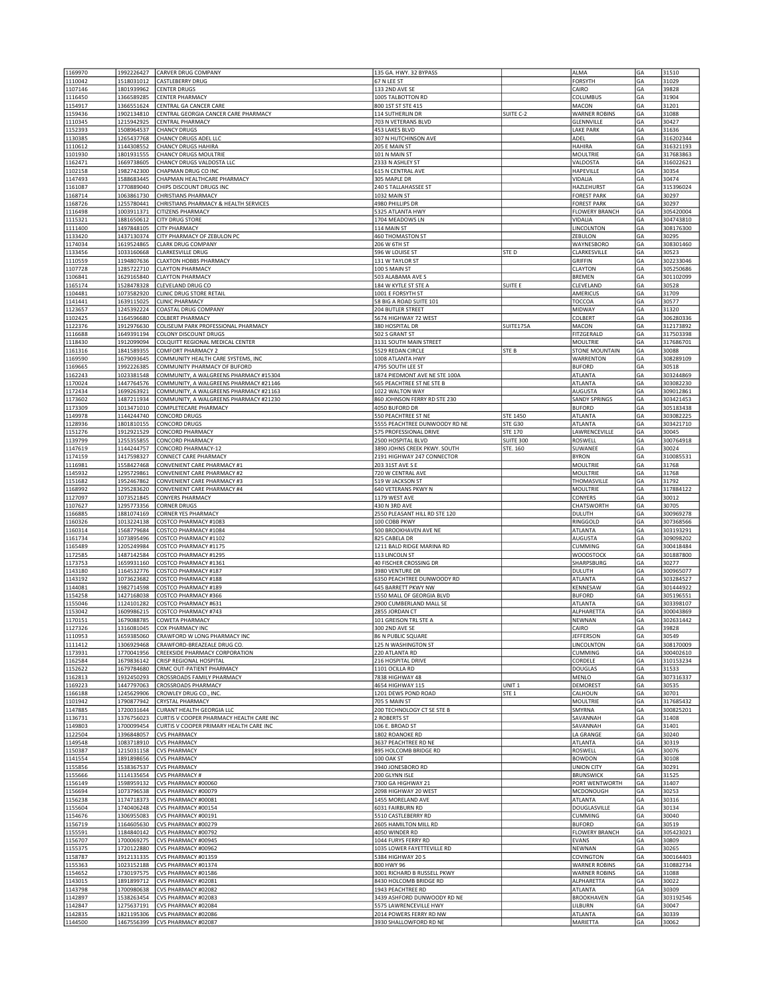| 1169970            | 1992226427               | CARVER DRUG COMPANY                                                | 135 GA. HWY. 32 BYPASS                                     |                                       | ALMA                                        | GA        | 31510                  |
|--------------------|--------------------------|--------------------------------------------------------------------|------------------------------------------------------------|---------------------------------------|---------------------------------------------|-----------|------------------------|
| 1110042            | 1518031012               | <b>CASTLEBERRY DRUG</b>                                            | 67 N LEE ST                                                |                                       | <b>FORSYTH</b>                              | GA        | 31029                  |
| 1107146            | 1801939962               | <b>CENTER DRUGS</b>                                                | 133 2ND AVE SE                                             |                                       | CAIRO                                       | GA        | 39828                  |
| 1116450            | 1366589285               | CENTER PHARMACY                                                    | 1005 TALBOTTON RD                                          |                                       | COLUMBUS                                    | GA        | 31904                  |
| 1154917            | 1366551624               | CENTRAL GA CANCER CARE                                             | 800 1ST ST STE 415                                         |                                       | MACON                                       | GA        | 31201                  |
| 1159436            | 1902134810               | CENTRAL GEORGIA CANCER CARE PHARMACY                               | 114 SUTHERLIN DR                                           | SUITE C-2                             | <b>WARNER ROBINS</b>                        | GA        | 31088                  |
| 1110345<br>1152393 | 1215942925<br>1508964537 | CENTRAL PHARMACY<br><b>CHANCY DRUGS</b>                            | 703 N VETERANS BLVD<br>453 LAKES BLVD                      |                                       | GLENNVILLE<br>LAKE PARK                     | GA<br> GA | 30427<br>31636         |
| 1130385            | 1265437768               | CHANCY DRUGS ADEL LLC                                              | 307 N HUTCHINSON AVE                                       |                                       | ADEL                                        | GA        | 316202344              |
| 1110612            | 1144308552               | CHANCY DRUGS HAHIRA                                                | 205 E MAIN ST                                              |                                       | HAHIRA                                      | GA        | 316321193              |
| 1101930            | 1801931555               | <b>CHANCY DRUGS MOULTRIE</b>                                       | 101 N MAIN ST                                              |                                       | MOULTRIE                                    | GA        | 317683863              |
| 1162471            | 1669738605               | CHANCY DRUGS VALDOSTA LLC                                          | 2333 N ASHLEY ST                                           |                                       | VALDOSTA                                    | GA        | 316022621              |
| 1102158            | 1982742300               | CHAPMAN DRUG CO INC                                                | 615 N CENTRAL AVE                                          |                                       | HAPEVILLE                                   | GA        | 30354                  |
| 1147493            | 1588683445               | CHAPMAN HEALTHCARE PHARMACY                                        | 305 MAPLE DR                                               |                                       | VIDALIA                                     | GA        | 30474                  |
| 1161087            | 1770889040               | CHIPS DISCOUNT DRUGS INC                                           | 240 S TALLAHASSEE ST                                       |                                       | HAZLEHURST                                  | GA        | 315396024              |
| 1168714            | 1063861730               | <b>CHRISTIANS PHARMACY</b>                                         | 1032 MAIN ST                                               |                                       | <b>FOREST PARK</b>                          | GA        | 30297                  |
| 1168726<br>1116498 | 1255780441<br>1003911371 | CHRISTIANS PHARMACY & HEALTH SERVICES<br>CITIZENS PHARMACY         | 4980 PHILLIPS DR<br>5325 ATLANTA HWY                       |                                       | <b>FOREST PARK</b><br><b>FLOWERY BRANCH</b> | GA<br>GA  | 30297<br>305420004     |
| 1115321            | 1881650612               | <b>CITY DRUG STORE</b>                                             | 1704 MEADOWS LN                                            |                                       | VIDALIA                                     | GA        | 304743810              |
| 1111400            | 1497848105               | <b>CITY PHARMACY</b>                                               | 114 MAIN ST                                                |                                       | LINCOLNTON                                  | GA        | 308176300              |
| 1133420            | 1437130374               | CITY PHARMACY OF ZEBULON PC                                        | 460 THOMASTON ST                                           |                                       | ZEBULON                                     | GA        | 30295                  |
| 1174034            | 1619524865               | <b>CLARK DRUG COMPANY</b>                                          | 206 W 6TH ST                                               |                                       | WAYNESBORO                                  | GA        | 308301460              |
| 1133456            | 1033160668               | CLARKESVILLE DRUG                                                  | 596 W LOUISE ST                                            | STE D                                 | CLARKESVILLE                                | GA        | 30523                  |
| 1110559            | 1194807636               | <b>CLAXTON HOBBS PHARMACY</b>                                      | 131 W TAYLOR ST                                            |                                       | GRIFFIN                                     | GA        | 302233046              |
| 1107728            | 1285722710               | <b>CLAYTON PHARMACY</b>                                            | 100 S MAIN ST                                              |                                       | <b>CLAYTON</b>                              | GA        | 305250686              |
| 1106841            | 1629165840               | <b>CLAYTON PHARMACY</b>                                            | 503 ALABAMA AVE S                                          |                                       | <b>BREMEN</b>                               | GA        | 301102099              |
| 1165174<br>1104481 | 1528478328<br>1073582920 | CLEVELAND DRUG CO<br>CLINIC DRUG STORE RETAIL                      | 184 W KYTLE ST STE A<br>1001 E FORSYTH ST                  | SUITE E                               | CLEVELAND<br>AMERICUS                       | GA<br>GA  | 30528<br>31709         |
| 1141441            | 1639115025               | CLINIC PHARMACY                                                    | 58 BIG A ROAD SUITE 101                                    |                                       | TOCCOA                                      | GA        | 30577                  |
| 1123657            | 1245392224               | COASTAL DRUG COMPANY                                               | 204 BUTLER STREET                                          |                                       | MIDWAY                                      | GA        | 31320                  |
| 1102425            | 1164596680               | COLBERT PHARMACY                                                   | 5674 HIGHWAY 72 WEST                                       |                                       | COLBERT                                     | GA        | 306280336              |
| 1122376            | 1912976630               | COLISEUM PARK PROFESSIONAL PHARMACY                                | 380 HOSPITAL DR                                            | SUITE175A                             | MACON                                       | GA        | 312173892              |
| 1116688            | 1649391194               | COLONY DISCOUNT DRUGS                                              | 502 S GRANT ST                                             |                                       | FITZGERALD                                  | GA        | 317503398              |
| 1118430            | 1912099094               | COLQUITT REGIONAL MEDICAL CENTER                                   | 3131 SOUTH MAIN STREET                                     |                                       | MOULTRIE                                    | GA        | 317686701              |
| 1161316            | 1841589355               | COMFORT PHARMACY 2                                                 | 5529 REDAN CIRCLE                                          | STE <sub>B</sub>                      | <b>STONE MOUNTAIN</b>                       | GA        | 30088                  |
| 1169590            | 1679093645<br>1992226385 | COMMUNITY HEALTH CARE SYSTEMS, INC<br>COMMUNITY PHARMACY OF BUFORD | 1008 ATLANTA HWY<br>4795 SOUTH LEE ST                      |                                       | WARRENTON                                   | GA<br>GA  | 308289109<br>30518     |
| 1169665<br>1162243 | 1023381548               | COMMUNITY, A WALGREENS PHARMACY #15304                             | 1874 PIEDMONT AVE NE STE 100A                              |                                       | <b>BUFORD</b><br>ATLANTA                    | GA        | 303244869              |
| 1170024            | 1447764576               | COMMUNITY, A WALGREENS PHARMACY #21146                             | 565 PEACHTREE ST NE STE B                                  |                                       | <b>ATLANTA</b>                              | GA        | 303082230              |
| 1172434            | 1699263921               | COMMUNITY. A WALGREENS PHARMACY #21163                             | 1022 WALTON WAY                                            |                                       | <b>AUGUSTA</b>                              | GA        | 309012861              |
| 1173602            | 1487211934               | COMMUNITY, A WALGREENS PHARMACY #21230                             | 860 JOHNSON FERRY RD STE 230                               |                                       | <b>SANDY SPRINGS</b>                        | GA        | 303421453              |
| 1173309            | 1013471010               | COMPLETECARE PHARMACY                                              | 4050 BUFORD DR                                             |                                       | <b>BUFORD</b>                               | GA        | 305183438              |
| 1149978            | 1144244740               | CONCORD DRUGS                                                      | 550 PEACHTREE ST NE                                        | STE 1450                              | ATLANTA                                     | GA        | 303082225              |
| 1128936            | 1801810155               | CONCORD DRUGS                                                      | 5555 PEACHTREE DUNWOODY RD NE                              | STE G30                               | ATLANTA                                     | GA        | 303421710              |
| 1151276            | 1912921529               | CONCORD PHARMACY                                                   | 575 PROFESSIONAL DRIVE                                     | <b>STE 170</b>                        | LAWRENCEVILLE                               | GA        | 30045                  |
| 1139799            | 1255355855               | CONCORD PHARMACY                                                   | 2500 HOSPITAL BLVD                                         | SUITE 300                             | <b>ROSWELL</b>                              | GA        | 300764918              |
| 1147619<br>1174159 | 1144244757<br>1417598327 | CONCORD PHARMACY-12<br>CONNECT CARE PHARMACY                       | 3890 JOHNS CREEK PKWY. SOUTH<br>2191 HIGHWAY 247 CONNECTOR | STE. 160                              | SUWANEE<br><b>BYRON</b>                     | GA<br>GA  | 30024<br>310085531     |
| 1116981            | 1558427468               | CONVENIENT CARE PHARMACY #1                                        | 203 31ST AVE S E                                           |                                       | MOULTRIE                                    | GA        | 31768                  |
| 1145932            | 1295729861               | CONVENIENT CARE PHARMACY #2                                        | 720 W CENTRAL AVE                                          |                                       | MOULTRIE                                    | GA        | 31768                  |
| 1151682            | 1952467862               | CONVENIENT CARE PHARMACY #3                                        | 519 W JACKSON ST                                           |                                       | THOMASVILLE                                 | GA        | 31792                  |
| 1168992            | 1295283620               | CONVENIENT CARE PHARMACY #4                                        | 640 VETERANS PKWY N                                        |                                       | <b>MOULTRIE</b>                             | GA        | 317884122              |
| 1127097            | 1073521845               | CONYERS PHARMACY                                                   | 1179 WEST AVE                                              |                                       | CONYERS                                     | GA        | 30012                  |
| 1107627            | 1295773356               | CORNER DRUGS                                                       | 430 N 3RD AVE                                              |                                       | CHATSWORTH                                  | GA        | 30705                  |
|                    |                          |                                                                    |                                                            |                                       |                                             |           |                        |
| 1166885            | 1881074169               | CORNER YES PHARMACY                                                | 2550 PLEASANT HILL RD STE 120                              |                                       | DULUTH                                      | GA        | 300969278              |
| 1160326            | 1013224138               | COSTCO PHARMACY #1083                                              | 100 COBB PKWY                                              |                                       | RINGGOLD                                    | GA        | 307368566              |
| 1160314            | 1568779684               | COSTCO PHARMACY #1084                                              | 500 BROOKHAVEN AVE NE                                      |                                       | ATLANTA                                     | GA        | 303193291              |
| 1161734            | 1073895496               | COSTCO PHARMACY #1102                                              | 825 CABELA DR                                              |                                       | <b>AUGUSTA</b>                              | GA        | 309098202              |
| 1165489            | 1205249984               | COSTCO PHARMACY #1175                                              | 1211 BALD RIDGE MARINA RD                                  |                                       | CUMMING                                     | GA        | 300418484              |
| 1172585<br>1173753 | 1487142584<br>1659931160 | COSTCO PHARMACY #1295<br>COSTCO PHARMACY #1361                     | 113 LINCOLN ST<br>40 FISCHER CROSSING DR                   |                                       | WOODSTOCK<br>SHARPSBURG                     | GA<br>GA  | 301887800<br>30277     |
| 1143180            | 1164532776               | COSTCO PHARMACY #187                                               | 3980 VENTURE DR                                            |                                       | DULUTH                                      | GA        | 300965077              |
| 1143192            | 1073623682               | COSTCO PHARMACY #188                                               | 6350 PEACHTREE DUNWOODY RD                                 |                                       | ATLANTA                                     | GA        | 303284527              |
| 1144081            | 1982714598               | COSTCO PHARMACY #189                                               | 645 BARRETT PKWY NW                                        |                                       | KENNESAW                                    | GA        | 301444922              |
| 1154258            | 1427168038               | COSTCO PHARMACY #366                                               | 1550 MALL OF GEORGIA BLVD                                  |                                       | <b>BUFORD</b>                               | GA        | 305196551              |
| 1155046            | 1124101282               | COSTCO PHARMACY #631                                               | 2900 CUMBERLAND MALL SE                                    |                                       | ATLANTA                                     | GA        | 303398107              |
| 1153042<br>1170151 | 1609986215<br>1679088785 | COSTCO PHARMACY #743<br>COWETA PHARMACY                            | 2855 JORDAN CT<br>101 GREISON TRL STE A                    |                                       | ALPHARETTA<br>NEWNAN                        | GA<br>GA  | 300043869<br>302631442 |
| 1127326            | 1316081045               | COX PHARMACY INC                                                   | 300 2ND AVE SE                                             |                                       | CAIRO                                       | GA        | 39828                  |
| 1110953            |                          | 1659385060 CRAWFORD W LONG PHARMACY INC                            | <b>86 N PUBLIC SQUARE</b>                                  |                                       | JEFFERSON                                   | GA        | 30549                  |
| 1111412            | 1306929468               | CRAWFORD-BREAZEALE DRUG CO.                                        | 125 N WASHINGTON ST                                        |                                       | LINCOLNTON                                  | GA        | 308170009              |
| 1173931            | 1770041956               | CREEKSIDE PHARMACY CORPORATION                                     | 220 ATLANTA RD                                             |                                       | CUMMING                                     | GA        | 300402610              |
| 1162584            | 1679836142               | CRISP REGIONAL HOSPITAL                                            | 216 HOSPITAL DRIVE                                         |                                       | CORDELE                                     | GA        | 310153234              |
| 1152622            | 1679784680               | CRMC OUT-PATIENT PHARMACY                                          | 1101 OCILLA RD                                             |                                       | <b>DOUGLAS</b>                              | GA        | 31533                  |
| 1162813            | 1932450293               | CROSSROADS FAMILY PHARMACY                                         | 7838 HIGHWAY 48                                            |                                       | MENLO                                       | GA        | 307316337              |
| 1169223<br>1166188 | 1447797063<br>1245629906 | <b>CROSSROADS PHARMACY</b><br>CROWLEY DRUG CO., INC.               | 4654 HIGHWAY 115<br>1201 DEWS POND ROAD                    | UNIT <sub>1</sub><br>STE <sub>1</sub> | <b>DEMOREST</b><br>CALHOUN                  | GA<br>GA  | 30535<br>30701         |
| 1101942            | 1790877942               | <b>CRYSTAL PHARMACY</b>                                            | 705 S MAIN ST                                              |                                       | <b>MOULTRIE</b>                             | GA        | 317685432              |
| 1147885            | 1720031644               | CURANT HEALTH GEORGIA LLC                                          | 200 TECHNOLOGY CT SE STE B                                 |                                       | SMYRNA                                      | GA        | 300825201              |
| 1136731            | 1376756023               | CURTIS V COOPER PHARMACY HEALTH CARE INC                           | 2 ROBERTS ST                                               |                                       | SAVANNAH                                    | GA        | 31408                  |
| 1149803            | 1700099454               | CURTIS V COOPER PRIMARY HEALTH CARE INC                            | 106 E. BROAD ST                                            |                                       | SAVANNAH                                    | GA        | 31401                  |
| 1122504            | 1396848057               | <b>CVS PHARMACY</b>                                                | 1802 ROANOKE RD                                            |                                       | LA GRANGE                                   | GA        | 30240                  |
| 1149548            | 1083718910               | <b>CVS PHARMACY</b>                                                | 3637 PEACHTREE RD NE                                       |                                       | <b>ATLANTA</b>                              | GA        | 30319                  |
| 1150387            | 1215031158               | <b>CVS PHARMACY</b>                                                | 895 HOLCOMB BRIDGE RD                                      |                                       | ROSWELL                                     | GA        | 30076                  |
| 1141554<br>1155856 | 1891898656<br>1538367537 | <b>CVS PHARMACY</b><br><b>CVS PHARMACY</b>                         | 100 OAK ST<br>3940 JONESBORO RD                            |                                       | <b>BOWDON</b><br><b>UNION CITY</b>          | GA<br>GA  | 30108<br>30291         |
| 1155666            | 1114135654               | <b>CVS PHARMACY#</b>                                               | 200 GLYNN ISLE                                             |                                       | <b>BRUNSWICK</b>                            | GA        | 31525                  |
| 1156149            | 1598959132               | CVS PHARMACY #00060                                                | 7300 GA HIGHWAY 21                                         |                                       | PORT WENTWORTH                              | GA        | 31407                  |
| 1156694            | 1073796538               | CVS PHARMACY #00079                                                | 2098 HIGHWAY 20 WEST                                       |                                       | MCDONOUGH                                   | GA        | 30253                  |
| 1156238            | 1174718373               | CVS PHARMACY #00081                                                | 1455 MORELAND AVE                                          |                                       | <b>ATLANTA</b>                              | GA        | 30316                  |
| 1155604            | 1740406248               | CVS PHARMACY #00154                                                | 6031 FAIRBURN RD                                           |                                       | DOUGLASVILLE                                | GA        | 30134                  |
| 1154676            | 1306955083               | CVS PHARMACY #00191                                                | 5510 CASTLEBERRY RD                                        |                                       | CUMMING                                     | GA        | 30040                  |
| 1156719            | 1164605630               | CVS PHARMACY #00279                                                | 2605 HAMILTON MILL RD                                      |                                       | <b>BUFORD</b>                               | GA        | 30519                  |
| 1155591            | 1184840142               | CVS PHARMACY #00792                                                | 4050 WINDER RD                                             |                                       | <b>FLOWERY BRANCH</b>                       | GA        | 305423021              |
| 1156707<br>1155375 | 1700069275<br>1720122880 | CVS PHARMACY #00945<br>CVS PHARMACY #00962                         | 1044 FURYS FERRY RD<br>1035 LOWER FAYETTEVILLE RD          |                                       | <b>EVANS</b><br>NEWNAN                      | GA<br>GA  | 30809<br>30265         |
| 1158787            | 1912131335               | CVS PHARMACY #01359                                                | 5384 HIGHWAY 20 S                                          |                                       | COVINGTON                                   | GA        | 300164403              |
| 1155363            | 1023152188               | CVS PHARMACY #01374                                                | 800 HWY 96                                                 |                                       | <b>WARNER ROBINS</b>                        | GA        | 310882734              |
| 1154652            | 1730197575               | CVS PHARMACY #01586                                                | 3001 RICHARD B RUSSELL PKWY                                |                                       | <b>WARNER ROBINS</b>                        | GA        | 31088                  |
| 1143015            | 1891899712               | CVS PHARMACY #02081                                                | 8430 HOLCOMB BRIDGE RD                                     |                                       | ALPHARETTA                                  | GA        | 30022                  |
| 1143798            | 1700980638               | CVS PHARMACY #02082                                                | 1943 PEACHTREE RD                                          |                                       | ATLANTA                                     | GA        | 30309                  |
| 1142897            | 1538263454               | CVS PHARMACY #02083                                                | 3439 ASHFORD DUNWOODY RD NE                                |                                       | <b>BROOKHAVEN</b>                           | GA        | 303192546              |
| 1142847            | 1275637191               | CVS PHARMACY #02084                                                | 5575 LAWRENCEVILLE HWY                                     |                                       | LILBURN                                     | GA        | 30047                  |
| 1142835<br>1144500 | 1821195306<br>1467556399 | CVS PHARMACY #02086<br>CVS PHARMACY #02087                         | 2014 POWERS FERRY RD NW<br>3930 SHALLOWFORD RD NE          |                                       | ATLANTA<br>MARIETTA                         | GA<br>GA  | 30339<br>30062         |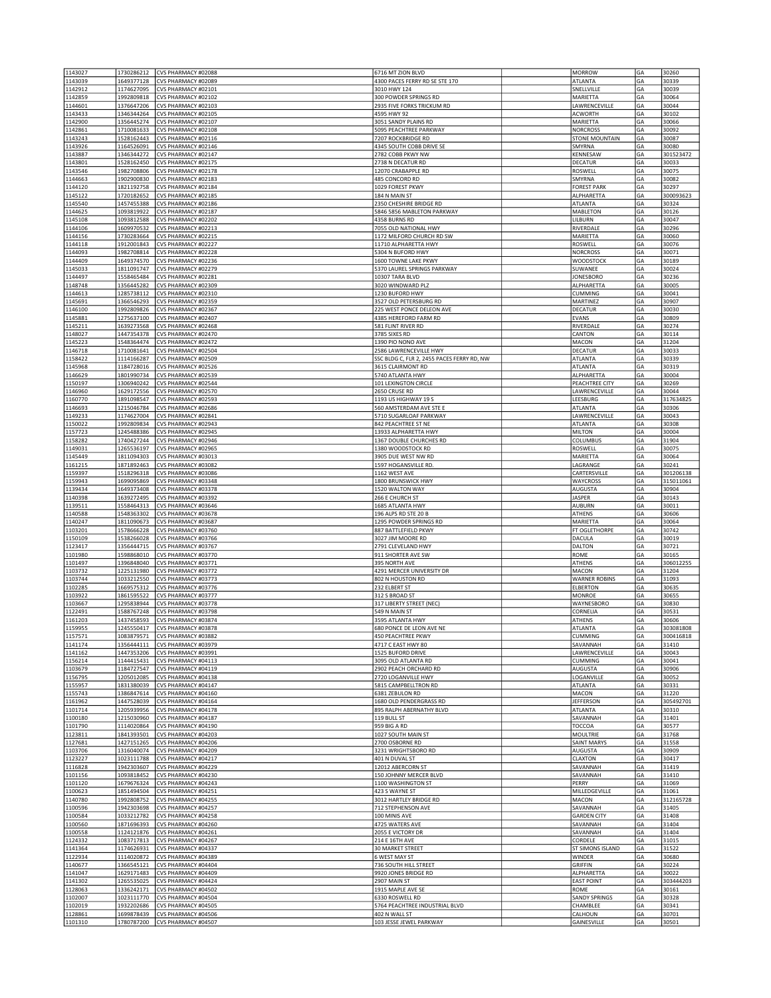| 1143039            | 1730286212               | <b>CVS PHARMACY #02088</b>                            | 6716 MT ZION BLVD                               | <b>MORROW</b>                    | GA       | 30260              |
|--------------------|--------------------------|-------------------------------------------------------|-------------------------------------------------|----------------------------------|----------|--------------------|
|                    | 1649377128               | CVS PHARMACY #02089                                   | 4300 PACES FERRY RD SE STE 170                  | <b>ATLANTA</b>                   | GA       | 30339              |
| 1142912            | 1174627095               | CVS PHARMACY #02101                                   | 3010 HWY 124                                    | SNELLVILLE                       | GA       | 30039              |
| 1142859            | 1992809818               | CVS PHARMACY #02102                                   | 300 POWDER SPRINGS RD                           | MARIETTA                         | GA       | 30064              |
| 1144601            | 1376647206               | CVS PHARMACY #02103                                   | 2935 FIVE FORKS TRICKUM RD                      | LAWRENCEVILLE                    | GA       | 30044              |
| 1143433            | 1346344264               | CVS PHARMACY #02105                                   | 4595 HWY 92                                     | ACWORTH                          | GA       | 30102              |
| 1142900            | 1356445274               | CVS PHARMACY #02107                                   | 3051 SANDY PLAINS RD                            | MARIETTA<br><b>NORCROSS</b>      | GA       | 30066              |
| 1142861<br>1143243 | 1710081633<br>1528162443 | CVS PHARMACY #02108<br>CVS PHARMACY #02116            | 5095 PEACHTREE PARKWAY<br>7207 ROCKBRIDGE RD    | <b>STONE MOUNTAIN</b>            | GA<br>GA | 30092<br>30087     |
| 1143926            | 1164526091               | CVS PHARMACY #02146                                   | 4345 SOUTH COBB DRIVE SE                        | SMYRNA                           | GA       | 30080              |
| 1143887            | 1346344272               | CVS PHARMACY #02147                                   | 2782 COBB PKWY NW                               | KENNESAW                         | GA       | 301523472          |
| 1143801            | 1528162450               | CVS PHARMACY #02175                                   | 2738 N DECATUR RD                               | <b>DECATUR</b>                   | GA       | 30033              |
| 1143546            | 1982708806               | CVS PHARMACY #02178                                   | 12070 CRABAPPLE RD                              | ROSWELL                          | GA       | 30075              |
| 1144663            | 1902900830               | CVS PHARMACY #02183                                   | 485 CONCORD RD                                  | SMYRNA                           | GA       | 30082              |
| 1144120            | 1821192758               | CVS PHARMACY #02184                                   | 1029 FOREST PKWY                                | <b>FOREST PARK</b>               | GA       | 30297              |
| 1145122            | 1720182652               | CVS PHARMACY #02185                                   | 184 N MAIN ST                                   | ALPHARETTA                       | GA       | 300093623          |
| 1145540            | 1457455388               | CVS PHARMACY #02186                                   | 2350 CHESHIRE BRIDGE RD                         | ATLANTA                          | GA       | 30324              |
| 1144625            | 1093819922               | CVS PHARMACY #02187                                   | 5846 5856 MABLETON PARKWAY                      | <b>MABLETON</b>                  | GA       | 30126              |
| 1145108            | 1093812588               | CVS PHARMACY #02202                                   | 4358 BURNS RD<br>7055 OLD NATIONAL HWY          | LILBURN                          | GA       | 30047              |
| 1144106<br>1144156 | 1609970532<br>1730283664 | CVS PHARMACY #02213<br>CVS PHARMACY #02215            | 1172 MILFORD CHURCH RD SW                       | RIVERDALE<br>MARIETTA            | GA<br>GA | 30296<br>30060     |
| 1144118            | 1912001843               | CVS PHARMACY #02227                                   | 11710 ALPHARETTA HWY                            | ROSWELL                          | GA       | 30076              |
| 1144093            | 1982708814               | CVS PHARMACY #02228                                   | 5304 N BUFORD HWY                               | <b>NORCROSS</b>                  | GA       | 30071              |
| 1144409            | 1649374570               | CVS PHARMACY #02236                                   | 1600 TOWNE LAKE PKWY                            | <b>WOODSTOCK</b>                 | GA       | 30189              |
| 1145033            | 1811091747               | CVS PHARMACY #02279                                   | 5370 LAUREL SPRINGS PARKWAY                     | SUWANEE                          | GA       | 30024              |
| 1144497            | 1558465484               | CVS PHARMACY #02281                                   | 10307 TARA BLVD                                 | <b>JONESBORO</b>                 | GA       | 30236              |
| 1148748            | 1356445282               | CVS PHARMACY #02309                                   | 3020 WINDWARD PLZ                               | ALPHARETTA                       | GA       | 30005              |
| 1144613            | 1285738112               | CVS PHARMACY #02310                                   | 1230 BUFORD HWY                                 | CUMMING                          | GA       | 30041              |
| 1145691            | 1366546293               | CVS PHARMACY #02359                                   | 3527 OLD PETERSBURG RD                          | MARTINEZ                         | GA       | 30907              |
| 1146100            | 1992809826               | CVS PHARMACY #02367                                   | 225 WEST PONCE DELEON AVE                       | <b>DECATUR</b>                   | GA       | 30030              |
| 1145881            | 1275637100               | CVS PHARMACY #02407                                   | 4385 HEREFORD FARM RD                           | EVANS                            | GA       | 30809              |
| 1145211<br>1148027 | 1639273568<br>1447354378 | CVS PHARMACY #02468<br>CVS PHARMACY #02470            | 581 FLINT RIVER RD<br>3785 SIXES RD             | RIVERDALE<br>CANTON              | GA<br>GA | 30274<br>30114     |
| 1145223            | 1548364474               | CVS PHARMACY #02472                                   | 1390 PIO NONO AVE                               | MACON                            | GA       | 31204              |
| 1146718            | 1710081641               | CVS PHARMACY #02504                                   | 2586 LAWRENCEVILLE HWY                          | <b>DECATUR</b>                   | GA       | 30033              |
| 1158422            | 1114166287               | CVS PHARMACY #02509                                   | SSC BLDG C, FLR 2, 2455 PACES FERRY RD, NW      | ATLANTA                          | GA       | 30339              |
| 1145968            | 1184728016               | CVS PHARMACY #02526                                   | 3615 CLAIRMONT RD                               | ATLANTA                          | GA       | 30319              |
| 1146629            | 1801990734               | CVS PHARMACY #02539                                   | 5740 ATLANTA HWY                                | ALPHARETTA                       | GA       | 30004              |
| 1150197            | 1306940242               | CVS PHARMACY #02544                                   | 101 LEXINGTON CIRCLE                            | PEACHTREE CITY                   | GA       | 30269              |
| 1146960            | 1629172556               | CVS PHARMACY #02570                                   | 2650 CRUSE RD                                   | LAWRENCEVILLE                    | GA       | 30044              |
| 1160770            | 1891098547               | CVS PHARMACY #02593                                   | 1193 US HIGHWAY 19 S                            | LEESBURG                         | GA       | 317634825          |
| 1146693            | 1215046784               | CVS PHARMACY #02686                                   | 560 AMSTERDAM AVE STE E                         | ATLANTA                          | GA       | 30306              |
| 1149233            | 1174627004               | CVS PHARMACY #02841                                   | 5710 SUGARLOAF PARKWAY                          | LAWRENCEVILLE                    | GA       | 30043              |
| 1150022            | 1992809834               | CVS PHARMACY #02943                                   | 842 PEACHTREE ST NE                             | <b>ATLANTA</b>                   | GA<br>GA | 30308<br>30004     |
| 1157723<br>1158282 | 1245488386<br>1740427244 | CVS PHARMACY #02945<br>CVS PHARMACY #02946            | 13933 ALPHARETTA HWY<br>1367 DOUBLE CHURCHES RD | <b>MILTON</b><br>COLUMBUS        | GA       | 31904              |
| 1149031            | 1265536197               | CVS PHARMACY #02965                                   | 1380 WOODSTOCK RD                               | ROSWELL                          | GA       | 30075              |
| 1145449            | 1811094303               | CVS PHARMACY #03013                                   | 3905 DUE WEST NW RD                             | MARIETTA                         | GA       | 30064              |
| 1161215            | 1871892463               | CVS PHARMACY #03082                                   | 1597 HOGANSVILLE RD.                            | LAGRANGE                         | GA       | 30241              |
| 1159397            | 1518296318               | CVS PHARMACY #03086                                   | 1162 WEST AVE                                   | CARTERSVILLE                     | GA       | 301206138          |
| 1159943            | 1699095869               | CVS PHARMACY #03348                                   | 1800 BRUNSWICK HWY                              | <b>WAYCROSS</b>                  | GA       | 315011061          |
| 1139434            | 1649373408               | CVS PHARMACY #03378                                   | 1520 WALTON WAY                                 | AUGUSTA                          | GA       | 30904              |
| 1140398            | 1639272495               | CVS PHARMACY #03392                                   | 266 E CHURCH ST                                 | <b>JASPER</b>                    | GA       | 30143              |
| 1139511            | 1558464313               | CVS PHARMACY #03646                                   | 1685 ATLANTA HWY                                | AUBURN                           | GA       | 30011              |
| 1140588            | 1548363302               | CVS PHARMACY #03678                                   | 196 ALPS RD STE 20 B                            | ATHENS                           | GA       | 30606              |
| 1140247            | 1811090673               | CVS PHARMACY #03687                                   | 1295 POWDER SPRINGS RD                          | MARIETTA                         | GA       | 30064              |
| 1103201<br>1150109 | 1578666228<br>1538266028 | CVS PHARMACY #03760<br>CVS PHARMACY #03766            | 887 BATTLEFIELD PKWY<br>3027 JIM MOORE RD       | FT OGLETHORPE<br>DACULA          | GA<br>GA | 30742<br>30019     |
|                    |                          |                                                       | 2791 CLEVELAND HWY                              | DALTON                           | GA       | 30721              |
|                    |                          |                                                       |                                                 |                                  |          |                    |
| 1123417            | 1356444715               | CVS PHARMACY #03767                                   |                                                 |                                  |          |                    |
| 1101980            | 1598868010               | CVS PHARMACY #03770                                   | 911 SHORTER AVE SW                              | ROME                             | GA       | 30165              |
| 1101497<br>1103732 | 1396848040<br>1225131980 | CVS PHARMACY #03771<br>CVS PHARMACY #03772            | 395 NORTH AVE<br>4291 MERCER UNIVERSITY DR      | ATHENS<br>MACON                  | GA<br>GA | 306012255<br>31204 |
| 1103744            | 1033212550               | CVS PHARMACY #03773                                   | 802 N HOUSTON RD                                | <b>WARNER ROBINS</b>             | GA       | 31093              |
| 1102285            | 1669575312               | CVS PHARMACY #03776                                   | 232 ELBERT ST                                   | <b>ELBERTON</b>                  | GA       | 30635              |
| 1103922            | 1861595522               | CVS PHARMACY #03777                                   | 312 S BROAD ST                                  | <b>MONROE</b>                    | GA       | 30655              |
| 1103667            | 1295838944               | CVS PHARMACY #03778                                   | 317 LIBERTY STREET (NEC)                        | WAYNESBORO                       | GA       | 30830              |
| 1122491            | 1588767248               | CVS PHARMACY #03798                                   | 549 N MAIN ST                                   | CORNELIA                         | GA       | 30531              |
| 1161203            | 1437458593               | CVS PHARMACY #03874                                   | 3595 ATLANTA HWY                                | ATHENS                           | GA       | 30606              |
| 1159955            | 1245550417               | CVS PHARMACY #03878                                   | 680 PONCE DE LEON AVE NE                        | ATLANTA                          | GA       | 303081808          |
| 1157571            | 1083879571               | CVS PHARMACY #03882                                   | 450 PEACHTREE PKWY                              | <b>CUMMING</b>                   | GA       | 300416818          |
| 1141174<br>1141162 | 1356444111<br>1447353206 | CVS PHARMACY #03979<br>CVS PHARMACY #03991            | 4717 C EAST HWY 80<br>1525 BUFORD DRIVE         | SAVANNAH<br>LAWRENCEVILLE        | GA<br>GA | 31410<br>30043     |
| 1156214            | 1144415431               | CVS PHARMACY #04113                                   | 3095 OLD ATLANTA RD                             | <b>CUMMING</b>                   | GA       | 30041              |
| 1103679            | 1184727547               | CVS PHARMACY #04119                                   | 2902 PEACH ORCHARD RD                           | <b>AUGUSTA</b>                   | GA       | 30906              |
| 1156795            | 1205012085               | CVS PHARMACY #04138                                   | 2720 LOGANVILLE HWY                             | LOGANVILLE                       | GA       | 30052              |
| 1155957            | 1831380039               | CVS PHARMACY #04147                                   | 5815 CAMPBELLTRON RD                            | <b>ATLANTA</b>                   | GA       | 30331              |
| 1155743            | 1386847614               | CVS PHARMACY #04160                                   | 6381 ZEBULON RD                                 | MACON                            | GA       | 31220              |
| 1161962            | 1447528039               | CVS PHARMACY #04164                                   | 1680 OLD PENDERGRASS RD                         | <b>JEFFERSON</b>                 | GA       | 305492701          |
| 1101714<br>1100180 | 1205939956<br>1215030960 | CVS PHARMACY #04178<br>CVS PHARMACY #04187            | 895 RALPH ABERNATHY BLVD<br>119 BULL ST         | ATLANTA<br>SAVANNAH              | GA<br>GA | 30310              |
| 1101790            | 1114020864               | CVS PHARMACY #04190                                   | 959 BIG A RD                                    | TOCCOA                           | GA       | 31401<br>30577     |
| 1123811            | 1841393501               | CVS PHARMACY #04203                                   | 1027 SOUTH MAIN ST                              | <b>MOULTRIE</b>                  | GA       | 31768              |
| 1127681            | 1427151265               | CVS PHARMACY #04206                                   | 2700 OSBORNE RD                                 | <b>SAINT MARYS</b>               | GA       | 31558              |
| 1103706            | 1316040074               | CVS PHARMACY #04209                                   | 3231 WRIGHTSBORO RD                             | <b>AUGUSTA</b>                   | GA       | 30909              |
| 1123227            | 1023111788               | CVS PHARMACY #04217                                   | 401 N DUVAL ST                                  | CLAXTON                          | GA       | 30417              |
| 1116828            | 1942303607               | CVS PHARMACY #04229                                   | 12012 ABERCORN ST                               | SAVANNAH                         | GA       | 31419              |
| 1101156            | 1093818452               | CVS PHARMACY #04230                                   | 150 JOHNNY MERCER BLVD                          | SAVANNAH                         | GA       | 31410              |
| 1101120            | 1679676324               | CVS PHARMACY #04243                                   | 1100 WASHINGTON ST                              | PERRY                            | GA       | 31069              |
| 1100623            | 1851494504               | CVS PHARMACY #04251                                   | 423 S WAYNE ST                                  | MILLEDGEVILLE                    | GA       | 31061              |
| 1140780<br>1100596 | 1992808752<br>1942303698 | CVS PHARMACY #04255<br>CVS PHARMACY #04257            | 3012 HARTLEY BRIDGE RD<br>712 STEPHENSON AVE    | MACON<br>SAVANNAH                | GA<br>GA | 312165728<br>31405 |
| 1100584            | 1033212782               | CVS PHARMACY #04258                                   | 100 MINIS AVE                                   | <b>GARDEN CITY</b>               | GA       | 31408              |
| 1100560            | 1871696393               | CVS PHARMACY #04260                                   | 4725 WATERS AVE                                 | SAVANNAH                         | GA       | 31404              |
| 1100558            | 1124121876               | CVS PHARMACY #04261                                   | 2055 E VICTORY DR                               | SAVANNAH                         | GA       | 31404              |
| 1124332            | 1083717813               | CVS PHARMACY #04267                                   | 214 E 16TH AVE                                  | CORDELE                          | GA       | 31015              |
| 1141364            | 1174626931               | CVS PHARMACY #04337                                   | <b>30 MARKET STREET</b>                         | ST SIMONS ISLAND                 | GA       | 31522              |
| 1122934            | 1114020872               | CVS PHARMACY #04389                                   | <b>6 WEST MAY ST</b>                            | WINDER                           | GA       | 30680              |
| 1140677            | 1366545121               | CVS PHARMACY #04404                                   | 736 SOUTH HILL STREET                           | GRIFFIN                          | GA       | 30224              |
| 1141047            | 1629171483               | CVS PHARMACY #04409                                   | 9920 JONES BRIDGE RD                            | ALPHARETTA                       | GA       | 30022              |
| 1141302<br>1128063 | 1265535025<br>1336242171 | CVS PHARMACY #04424<br>CVS PHARMACY #04502            | 2907 MAIN ST<br>1915 MAPLE AVE SE               | <b>EAST POINT</b><br><b>ROME</b> | GA<br>GA | 303444203<br>30161 |
| 1102007            | 1023111770               | CVS PHARMACY #04504                                   | 6330 ROSWELL RD                                 | <b>SANDY SPRINGS</b>             | GA       | 30328              |
| 1102019            | 1932202686               | CVS PHARMACY #04505                                   | 5764 PEACHTREE INDUSTRIAL BLVD                  | CHAMBLEE                         | GA       | 30341              |
| 1128861<br>1101310 | 1699878439               | CVS PHARMACY #04506<br>1780787200 CVS PHARMACY #04507 | 402 N WALL ST<br>103 JESSE JEWEL PARKWAY        | CALHOUN<br>GAINESVILLE           | GA<br>GA | 30701<br>30501     |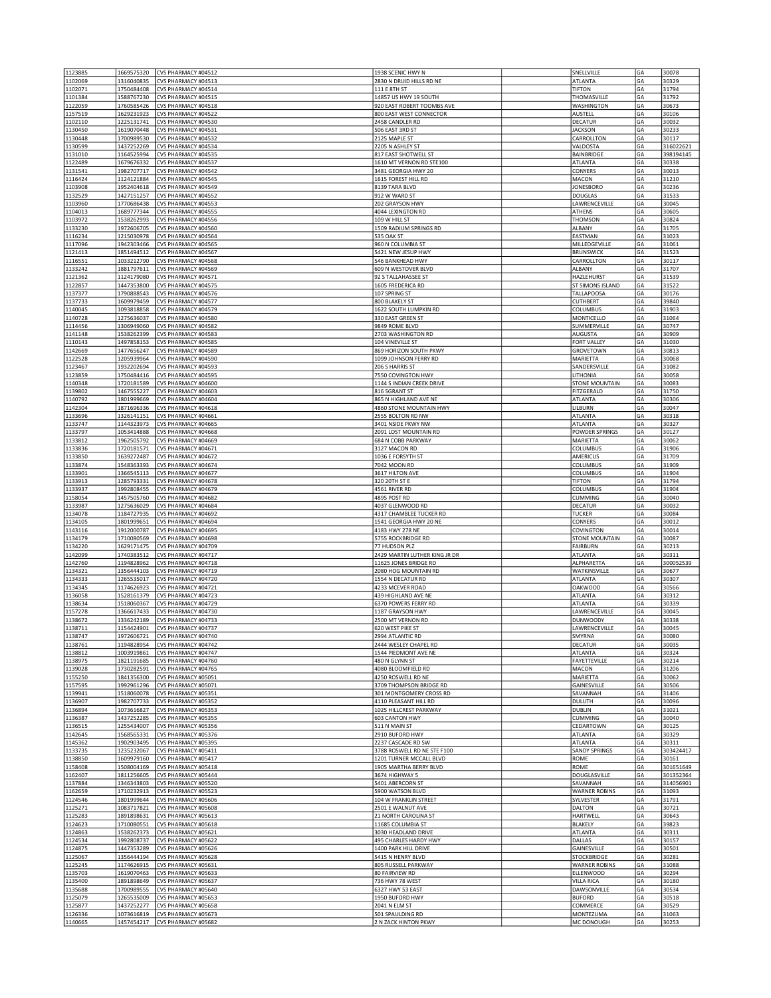| 1123885            | 1669575320               | CVS PHARMACY #04512                                   | 1938 SCENIC HWY N                                      | SNELLVILLE                        | GA       | 30078                  |
|--------------------|--------------------------|-------------------------------------------------------|--------------------------------------------------------|-----------------------------------|----------|------------------------|
| 1102069            | 1316040835               | CVS PHARMACY #04513                                   | 2830 N DRUID HILLS RD NE                               | <b>ATLANTA</b>                    | GA       | 30329                  |
| 1102071            | 1750484408               | CVS PHARMACY #04514                                   | 111 E 8TH ST                                           | <b>TIFTON</b>                     | GA       | 31794                  |
| 1101384            | 1588767230               | CVS PHARMACY #04515                                   | 14857 US HWY 19 SOUTH                                  | THOMASVILLE                       | GA       | 31792                  |
| 1122059            | 1760585426               | CVS PHARMACY #04518                                   | 920 EAST ROBERT TOOMBS AVE                             | WASHINGTON                        | GA       | 30673                  |
| 1157519            | 1629231923               | CVS PHARMACY #04522                                   | 800 EAST WEST CONNECTOR                                | AUSTELL                           | GA       | 30106                  |
| 1102110            | 1225131741               | CVS PHARMACY #04530                                   | 2458 CANDLER RD                                        | <b>DECATUR</b>                    | GA       | 30032                  |
| 1130450            | 1619070448               | CVS PHARMACY #04531                                   | 506 EAST 3RD ST                                        | <b>JACKSON</b>                    | GA       | 30233                  |
| 1130448            | 1700989530               | CVS PHARMACY #04532                                   | 2125 MAPLE ST                                          | CARROLLTON                        | GA       | 30117                  |
| 1130599<br>1131010 | 1437252269<br>1164525994 | CVS PHARMACY #04534<br>CVS PHARMACY #04535            | 2205 N ASHLEY ST<br>817 EAST SHOTWELL ST               | VALDOSTA<br>BAINBRIDGE            | GA<br>GA | 316022621<br>398194145 |
| 1122489            | 1679676332               | CVS PHARMACY #04537                                   | 1610 MT VERNON RD STE100                               | ATLANTA                           | GA       | 30338                  |
| 1131541            | 1982707717               | CVS PHARMACY #04542                                   | 3481 GEORGIA HWY 20                                    | CONYERS                           | GA       | 30013                  |
| 1116424            | 1124121884               | CVS PHARMACY #04545                                   | 1615 FOREST HILL RD                                    | MACON                             | GA       | 31210                  |
| 1103908            | 1952404618               | CVS PHARMACY #04549                                   | 8139 TARA BLVD                                         | <b>JONESBORO</b>                  | GA       | 30236                  |
| 1132529            | 1427151257               | CVS PHARMACY #04552                                   | 912 W WARD ST                                          | <b>DOUGLAS</b>                    | GA       | 31533                  |
| 1103960            | 1770686438               | CVS PHARMACY #04553                                   | 202 GRAYSON HWY                                        | LAWRENCEVILLE                     | GA       | 30045                  |
| 1104013            | 1689777344               | CVS PHARMACY #04555                                   | 4044 LEXINGTON RD                                      | ATHENS                            | GA       | 30605                  |
| 1103972            | 1538262993               | CVS PHARMACY #04556                                   | 109 W HILL ST                                          | THOMSON                           | GA       | 30824                  |
| 1133230            | 1972606705               | CVS PHARMACY #04560                                   | 1509 RADIUM SPRINGS RD                                 | ALBANY                            | GA       | 31705                  |
| 1116234            | 1215030978               | CVS PHARMACY #04564                                   | <b>535 OAK ST</b>                                      | EASTMAN                           | GA       | 31023                  |
| 1117096            | 1942303466               | CVS PHARMACY #04565                                   | 960 N COLUMBIA ST                                      | MILLEDGEVILLE                     | GA       | 31061                  |
| 1121413            | 1851494512               | CVS PHARMACY #04567                                   | 5421 NEW JESUP HWY                                     | <b>BRUNSWICK</b>                  | GA       | 31523                  |
| 1116551            | 1033212790               | CVS PHARMACY #04568                                   | 546 BANKHEAD HWY                                       | CARROLLTON                        | GA       | 30117                  |
| 1133242<br>1121362 | 1881797611<br>1124179080 | CVS PHARMACY #04569<br>CVS PHARMACY #04571            | 609 N WESTOVER BLVD<br>92 S TALLAHASSEE ST             | ALBANY<br>HAZLEHURST              | GA<br>GA | 31707<br>31539         |
| 1122857            | 1447353800               | CVS PHARMACY #04575                                   | 1605 FREDERICA RD                                      | ST SIMONS ISLAND                  | GA       | 31522                  |
| 1137377            | 1790888543               | CVS PHARMACY #04576                                   | 107 SPRING ST                                          | <b>TALLAPOOSA</b>                 | GA       | 30176                  |
| 1137733            | 1609979459               | CVS PHARMACY #04577                                   | 800 BLAKELY ST                                         | CUTHBERT                          | GA       | 39840                  |
| 1140045            | 1093818858               | CVS PHARMACY #04579                                   | 1622 SOUTH LUMPKIN RD                                  | COLUMBUS                          | GA       | 31903                  |
| 1140728            | 1275636037               | CVS PHARMACY #04580                                   | 330 EAST GREEN ST                                      | MONTICELLO                        | GA       | 31064                  |
| 1114456            | 1306949060               | CVS PHARMACY #04582                                   | 9849 ROME BLVD                                         | SUMMERVILLE                       | GA       | 30747                  |
| 1141148            | 1538262399               | CVS PHARMACY #04583                                   | 2703 WASHINGTON RD                                     | AUGUSTA                           | GA       | 30909                  |
| 1110143            | 1497858153               | CVS PHARMACY #04585                                   | 104 VINEVILLE ST                                       | <b>FORT VALLEY</b>                | GA       | 31030                  |
| 1142669            | 1477656247               | CVS PHARMACY #04589                                   | 869 HORIZON SOUTH PKWY                                 | GROVETOWN                         | GA       | 30813                  |
| 1122528            | 1205939964               | CVS PHARMACY #04590                                   | 1099 JOHNSON FERRY RD                                  | MARIETTA                          | GA       | 30068                  |
| 1123467            | 1932202694               | CVS PHARMACY #04593                                   | 206 S HARRIS ST                                        | SANDERSVILLE                      | GA       | 31082                  |
| 1123859            | 1750484416               | CVS PHARMACY #04595                                   | 7550 COVINGTON HWY                                     | LITHONIA                          | GA       | 30058                  |
| 1140348<br>1139802 | 1720181589<br>1467555227 | CVS PHARMACY #04600<br>CVS PHARMACY #04603            | 1144 S INDIAN CREEK DRIVE                              | <b>STONE MOUNTAIN</b>             | GA<br>GA | 30083<br>31750         |
| 1140792            | 1801999669               | CVS PHARMACY #04604                                   | 816 SGRANT ST<br>865 N HIGHLAND AVE NE                 | FITZGERALD<br>ATLANTA             | GA       | 30306                  |
| 1142304            | 1871696336               | CVS PHARMACY #04618                                   | 4860 STONE MOUNTAIN HWY                                | LILBURN                           | GA       | 30047                  |
| 1133696            | 1326141151               | CVS PHARMACY #04661                                   | 2555 BOLTON RD NW                                      | ATLANTA                           | GA       | 30318                  |
| 1133747            | 1144323973               | CVS PHARMACY #04665                                   | 3401 NSIDE PKWY NW                                     | ATLANTA                           | GA       | 30327                  |
| 1133797            | 1053414888               | CVS PHARMACY #04668                                   | 2091 LOST MOUNTAIN RD                                  | POWDER SPRINGS                    | GA       | 30127                  |
| 1133812            | 1962505792               | CVS PHARMACY #04669                                   | 684 N COBB PARKWAY                                     | MARIETTA                          | GA       | 30062                  |
| 1133836            | 1720181571               | CVS PHARMACY #04671                                   | 3127 MACON RD                                          | COLUMBUS                          | GA       | 31906                  |
| 1133850            | 1639272487               | CVS PHARMACY #04672                                   | 1036 E FORSYTH ST                                      | AMERICUS                          | GA       | 31709                  |
| 1133874            | 1548363393               | CVS PHARMACY #04674                                   | 7042 MOON RD                                           | COLUMBUS                          | GA       | 31909                  |
| 1133901            | 1366545113               | CVS PHARMACY #04677                                   | 3617 HILTON AVE                                        | COLUMBUS                          | GA       | 31904                  |
| 1133913            | 1285793331               | CVS PHARMACY #04678                                   | 320 20TH ST E                                          | <b>TIFTON</b>                     | GA       | 31794                  |
| 1133937            | 1992808455               | CVS PHARMACY #04679                                   | 4561 RIVER RD                                          | COLUMBUS                          | GA       | 31904                  |
| 1158054            | 1457505760               | CVS PHARMACY #04682                                   | 4895 POST RD                                           | CUMMING                           | GA       | 30040                  |
|                    | 1275636029               | CVS PHARMACY #04684                                   | 4037 GLENWOOD RD                                       | DECATUR                           | GA       | 30032                  |
| 1133987            |                          |                                                       |                                                        |                                   |          |                        |
| 1134078            | 1184727935               | CVS PHARMACY #04692                                   | 4317 CHAMBLEE TUCKER RD                                | <b>TUCKER</b>                     | GA       | 30084                  |
| 1134105            | 1801999651               | CVS PHARMACY #04694                                   | 1541 GEORGIA HWY 20 NE                                 | CONYERS                           | GA       | 30012                  |
| 1143116            | 1912000787               | CVS PHARMACY #04695                                   | 4183 HWY 278 NE                                        | COVINGTON                         | GA       | 30014                  |
| 1134179            | 1710080569               | CVS PHARMACY #04698                                   | 5755 ROCKBRIDGE RD                                     | <b>STONE MOUNTAIN</b>             | GA       | 30087                  |
| 1134220            | 1629171475               | CVS PHARMACY #04709<br>CVS PHARMACY #04717            | 77 HUDSON PLZ                                          | <b>FAIRBURN</b>                   | GA       | 30213                  |
| 1142099            | 1740383512               | CVS PHARMACY #04718                                   | 2429 MARTIN LUTHER KING JR DR                          | ATLANTA                           | GA       | 30311                  |
| 1142760<br>1134321 | 1194828962<br>1356444103 | CVS PHARMACY #04719                                   | 11625 JONES BRIDGE RD<br>2080 HOG MOUNTAIN RD          | ALPHARETTA<br>WATKINSVILLE        | GA<br>GA | 300052539<br>30677     |
| 1134333            | 1265535017               | CVS PHARMACY #04720                                   | 1554 N DECATUR RD                                      | <b>ATLANTA</b>                    | GA       | 30307                  |
| 1134345            | 1174626923               | CVS PHARMACY #04721                                   | 4233 MCEVER ROAD                                       | <b>OAKWOOD</b>                    | GA       | 30566                  |
| 1136058            | 1528161379               | CVS PHARMACY #04723                                   | 439 HIGHLAND AVE NE                                    | ATLANTA                           | GA       | 30312                  |
| 1138634            | 1518060367               | CVS PHARMACY #04729                                   | 6370 POWERS FERRY RD                                   | ATLANTA                           | GA       | 30339                  |
| 1157278            | 1366617433               | CVS PHARMACY #04730                                   | 1187 GRAYSON HWY                                       | LAWRENCEVILLE                     | GA       | 30045                  |
| 1138672            | 1336242189               | CVS PHARMACY #04733                                   | 2500 MT VERNON RD                                      | <b>DUNWOODY</b>                   | GA       | 30338                  |
| 1138711            | 1154424901               | CVS PHARMACY #04737                                   | 620 WEST PIKE ST                                       | LAWRENCEVILLE                     | GA       | 30045                  |
| 1138747            | 1972606721               | CVS PHARMACY #04740                                   | 2994 ATLANTIC RD                                       | SMYRNA                            | GA       | 30080                  |
| 1138761            | 1194828954               | CVS PHARMACY #04742                                   | 2444 WESLEY CHAPEL RD                                  | <b>DECATUR</b>                    | GA       | 30035                  |
| 1138812<br>1138975 | 1003919861<br>1821191685 | CVS PHARMACY #04747<br>CVS PHARMACY #04760            | 1544 PIEDMONT AVE NE<br>480 N GLYNN ST                 | ATLANTA<br>FAYETTEVILLE           | GA<br>GA | 30324<br>30214         |
| 1139028            | 1730282591               | CVS PHARMACY #04765                                   | 4080 BLOOMFIELD RD                                     | MACON                             | GA       | 31206                  |
| 1155250            | 1841356300               | CVS PHARMACY #05051                                   | 4250 ROSWELL RD NE                                     | MARIETTA                          | GA       | 30062                  |
| 1157595            | 1992961296               | CVS PHARMACY #05071                                   | 3709 THOMPSON BRIDGE RD                                | GAINESVILLE                       | GA       | 30506                  |
| 1139941            | 1518060078               | CVS PHARMACY #05351                                   | 301 MONTGOMERY CROSS RD                                | SAVANNAH                          | GA       | 31406                  |
| 1136907            | 1982707733               | CVS PHARMACY #05352                                   | 4110 PLEASANT HILL RD                                  | <b>DULUTH</b>                     | GA       | 30096                  |
| 1136894            | 1073616827               | CVS PHARMACY #05353                                   | 1025 HILLCREST PARKWAY                                 | <b>DUBLIN</b>                     | GA       | 31021                  |
| 1136387            | 1437252285               | CVS PHARMACY #05355                                   | 603 CANTON HWY                                         | CUMMING                           | GA       | 30040                  |
| 1136515            | 1255434007               | CVS PHARMACY #05356                                   | 511 N MAIN ST                                          | CEDARTOWN                         | GA       | 30125                  |
| 1142645            | 1568565331               | CVS PHARMACY #05376                                   | 2910 BUFORD HWY                                        | <b>ATLANTA</b>                    | GA       | 30329                  |
| 1145362            | 1902903495               | CVS PHARMACY #05395                                   | 2237 CASCADE RD SW                                     | ATLANTA                           | GA       | 30311                  |
| 1133735            | 1235232067               | CVS PHARMACY #05411                                   | 3788 ROSWELL RD NE STE F100<br>1201 TURNER MCCALL BLVD | <b>SANDY SPRINGS</b>              | GA       | 303424417              |
| 1138850<br>1158408 | 1609979160               | CVS PHARMACY #05417<br>CVS PHARMACY #05418            | 1905 MARTHA BERRY BLVD                                 | <b>ROME</b><br>ROME               | GA<br>GA | 30161                  |
| 1162407            | 1508004169<br>1811256605 | CVS PHARMACY #05444                                   | 3674 HIGHWAY 5                                         | DOUGLASVILLE                      | GA       | 301651649<br>301352364 |
| 1137884            | 1346343803               | CVS PHARMACY #05520                                   | 5401 ABERCORN ST                                       | SAVANNAH                          | GA       | 314056901              |
| 1162659            | 1710232913               | CVS PHARMACY #05523                                   | 5900 WATSON BLVD                                       | <b>WARNER ROBINS</b>              | GA       | 31093                  |
| 1124546            | 1801999644               | CVS PHARMACY #05606                                   | 104 W FRANKLIN STREET                                  | SYLVESTER                         | GA       | 31791                  |
| 1125271            | 1083717821               | CVS PHARMACY #05608                                   | 2501 E WALNUT AVE                                      | DALTON                            | GA       | 30721                  |
| 1125283            | 1891898631               | CVS PHARMACY #05613                                   | 21 NORTH CAROLINA ST                                   | HARTWELL                          | GA       | 30643                  |
| 1124623            | 1710080551               | CVS PHARMACY #05618                                   | 11685 COLUMBIA ST                                      | BLAKELY                           | GA       | 39823                  |
| 1124863            | 1538262373               | CVS PHARMACY #05621                                   | 3030 HEADLAND DRIVE                                    | ATLANTA                           | GA       | 30311                  |
| 1124534            | 1992808737               | CVS PHARMACY #05622                                   | 495 CHARLES HARDY HWY                                  | DALLAS                            | GA       | 30157                  |
| 1124875            | 1447353289               | CVS PHARMACY #05626                                   | 1400 PARK HILL DRIVE                                   | GAINESVILLE                       | GA       | 30501                  |
| 1125067            | 1356444194               | CVS PHARMACY #05628                                   | 5415 N HENRY BLVD                                      | <b>STOCKBRIDGE</b>                | GA       | 30281                  |
| 1125245            | 1174626915               | CVS PHARMACY #05631                                   | 805 RUSSELL PARKWAY                                    | <b>WARNER ROBINS</b><br>ELLENWOOD | GA       | 31088                  |
| 1135703            | 1619070463               | CVS PHARMACY #05633                                   | 80 FAIRVIEW RD                                         |                                   | GA       | 30294                  |
| 1135400<br>1135688 | 1891898649<br>1700989555 | CVS PHARMACY #05637<br>CVS PHARMACY #05640            | 736 HWY 78 WEST<br>6327 HWY 53 EAST                    | <b>VILLA RICA</b><br>DAWSONVILLE  | GA<br>GA | 30180<br>30534         |
| 1125079            | 1265535009               | CVS PHARMACY #05653                                   | 1950 BUFORD HWY                                        | <b>BUFORD</b>                     | GA       | 30518                  |
| 1125877            | 1437252277               | CVS PHARMACY #05658                                   | 2041 N ELM ST                                          | COMMERCE                          | GA       | 30529                  |
| 1126336<br>1140665 | 1073616819               | CVS PHARMACY #05673<br>1457454217 CVS PHARMACY #05682 | 501 SPAULDING RD<br>2 N ZACK HINTON PKWY               | MONTEZUMA<br>MC DONOUGH           | GA<br>GA | 31063<br>30253         |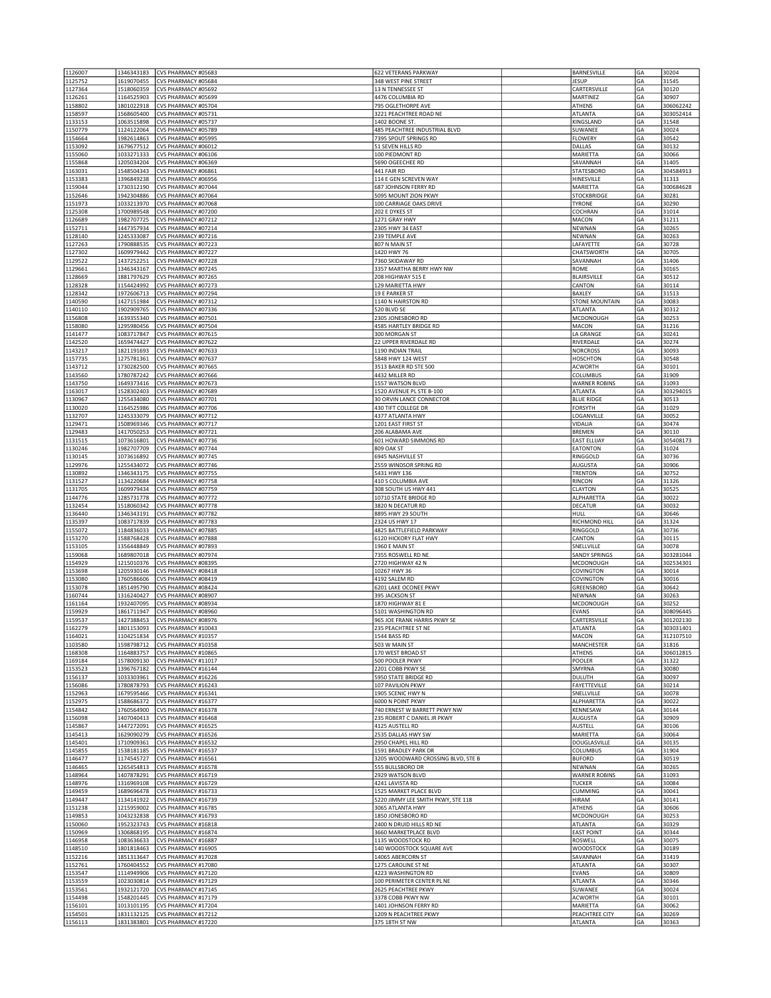| 1126007            | 1346343183               | CVS PHARMACY #05683                        | 622 VETERANS PARKWAY                    | BARNESVILLE               | GA       | 30204          |
|--------------------|--------------------------|--------------------------------------------|-----------------------------------------|---------------------------|----------|----------------|
| 1125752            | 1619070455               | CVS PHARMACY #05684                        | 348 WEST PINE STREET                    | <b>JESUP</b>              | GA       | 31545          |
| 1127364            | 1518060359               | CVS PHARMACY #05692                        | 13 N TENNESSEE ST                       | CARTERSVILLE              | GA       | 30120          |
| 1126261            | 1164525903               | CVS PHARMACY #05699                        | 4476 COLUMBIA RD                        | MARTINEZ                  | GA       | 30907          |
|                    | 1801022918               |                                            | 795 OGLETHORPE AVE                      |                           |          |                |
| 1158802            |                          | CVS PHARMACY #05704<br>CVS PHARMACY #05731 |                                         | ATHENS                    | GA       | 306062242      |
| 1158597            | 1568605400               |                                            | 3221 PEACHTREE ROAD NE                  | ATLANTA                   | GA       | 303052414      |
| 1133153            | 1063515898               | CVS PHARMACY #05737                        | 1402 BOONE ST                           | KINGSLAND                 | GA       | 31548          |
| 1150779            | 1124122064               | CVS PHARMACY #05789                        | 485 PEACHTREE INDUSTRIAL BLVD           | SUWANEE                   | GA       | 30024          |
| 1154664            | 1982614863               | CVS PHARMACY #05995                        | 7395 SPOUT SPRINGS RD                   | <b>FLOWERY</b>            | GA       | 30542          |
| 1153092            | 1679677512               | CVS PHARMACY #06012                        | 51 SEVEN HILLS RD                       | DALLAS                    | GA       | 30132          |
| 1155060            | 1033271333               | CVS PHARMACY #06106                        | 100 PIEDMONT RD                         | MARIETTA                  | GA       | 30066          |
| 1155868            | 1205034204               | CVS PHARMACY #06369                        | 5690 OGEECHEE RD                        | SAVANNAH                  | GA       | 31405          |
| 1163031            | 1548504343               | CVS PHARMACY #06861                        | 441 FAIR RD                             | STATESBORO                | GA       | 304584913      |
| 1153383            | 1396849238               | CVS PHARMACY #06956                        | 114 E GEN SCREVEN WAY                   | HINESVILLE                | GA       | 31313          |
| 1159044            | 1730312190               | CVS PHARMACY #07044                        | 687 JOHNSON FERRY RD                    | MARIETTA                  | GA       | 300684628      |
| 1152646            | 1942304886               | CVS PHARMACY #07064                        | 5095 MOUNT ZION PKWY                    | <b>STOCKBRIDGE</b>        | GA       | 30281          |
|                    |                          |                                            |                                         |                           |          |                |
| 1151973            | 1033213970               | CVS PHARMACY #07068                        | 100 CARRIAGE OAKS DRIVE                 | TYRONE                    | GA       | 30290          |
| 1125308            | 1700989548               | CVS PHARMACY #07200                        | 202 E DYKES ST                          | COCHRAN                   | GA       | 31014          |
| 1126689            | 1982707725               | CVS PHARMACY #07212                        | 1271 GRAY HWY                           | MACON                     | GA       | 31211          |
| 1152711            | 1447357934               | CVS PHARMACY #07214                        | 2305 HWY 34 EAST                        | NEWNAN                    | GA       | 30265          |
| 1128140            | 1245333087               | CVS PHARMACY #07216                        | 239 TEMPLE AVE                          | NEWNAN                    | GA       | 30263          |
| 1127263            | 1790888535               | CVS PHARMACY #07223                        | 807 N MAIN ST                           | LAFAYETTE                 | GA       | 30728          |
| 1127302            | 1609979442               | CVS PHARMACY #07227                        | 1420 HWY 76                             | CHATSWORTH                | GA       | 30705          |
| 1129522            | 1437252251               | CVS PHARMACY #07228                        | 7360 SKIDAWAY RD                        | SAVANNAH                  | GA       | 31406          |
| 1129661            | 1346343167               | CVS PHARMACY #07245                        | 3357 MARTHA BERRY HWY NW                | ROME                      | GA       | 30165          |
| 1128669            | 1881797629               | CVS PHARMACY #07265                        | 208 HIGHWAY 515 E                       | <b>BLAIRSVILLE</b>        | GA       | 30512          |
| 1128328            | 1154424992               | CVS PHARMACY #07273                        | 129 MARIETTA HWY                        | CANTON                    | GA       | 30114          |
| 1128342            | 1972606713               | CVS PHARMACY #07294                        | <b>19 E PARKER ST</b>                   | BAXLEY                    | GA       | 31513          |
| 1140590            | 1427151984               | CVS PHARMACY #07312                        | 1140 N HAIRSTON RD                      | STONE MOUNTAIN            |          | 30083          |
|                    |                          |                                            |                                         |                           | GA       |                |
| 1140110            | 1902909765               | CVS PHARMACY #07336                        | 520 BLVD SE                             | ATLANTA                   | GA       | 30312          |
| 1156808            | 1639355340               | CVS PHARMACY #07501                        | 2305 JONESBORO RD                       | MCDONOUGH                 | GA       | 30253          |
| 1158080            | 1295980456               | CVS PHARMACY #07504                        | 4585 HARTLEY BRIDGE RD                  | MACON                     | GA       | 31216          |
| 1141477            | 1083717847               | CVS PHARMACY #07615                        | 300 MORGAN ST                           | LA GRANGE                 | GA       | 30241          |
| 1142520            | 1659474427               | CVS PHARMACY #07622                        | 22 UPPER RIVERDALE RD                   | RIVERDALE                 | GA       | 30274          |
| 1143217            | 1821191693               | CVS PHARMACY #07633                        | 1190 INDIAN TRAIL                       | <b>NORCROSS</b>           | GA       | 30093          |
| 1157735            | 1275781361               | CVS PHARMACY #07637                        | 5848 HWY 124 WEST                       | <b>HOSCHTON</b>           | GA       | 30548          |
| 1143712            | 1730282500               | CVS PHARMACY #07665                        | 3513 BAKER RD STE 500                   | <b>ACWORTH</b>            | GA       | 30101          |
| 1143560            | 1780787242               | CVS PHARMACY #07666                        | 4432 MILLER RD                          | COLUMBUS                  | GA       | 31909          |
| 1143750            | 1649373416               | CVS PHARMACY #07673                        | 1557 WATSON BLVD                        | <b>WARNER ROBINS</b>      | GA       | 31093          |
| 1163017            | 1528302403               | CVS PHARMACY #07689                        | 1520 AVENUE PL STE B-100                | ATLANTA                   | GA       | 303294015      |
| 1130967            | 1255434080               | CVS PHARMACY #07701                        | 30 ORVIN LANCE CONNECTOR                | <b>BLUE RIDGE</b>         | GA       | 30513          |
|                    |                          |                                            |                                         |                           |          |                |
| 1130020            | 1164525986               | CVS PHARMACY #07706                        | 430 TIFT COLLEGE DR                     | FORSYTH                   | GA       | 31029          |
| 1132707            | 1245333079               | CVS PHARMACY #07712                        | 4377 ATLANTA HWY                        | LOGANVILLE                | GA       | 30052          |
| 1129471            | 1508969346               | CVS PHARMACY #07717                        | 1201 EAST FIRST ST                      | VIDALIA                   | GA       | 30474          |
| 1129483            | 1417050253               | CVS PHARMACY #07721                        | 206 ALABAMA AVE                         | <b>BREMEN</b>             | GA       | 30110          |
| 1131515            | 1073616801               | CVS PHARMACY #07736                        | 601 HOWARD SIMMONS RD                   | <b>EAST ELLIJAY</b>       | GA       | 305408173      |
| 1130246            | 1982707709               | CVS PHARMACY #07744                        | 809 OAK ST                              | <b>EATONTON</b>           | GA       | 31024          |
| 1130145            | 1073616892               | CVS PHARMACY #07745                        | 6945 NASHVILLE ST                       | RINGGOLD                  | GA       | 30736          |
| 1129976            | 1255434072               | CVS PHARMACY #07746                        | 2559 WINDSOR SPRING RD                  | <b>AUGUSTA</b>            | GA       | 30906          |
| 1130892            | 1346343175               | CVS PHARMACY #07755                        | 5431 HWY 136                            | <b>TRENTON</b>            | GA       | 30752          |
| 1131527            | 1134220684               | CVS PHARMACY #07758                        | 410 S COLUMBIA AVE                      | RINCON                    | GA       | 31326          |
| 1131705            | 1609979434               | CVS PHARMACY #07759                        | 308 SOUTH US HWY 441                    | <b>CLAYTON</b>            | GA       | 30525          |
| 1144776            | 1285731778               | CVS PHARMACY #07772                        | 10710 STATE BRIDGE RD                   | ALPHARETTA                | GA       | 30022          |
|                    |                          |                                            |                                         |                           |          |                |
| 1132454            | 1518060342               | CVS PHARMACY #07778                        | 3820 N DECATUR RD                       | DECATUR                   | GA       | 30032          |
| 1136440            | 1346343191               | CVS PHARMACY #07782                        | 8895 HWY 29 SOUTH                       | HULL                      | GA       | 30646          |
| 1135397            | 1083717839               | CVS PHARMACY #07783                        | 2324 US HWY 17                          | RICHMOND HILL             | GA       | 31324          |
| 1155072            | 1184836033               | CVS PHARMACY #07885                        | 4825 BATTLEFIELD PARKWAY                | RINGGOLD                  | GA       | 30736          |
| 1153270            | 1588768428               | CVS PHARMACY #07888                        | 6120 HICKORY FLAT HWY                   | CANTON                    | GA       | 30115          |
| 1153105            | 1356448849               | CVS PHARMACY #07893                        | 1960 E MAIN ST                          | SNELLVILLE                | GA       | 30078          |
| 1159068            | 1689807018               | CVS PHARMACY #07974                        | 7355 ROSWELL RD NE                      | SANDY SPRINGS             | GA       | 303281044      |
| 1154929            | 1215010376               | CVS PHARMACY #08395                        | 2720 HIGHWAY 42 N                       | MCDONOUGH                 | GA       | 302534301      |
| 1153698            | 1205930146               | CVS PHARMACY #08418                        | 10267 HWY 36                            | COVINGTON                 | GA       | 30014          |
| 1153080            | 1760586606               | CVS PHARMACY #08419                        | 4192 SALEM RD                           | COVINGTON                 | GA       | 30016          |
| 1153078            | 1851495790               | CVS PHARMACY #08424                        | 6201 LAKE OCONEE PKWY                   | GREENSBORO                | GA       | 30642          |
| 1160744            | 1316240427               | CVS PHARMACY #08907                        | 395 JACKSON ST                          | NEWNAN                    | GA       | 30263          |
| 1161164            | 1932407095               | CVS PHARMACY #08934                        | 1870 HIGHWAY 81 E                       | MCDONOUGH                 | GA       | 30252          |
|                    |                          |                                            |                                         |                           |          |                |
| 1159929            | 1861711947               | CVS PHARMACY #08960                        | 5101 WASHINGTON RD                      | EVANS                     | GA       | 308096445      |
| 1159537            | 1427388453               | CVS PHARMACY #08976                        | 965 JOE FRANK HARRIS PKWY SE            | CARTERSVILLE              | GA       | 301202130      |
| 1162279            | 1801153093               | CVS PHARMACY #10043                        | 235 PEACHTREE ST NE                     | ATLANTA                   | GA       | 303031401      |
| 1164021            | 1104251834               | CVS PHARMACY #10357                        | 1544 BASS RD                            | MACON                     | GA       | 312107510      |
| 1103580            | 1598798712               | CVS PHARMACY #10358                        | 503 W MAIN ST                           | MANCHESTER                | GA       | 31816          |
| 1168308            | 1164883757               | CVS PHARMACY #10865                        | 170 WEST BROAD ST                       | ATHENS                    | GA       | 306012815      |
| 1169184            | 1578009130               | CVS PHARMACY #11017                        | 500 POOLER PKWY                         | POOLER                    | GA       | 31322          |
| 1153523            | 1396767182               | CVS PHARMACY #16144                        | 2201 COBB PKWY SE                       | SMYRNA                    | GA       | 30080          |
| 1156137            | 1033303961               | CVS PHARMACY #16226                        | 5950 STATE BRIDGE RD                    | <b>DULUTH</b>             | GA       | 30097          |
| 1156086            | 1780878793               | CVS PHARMACY #16243                        | 107 PAVILION PKWY                       | FAYETTEVILLE              | GA       | 30214          |
| 1152963            | 1679595466               | CVS PHARMACY #16341                        | 1905 SCENIC HWY N                       | SNELLVILLE                | GA       | 30078          |
| 1152975            | 1588686372               | CVS PHARMACY #16377                        | 6000 N POINT PKWY                       | ALPHARETTA                | GA       | 30022          |
| 1154842            | 1760564900               | CVS PHARMACY #16378                        | 740 ERNEST W BARRETT PKWY NW            | KENNESAW                  | GA       | 30144          |
| 1156098            | 1407040413               | CVS PHARMACY #16468                        | 235 ROBERT C DANIEL JR PKWY             | <b>AUGUSTA</b>            | GA       | 30909          |
| 1145867            | 1447272091               | CVS PHARMACY #16525                        | 4125 AUSTELL RD                         | AUSTELL                   | GA       | 30106          |
|                    |                          | CVS PHARMACY #16526                        |                                         |                           |          |                |
| 1145413            | 1629090279               |                                            | 2535 DALLAS HWY SW                      | MARIETTA                  | GA       | 30064          |
| 1145401            | 1710909361               | CVS PHARMACY #16532                        | 2950 CHAPEL HILL RD                     | DOUGLASVILLE              | GA       | 30135          |
| 1145855            | 1538181185               | CVS PHARMACY #16537                        | 1591 BRADLEY PARK DR                    | COLUMBUS                  | GA       | 31904          |
| 1146477            | 1174545727               | CVS PHARMACY #16561                        | 3205 WOODWARD CROSSING BLVD, STE B      | <b>BUFORD</b>             | GA       | 30519          |
| 1146465            | 1265454813               | CVS PHARMACY #16578                        | 555 BULLSBORO DR                        | NEWNAN                    | GA       | 30265          |
| 1148964            | 1407878291               | CVS PHARMACY #16719                        | 2929 WATSON BLVD                        | <b>WARNER ROBINS</b>      | GA       | 31093          |
| 1148976            | 1316969108               | CVS PHARMACY #16729                        | 4241 LAVISTA RD                         | <b>TUCKER</b>             | GA       | 30084          |
| 1149459            | 1689696478               | CVS PHARMACY #16733                        | 1525 MARKET PLACE BLVD                  | CUMMING                   | GA       | 30041          |
| 1149447            | 1134141922               | CVS PHARMACY #16739                        | 5220 JIMMY LEE SMITH PKWY, STE 118      | HIRAM                     | GA       | 30141          |
| 1151238            | 1215959002               | CVS PHARMACY #16785                        | 3065 ATLANTA HWY                        | <b>ATHENS</b>             | GA       | 30606          |
| 1149853            | 1043232838               | CVS PHARMACY #16793                        | 1850 JONESBORO RD                       | MCDONOUGH                 | GA       | 30253          |
| 1150060            | 1952323743               | CVS PHARMACY #16818                        | 2400 N DRUID HILLS RD NE                | ATLANTA                   | GA       | 30329          |
| 1150969            | 1306868195               | CVS PHARMACY #16874                        | 3660 MARKETPLACE BLVD                   | <b>EAST POINT</b>         | GA       | 30344          |
|                    |                          |                                            |                                         |                           |          |                |
| 1146958            | 1083636633               | CVS PHARMACY #16887                        | 1135 WOODSTOCK RD                       | ROSWELL                   | GA       | 30075          |
| 1148510            | 1801818463               | CVS PHARMACY #16905                        | 140 WOODSTOCK SQUARE AVE                | <b>WOODSTOCK</b>          | GA       | 30189          |
| 1152216            | 1851313647               | CVS PHARMACY #17028                        | 14065 ABERCORN ST                       | SAVANNAH                  | GA       | 31419          |
| 1152761            | 1760404552               | CVS PHARMACY #17080                        | 1275 CAROLINE ST NE                     | ATLANTA                   | GA       | 30307          |
| 1153547            | 1114949906               | CVS PHARMACY #17120                        | 4223 WASHINGTON RD                      | <b>EVANS</b>              | GA       | 30809          |
| 1153559            | 1023030814               | CVS PHARMACY #17129                        | 100 PERIMETER CENTER PL NE              | <b>ATLANTA</b>            | GA       | 30346          |
| 1153561            | 1932121720               | CVS PHARMACY #17145                        | 2625 PEACHTREE PKWY                     | SUWANEE                   | GA       | 30024          |
| 1154498            | 1548201445               | CVS PHARMACY #17179                        | 3378 COBB PKWY NW                       | <b>ACWORTH</b>            | GA       | 30101          |
| 1156101            |                          |                                            |                                         |                           |          |                |
|                    |                          |                                            |                                         |                           |          |                |
|                    | 1013101195               | CVS PHARMACY #17204                        | 1401 JOHNSON FERRY RD                   | MARIETTA                  | GA       | 30062          |
| 1154501<br>1156113 | 1831132125<br>1831383801 | CVS PHARMACY #17212<br>CVS PHARMACY #17220 | 1209 N PEACHTREE PKWY<br>375 18TH ST NW | PEACHTREE CITY<br>ATLANTA | GA<br>GA | 30269<br>30363 |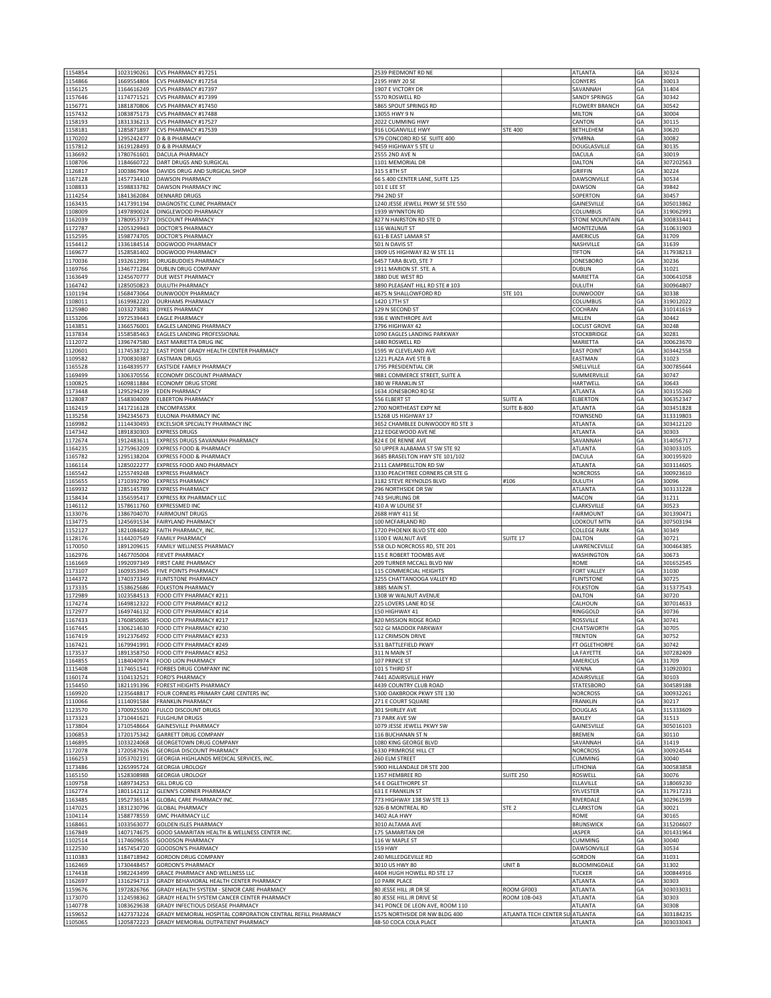| 1154854            | 1023190261               | CVS PHARMACY #17251                                                                                      | 2539 PIEDMONT RD NE                                      |                            | ATLANTA                                | GA        | 30324                  |
|--------------------|--------------------------|----------------------------------------------------------------------------------------------------------|----------------------------------------------------------|----------------------------|----------------------------------------|-----------|------------------------|
| 1154866<br>1156125 | 1669554804<br>1164616249 | CVS PHARMACY #17254<br>CVS PHARMACY #17397                                                               | 2195 HWY 20 SE<br>1907 E VICTORY DR                      |                            | CONYERS<br>SAVANNAH                    | GA<br>GA  | 30013<br>31404         |
| 1157646            | 1174771521               | CVS PHARMACY #17399                                                                                      | 5570 ROSWELL RD                                          |                            | SANDY SPRINGS                          | GA        | 30342                  |
| 1156771<br>1157432 | 1881870806<br>1083875173 | CVS PHARMACY #17450<br>CVS PHARMACY #17488                                                               | 5865 SPOUT SPRINGS RD<br>13055 HWY 9 N                   |                            | <b>FLOWERY BRANCH</b><br><b>MILTON</b> | GA<br>GA  | 30542<br>30004         |
| 1158193            | 1831336213               | CVS PHARMACY #17527                                                                                      | 2022 CUMMING HWY                                         |                            | CANTON                                 | GA        | 30115                  |
| 1158181            | 1285871897               | CVS PHARMACY #17539                                                                                      | 916 LOGANVILLE HWY                                       | <b>STE 400</b>             | BETHLEHEM                              | GA        | 30620                  |
| 1170202<br>1157812 | 1295242477<br>1619128493 | <b>D &amp; B PHARMACY</b><br>D & B PHARMACY                                                              | 579 CONCORD RD SE SUITE 400<br>9459 HIGHWAY 5 STE U      |                            | SYMRNA<br>DOUGLASVILLE                 | GA<br>GA  | 30082<br>30135         |
| 1136692            | 1780761601               | <b>DACULA PHARMACY</b>                                                                                   | 2555 2ND AVE N                                           |                            | DACULA                                 | GA        | 30019                  |
| 1108706<br>1126817 | 1184660722<br>1003867904 | DART DRUGS AND SURGICAL<br>DAVIDS DRUG AND SURGICAL SHOP                                                 | 1101 MEMORIAL DR<br>315 S 8TH ST                         |                            | <b>DALTON</b><br>GRIFFIN               | GA<br>GA  | 307202563<br>30224     |
| 1167128            | 1457734410               | <b>DAWSON PHARMACY</b>                                                                                   | 66 S.400 CENTER LANE, SUITE 125                          |                            | DAWSONVILLE                            | GA        | 30534                  |
| 1108833            | 1598833782               | DAWSON PHARMACY INC                                                                                      | 101 E LEE ST                                             |                            | DAWSON                                 | GA        | 39842                  |
| 1114254<br>1163435 | 1841362084<br>1417391194 | <b>DENNARD DRUGS</b><br>DIAGNOSTIC CLINIC PHARMACY                                                       | 794 2ND ST<br>1240 JESSE JEWELL PKWY SE STE 550          |                            | SOPERTON<br>GAINESVILLE                | GA<br>GA  | 30457<br>305013862     |
| 1108009            | 1497890024               | DINGLEWOOD PHARMACY                                                                                      | 1939 WYNNTON RD                                          |                            | COLUMBUS                               | GA        | 319062991              |
| 1162039<br>1172787 | 1780953737<br>1205329943 | <b>DISCOUNT PHARMACY</b><br>DOCTOR'S PHARMACY                                                            | 827 N HAIRSTON RD STE D<br>116 WALNUT ST                 |                            | <b>STONE MOUNTAIN</b><br>MONTEZUMA     | GA<br>GA  | 300833441<br>310631903 |
| 1152595            | 1598774705               | DOCTOR'S PHARMACY                                                                                        | 611-B EAST LAMAR ST                                      |                            | AMERICUS                               | GA        | 31709                  |
| 1154412            | 1336184514               | DOGWOOD PHARMACY                                                                                         | 501 N DAVIS ST                                           |                            | NASHVILLE                              | GA        | 31639                  |
| 1169677<br>1170036 | 1528581402<br>1932612991 | DOGWOOD PHARMACY<br><b>DRUGBUDDIES PHARMACY</b>                                                          | 1909 US HIGHWAY 82 W STE 11<br>6457 TARA BLVD, STE 7     |                            | <b>TIFTON</b><br><b>JONESBORO</b>      | GA<br>GA  | 317938213<br>30236     |
| 1169766            | 1346771284               | DUBLIN DRUG COMPANY                                                                                      | 1911 MARION ST. STE. A                                   |                            | <b>DUBLIN</b>                          | GA        | 31021                  |
| 1163649<br>1164742 | 1245670777<br>1285050823 | DUE WEST PHARMACY<br><b>DULUTH PHARMACY</b>                                                              | 3880 DUE WEST RD<br>3890 PLEASANT HILL RD STE # 103      |                            | MARIETTA<br><b>DULUTH</b>              | GA<br>GA  | 300641058<br>300964807 |
| 1101194            | 1568473064               | DUNWOODY PHARMACY                                                                                        | 4675 N SHALLOWFORD RD                                    | STE 101                    | <b>DUNWOODY</b>                        | GA        | 30338                  |
| 1108011            | 1619982220               | <b>DURHAMS PHARMACY</b>                                                                                  | 1420 17TH ST                                             |                            | COLUMBUS                               | GA        | 319012022              |
| 1125980<br>1153206 | 1033273081<br>1972539443 | <b>DYKES PHARMACY</b><br><b>EAGLE PHARMACY</b>                                                           | 129 N SECOND ST<br>936 E WINTHROPE AVE                   |                            | COCHRAN<br>MILLEN                      | GA<br>GA  | 310141619<br>30442     |
| 1143851            | 1366576001               | EAGLES LANDING PHARMACY                                                                                  | 3796 HIGHWAY 42                                          |                            | <b>LOCUST GROVE</b>                    | GA        | 30248                  |
| 1137834<br>1112072 | 1558585463<br>1396747580 | EAGLES LANDING PROFESSIONAL<br>EAST MARIETTA DRUG INC                                                    | 1090 EAGLES LANDING PARKWAY<br>1480 ROSWELL RD           |                            | STOCKBRIDGE<br>MARIETTA                | GA<br>GA  | 30281<br>300623670     |
| 1120601            | 1174538722               | EAST POINT GRADY HEALTH CENTER PHARMACY                                                                  | 1595 W CLEVELAND AVE                                     |                            | <b>EAST POINT</b>                      | GA        | 303442558              |
| 1109582            | 1700830387               | <b>EASTMAN DRUGS</b>                                                                                     | 1221 PLAZA AVE STE B                                     |                            | EASTMAN                                | GA        | 31023                  |
| 1165528<br>1169499 | 1164839577<br>1306370556 | EASTSIDE FAMILY PHARMACY<br>ECONOMY DISCOUNT PHARMACY                                                    | 1795 PRESIDENTIAL CIR<br>9881 COMMERCE STREET, SUITE A   |                            | SNELLVILLE<br>SUMMERVILLE              | GA<br>GA  | 300785644<br>30747     |
| 1100825            | 1609811884               | <b>ECONOMY DRUG STORE</b>                                                                                | 380 W FRANKLIN ST                                        |                            | HARTWELL                               | GA        | 30643                  |
| 1173448<br>1128087 | 1295294239<br>1548304009 | <b>EDEN PHARMACY</b><br><b>ELBERTON PHARMACY</b>                                                         | 1634 JONESBORO RD SE<br>556 ELBERT ST                    | <b>SUITE A</b>             | <b>ATLANTA</b><br><b>ELBERTON</b>      | GA<br>GA  | 303155260<br>306352347 |
| 1162419            | 1417216128               | ENCOMPASSRX                                                                                              | 2700 NORTHEAST EXPY NE                                   | <b>SUITE B-800</b>         | ATLANTA                                | GA        | 303451828              |
| 1135258            | 1942345673               | EULONIA PHARMACY INC                                                                                     | 15268 US HIGHWAY 17                                      |                            | TOWNSEND                               | GA        | 313319803              |
| 1169982<br>1147342 | 1114430493<br>1891830303 | EXCELSIOR SPECIALTY PHARMACY INC<br><b>EXPRESS DRUGS</b>                                                 | 3652 CHAMBLEE DUNWOODY RD STE 3<br>212 EDGEWOOD AVE NE   |                            | ATLANTA<br>ATLANTA                     | GA<br>GA  | 303412120<br>30303     |
| 1172674            | 1912483611               | <b>EXPRESS DRUGS SAVANNAH PHARMACY</b>                                                                   | 824 E DE RENNE AVE                                       |                            | SAVANNAH                               | GA        | 314056717              |
| 1164235            | 1275963209               | EXPRESS FOOD & PHARMACY                                                                                  | 50 UPPER ALABAMA ST SW STE 92                            |                            | ATLANTA                                | GA        | 303033105              |
| 1165782<br>1166114 | 1295138204<br>1285022277 | EXPRESS FOOD & PHARMACY<br>EXPRESS FOOD AND PHARMACY                                                     | 3685 BRASELTON HWY STE 101/102<br>2111 CAMPBELLTON RD SW |                            | DACULA<br>ATLANTA                      | GA<br>GA  | 300195920<br>303114605 |
| 1165542            | 1255749248               | <b>EXPRESS PHARMACY</b>                                                                                  | 3330 PEACHTREE CORNERS CIR STE G                         |                            | <b>NORCROSS</b>                        | GA        | 300923610              |
| 1165655<br>1169932 | 1710392790<br>1285145789 | <b>EXPRESS PHARMACY</b><br><b>EXPRESS PHARMACY</b>                                                       | 3182 STEVE REYNOLDS BLVD<br>296 NORTHSIDE DR SW          | #106                       | <b>DULUTH</b><br><b>ATLANTA</b>        | GA<br>GA  | 30096<br>303131228     |
| 1158434            | 1356595417               | EXPRESS RX PHARMACY LLC                                                                                  | 743 SHURLING DR                                          |                            | MACON                                  | GA        | 31211                  |
| 1146112            | 1578611760               | EXPRESSMED INC                                                                                           | 410 A W LOUISE ST                                        |                            | CLARKSVILLE                            | GA        | 30523                  |
| 1133076<br>1134775 | 1386704070<br>1245691534 | <b>FAIRMOUNT DRUGS</b><br>FAIRYLAND PHARMACY                                                             | 2688 HWY 411 SE<br>100 MCFARLAND RD                      |                            | FAIRMOUNT<br>LOOKOUT MTN               | GA<br>GA  | 301390471<br>307503194 |
| 1152127            | 1821084682               | FAITH PHARMACY, INC                                                                                      | 1720 PHOENIX BLVD STE 400                                |                            | COLLEGE PARK                           | GA        | 30349                  |
| 1128176<br>1170050 | 1144207549<br>1891209615 | <b>FAMILY PHARMACY</b><br>FAMILY WELLNESS PHARMACY                                                       | 1100 E WALNUT AVE<br>558 OLD NORCROSS RD, STE 201        | SUITE 17                   | DALTON<br>LAWRENCEVILLE                | GA<br>GA  | 30721<br>300464385     |
| 1162976            | 1467705004               | <b>FIEVET PHARMACY</b>                                                                                   | 115 E ROBERT TOOMBS AVE                                  |                            | <b>WASHINGTON</b>                      | GA        | 30673                  |
| 1161669            | 1992097349               | FIRST CARE PHARMACY                                                                                      | 209 TURNER MCCALL BLVD NW                                |                            | ROME                                   | GA        | 301652545              |
| 1173107<br>1144372 | 1609353945<br>1740373349 | FIVE POINTS PHARMACY<br><b>FLINTSTONE PHARMACY</b>                                                       | 115 COMMERCIAL HEIGHTS<br>3255 CHATTANOOGA VALLEY RD     |                            | FORT VALLEY<br><b>FLINTSTONE</b>       | GA<br>GA  | 31030<br>30725         |
| 1173335            | 1538625686               | <b>FOLKSTON PHARMACY</b>                                                                                 | 3885 MAIN ST.                                            |                            | <b>FOLKSTON</b>                        | GA        | 315377543              |
| 1172989<br>1174274 | 1023584513<br>1649812322 | FOOD CITY PHARMACY #211<br>FOOD CITY PHARMACY #212                                                       | 1308 W WALNUT AVENUE<br>225 LOVERS LANE RD SE            |                            | DALTON<br>CALHOUN                      | GA<br>GA  | 30720<br>307014633     |
| 1172977            | 1649746132               | FOOD CITY PHARMACY #214                                                                                  | 150 HIGHWAY 41                                           |                            | RINGGOLD                               | GA        | 30736                  |
| 1167433            | 1760850085               | FOOD CITY PHARMACY #217                                                                                  | 820 MISSION RIDGE ROAD                                   |                            | ROSSVILLE                              | GA        | 30741                  |
| 1167445<br>1167419 | 1306214630<br>1912376492 | FOOD CITY PHARMACY #230<br><b>FOOD CITY PHARMACY #233</b>                                                | 502 GI MADDOX PARKWAY<br>112 CRIMSON DRIVE               |                            | CHATSWORTH<br><b>TRENTON</b>           | GA<br> GA | 30705<br>30752         |
| 1167421            | 1679941991               | FOOD CITY PHARMACY #249                                                                                  | 531 BATTLEFIELD PKWY                                     |                            | FT OGLETHORPE                          | GA        | 30742                  |
| 1173537<br>1164855 | 1891358750<br>1184040974 | FOOD CITY PHARMACY #252<br>FOOD LION PHARMACY                                                            | 311 N MAIN ST<br>107 PRINCE ST                           |                            | LA FAYETTE<br><b>AMERICUS</b>          | GA<br>GA  | 307282409<br>31709     |
| 1115408            | 1174651541               | FORBES DRUG COMPANY INC                                                                                  | 101 S THIRD ST                                           |                            | VIENNA                                 | GA        | 310920301              |
| 1160174            | 1104132521               | <b>FORD'S PHARMACY</b>                                                                                   | 7441 ADAIRSVILLE HWY                                     |                            | ADAIRSVILLE                            | GA        | 30103                  |
| 1154450<br>1169920 | 1821191396<br>1235648817 | FOREST HEIGHTS PHARMACY<br>FOUR CORNERS PRIMARY CARE CENTERS INC                                         | 4439 COUNTRY CLUB ROAD<br>5300 OAKBROOK PKWY STE 130     |                            | <b>STATESBORO</b><br><b>NORCROSS</b>   | GA<br>GA  | 304589188<br>300932261 |
| 1110066            | 1114091584               | <b>FRANKLIN PHARMACY</b>                                                                                 | 271 E COURT SQUARE                                       |                            | <b>FRANKLIN</b>                        | GA        | 30217                  |
| 1123570<br>1173323 | 1700925500<br>1710441621 | <b>FULCO DISCOUNT DRUGS</b><br><b>FULGHUM DRUGS</b>                                                      | 301 SHIRLEY AVE<br>73 PARK AVE SW                        |                            | <b>DOUGLAS</b><br>BAXLEY               | GA<br>GA  | 315333609<br>31513     |
| 1173804            | 1710548664               | <b>GAINESVILLE PHARMACY</b>                                                                              | 1079 JESSE JEWELL PKWY SW                                |                            | GAINESVILLE                            | GA        | 305016103              |
| 1106853            | 1720175342               | <b>GARRETT DRUG COMPANY</b>                                                                              | 116 BUCHANAN ST N                                        |                            | <b>BREMEN</b>                          | GA        | 30110                  |
| 1146895<br>1172078 | 1033224068<br>1720587926 | <b>GEORGETOWN DRUG COMPANY</b><br>GEORGIA DISCOUNT PHARMACY                                              | 1080 KING GEORGE BLVD<br>6330 PRIMROSE HILL CT           |                            | SAVANNAH<br><b>NORCROSS</b>            | GA<br>GA  | 31419<br>300924544     |
| 1166253            | 1053702191               | GEORGIA HIGHLANDS MEDICAL SERVICES, INC.                                                                 | 260 ELM STREET                                           |                            | CUMMING                                | GA        | 30040                  |
| 1173486            | 1265995724               | <b>GEORGIA UROLOGY</b><br><b>GEORGIA UROLOGY</b>                                                         | 5900 HILLANDALE DR STE 200<br>1357 HEMBREE RD            | <b>SUITE 250</b>           | LITHONIA<br>ROSWELL                    | GA<br>GA  | 300583858<br>30076     |
| 1165150<br>1109758 | 1528308988<br>1689734253 | <b>GILL DRUG CO</b>                                                                                      | <b>54 E OGLETHORPE ST</b>                                |                            | ELLAVILLE                              | GA        | 318069230              |
| 1162774            | 1801142112               | <b>GLENN'S CORNER PHARMACY</b>                                                                           | 631 E FRANKLIN ST                                        |                            | SYLVESTER                              | GA        | 317917231              |
| 1163485<br>1147025 | 1952736514<br>1831230796 | <b>GLOBAL CARE PHARMACY INC.</b><br><b>GLOBAL PHARMACY</b>                                               | 773 HIGHWAY 138 SW STE 13<br>926-B MONTREAL RD           | STE <sub>2</sub>           | RIVERDALE<br>CLARKSTON                 | GA<br>GA  | 302961599<br>30021     |
| 1104114            | 1588778559               | <b>GMC PHARMACY LLC</b>                                                                                  | 3402 ALA HWY                                             |                            | ROME                                   | GA        | 30165                  |
| 1168461            | 1033563077               | <b>GOLDEN ISLES PHARMACY</b>                                                                             | 3010 ALTAMA AVE                                          |                            | <b>BRUNSWICK</b>                       | GA        | 315204607              |
| 1167849<br>1102514 | 1407174675<br>1174609655 | GOOD SAMARITAN HEALTH & WELLNESS CENTER INC.<br><b>GOODSON PHARMACY</b>                                  | 175 SAMARITAN DR<br>116 W MAPLE ST                       |                            | JASPER<br>CUMMING                      | GA<br>GA  | 301431964<br>30040     |
| 1122530            | 1457454720               | <b>GOODSON'S PHARMACY</b>                                                                                | <b>159 HWY</b>                                           |                            | DAWSONVILLE                            | GA        | 30534                  |
| 1110383<br>1162469 | 1184718942<br>1730448457 | <b>GORDON DRUG COMPANY</b><br><b>GORDON'S PHARMACY</b>                                                   | 240 MILLEDGEVILLE RD<br>3010 US HWY 80                   | UNIT B                     | <b>GORDON</b><br>BLOOMINGDALE          | GA<br>GA  | 31031<br>31302         |
| 1174438            | 1982243499               | GRACE PHARMACY AND WELLNESS LLC                                                                          | 4404 HUGH HOWELL RD STE 17                               |                            | <b>TUCKER</b>                          | GA        | 300844916              |
| 1162697            | 1316294713               | GRADY BEHAVIORAL HEALTH CENTER PHARMACY                                                                  | 10 PARK PLACE                                            |                            | ATLANTA                                | GA        | 30303                  |
| 1159676<br>1173070 | 1972826766<br>1124598362 | GRADY HEALTH SYSTEM - SENIOR CARE PHARMACY<br>GRADY HEALTH SYSTEM CANCER CENTER PHARMACY                 | 80 JESSE HILL JR DR SE<br>80 JESSE HILL JR DRIVE SE      | ROOM GF003<br>ROOM 10B-043 | ATLANTA<br><b>ATLANTA</b>              | GA<br>GA  | 303033031<br>30303     |
| 1140778            | 1083629638               | GRADY INFECTIOUS DISEASE PHARMACY                                                                        | 341 PONCE DE LEON AVE, ROOM 110                          |                            | <b>ATLANTA</b>                         | GA        | 30308                  |
| 1159652            | 1427373224               | GRADY MEMORIAL HOSPITAL CORPORATION CENTRAL REFILL PHARMACY<br><b>GRADY MEMORIAL OUTPATIENT PHARMACY</b> | 1575 NORTHSIDE DR NW BLDG 400                            | ATLANTA TECH CENTER S      | <b>ATLANTA</b><br><b>ATLANTA</b>       | GA        | 303184235<br>303033043 |
| 1105065            | 1205872223               |                                                                                                          | 48-50 COCA COLA PLACE                                    |                            |                                        | GA        |                        |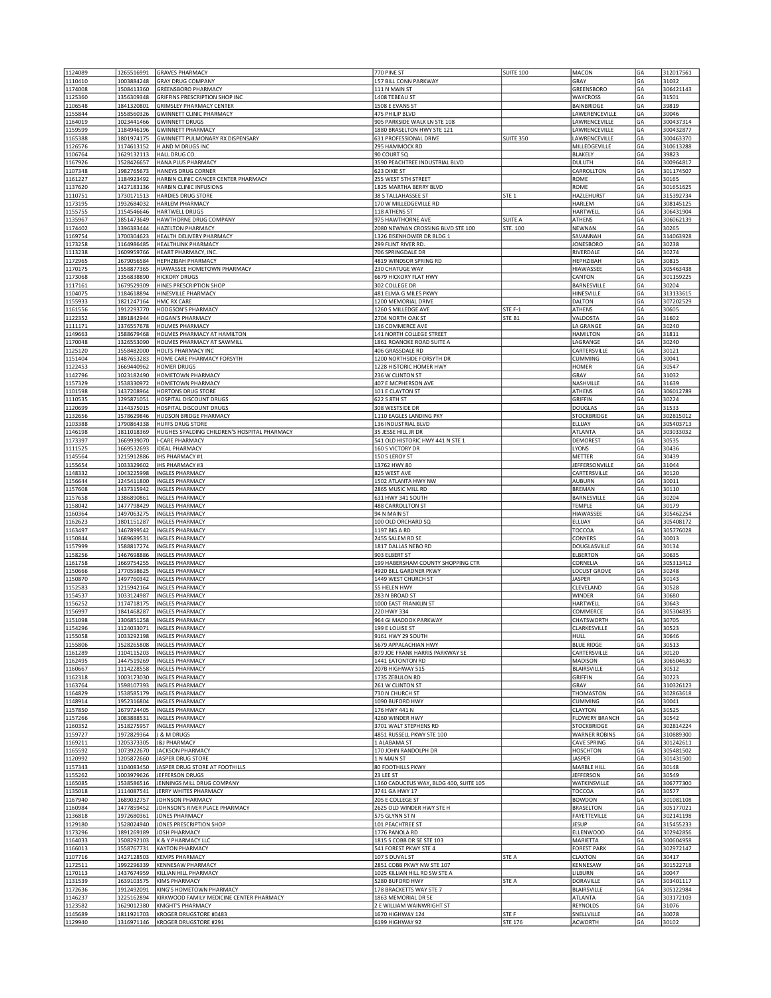| 1124089<br>1110410 | 1265516991<br>1003884248 | <b>GRAVES PHARMACY</b><br><b>GRAY DRUG COMPANY</b>                   | 770 PINE ST<br>157 BILL CONN PARKWAY                     | <b>SUITE 100</b> | MACON<br>GRAY                               | GA<br>GA | 312017561<br>31032     |
|--------------------|--------------------------|----------------------------------------------------------------------|----------------------------------------------------------|------------------|---------------------------------------------|----------|------------------------|
| 1174008            | 1508413360               | <b>GREENSBORO PHARMACY</b>                                           | 111 N MAIN ST                                            |                  | GREENSBORO                                  | GA       | 306421143              |
| 1125360            | 1356309348               | GRIFFINS PRESCRIPTION SHOP INC                                       | 1408 TEBEAU ST                                           |                  | WAYCROSS                                    | GA       | 31501                  |
| 1106548<br>1155844 | 1841320801<br>1558560326 | <b>GRIMSLEY PHARMACY CENTER</b><br><b>GWINNETT CLINIC PHARMACY</b>   | 1508 E EVANS ST<br>475 PHILIP BLVD                       |                  | BAINBRIDGE<br>LAWERENCEVILLE                | GA<br>GA | 39819<br>30046         |
| 1164019            | 1023441466               | <b>GWINNETT DRUGS</b>                                                | 905 PARKSIDE WALK LN STE 108                             |                  | LAWRENCEVILLE                               | GA       | 300437314              |
| 1159599            | 1184946196               | <b>GWINNETT PHARMACY</b>                                             | 1880 BRASELTON HWY STE 121                               |                  | LAWRENCEVILLE                               | GA       | 300432877              |
| 1165388            | 1801974175               | GWINNETT PULMONARY RX DISPENSARY                                     | 631 PROFESSIONAL DRIVE                                   | <b>SUITE 350</b> | LAWRENCEVILLE                               | GA       | 300463370              |
| 1126576<br>1106764 | 1174613152<br>1629132113 | H AND M DRUGS INC<br>HALL DRUG CO.                                   | 295 HAMMOCK RD<br>90 COURT SQ                            |                  | MILLEDGEVILLE<br>BLAKELY                    | GA<br>GA | 310613288<br>39823     |
| 1167926            | 1528426657               | HANA PLUS PHARMACY                                                   | 3590 PEACHTREE INDUSTRIAL BLVD                           |                  | DULUTH                                      | GA       | 300964817              |
| 1107348            | 1982765673<br>1184923492 | HANEYS DRUG CORNER                                                   | 623 DIXIE ST                                             |                  | CARROLLTON<br><b>ROME</b>                   | GA       | 301174507              |
| 1161227<br>1137620 | 1427183136               | HARBIN CLINIC CANCER CENTER PHARMACY<br>HARBIN CLINIC INFUSIONS      | 255 WEST 5TH STREET<br>1825 MARTHA BERRY BLVD            |                  | ROME                                        | GA<br>GA | 30165<br>301651625     |
| 1110751            | 1730171513               | <b>HARDIES DRUG STORE</b>                                            | 38 S TALLAHASSEE ST                                      | STE <sub>1</sub> | HAZLEHURST                                  | GA       | 315392734              |
| 1173195            | 1932684032               | <b>HARLEM PHARMACY</b>                                               | 170 W MILLEDGEVILLE RD                                   |                  | HARLEM                                      | GA       | 308145125              |
| 1155755<br>1135967 | 1154546646<br>1851473649 | <b>HARTWELL DRUGS</b><br>HAWTHORNE DRUG COMPANY                      | 118 ATHENS ST<br>975 HAWTHORNE AVE                       | SUITE A          | HARTWELI<br>ATHENS                          | GA<br>GA | 306431904<br>306062139 |
| 1174402            | 1396383444               | HAZELTON PHARMACY                                                    | 2080 NEWNAN CROSSING BLVD STE 100                        | STE. 100         | <b>NEWNAN</b>                               | GA       | 30265                  |
| 1169754            | 1700304623               | HEALTH DELIVERY PHARMACY                                             | 1326 EISENHOWER DR BLDG 1                                |                  | SAVANNAH                                    | GA       | 314063928              |
| 1173258<br>1113238 | 1164986485<br>1609959766 | HEALTHLINK PHARMACY<br>HEART PHARMACY, INC.                          | 299 FLINT RIVER RD.<br>706 SPRINGDALE DR                 |                  | <b>JONESBORO</b><br>RIVERDALE               | GA<br>GA | 30238<br>30274         |
| 1172965            | 1679056584               | HEPHZIBAH PHARMACY                                                   | 4819 WINDSOR SPRING RD                                   |                  | HEPHZIBAH                                   | GA       | 30815                  |
| 1170175            | 1558877365               | HIAWASSEE HOMETOWN PHARMACY                                          | 230 CHATUGE WAY                                          |                  | HIAWASSEE                                   | GA       | 305463438              |
| 1173068<br>1117161 | 1356838890<br>1679529309 | <b>HICKORY DRUGS</b><br>HINES PRESCRIPTION SHOP                      | 6679 HICKORY FLAT HWY<br>302 COLLEGE DR                  |                  | CANTON<br>BARNESVILLE                       | GA<br>GA | 301159225<br>30204     |
| 1104075            | 1184618894               | HINESVILLE PHARMACY                                                  | 481 ELMA G MILES PKWY                                    |                  | HINESVILLE                                  | GA       | 313133615              |
| 1155933            | 1821247164               | <b>HMC RX CARE</b>                                                   | 1200 MEMORIAL DRIVE                                      |                  | <b>DALTON</b>                               | GA       | 307202529              |
| 1161556<br>1122352 | 1912293770<br>1891842944 | HODGSON'S PHARMACY<br><b>HOGAN'S PHARMACY</b>                        | 1260 S MILLEDGE AVE<br>2704 NORTH OAK ST                 | STEF-1<br>STE B1 | ATHENS<br>VALDOSTA                          | GA<br>GA | 30605<br>31602         |
| 1111171            | 1376557678               | HOLMES PHARMACY                                                      | 136 COMMERCE AVE                                         |                  | LA GRANGE                                   | GA       | 30240                  |
| 1149663            | 1588679468               | HOLMES PHARMACY AT HAMILTON                                          | 141 NORTH COLLEGE STREET                                 |                  | <b>HAMILTON</b>                             | GA       | 31811                  |
| 1170048            | 1326553090               | HOLMES PHARMACY AT SAWMILL                                           | 1861 ROANOKE ROAD SUITE A                                |                  | LAGRANGE                                    | GA       | 30240                  |
| 1125120<br>1151404 | 1558482000<br>1487653283 | HOLTS PHARMACY INC<br>HOME CARE PHARMACY FORSYTH                     | 406 GRASSDALE RD<br>1200 NORTHSIDE FORSYTH DR            |                  | CARTERSVILLE<br><b>CUMMING</b>              | GA<br>GA | 30121<br>30041         |
| 1122453            | 1669440962               | <b>HOMER DRUGS</b>                                                   | 1228 HISTORIC HOMER HWY                                  |                  | HOMER                                       | GA       | 30547                  |
| 1142796            | 1023182490               | HOMETOWN PHARMACY                                                    | 236 W CLINTON ST                                         |                  | GRAY                                        | GA       | 31032                  |
| 1157329<br>1101598 | 1538330972<br>1437208964 | <b>HOMETOWN PHARMACY</b><br><b>HORTONS DRUG STORE</b>                | 407 E MCPHERSON AVE<br>101 E CLAYTON ST                  |                  | NASHVILLE<br><b>ATHENS</b>                  | GA<br>GA | 31639<br>306012789     |
| 1110535            | 1295871051               | HOSPITAL DISCOUNT DRUGS                                              | 622 S 8TH ST                                             |                  | <b>GRIFFIN</b>                              | GA       | 30224                  |
| 1120699            | 1144375015               | <b>HOSPITAL DISCOUNT DRUGS</b>                                       | 308 WESTSIDE DR                                          |                  | <b>DOUGLAS</b>                              | GA       | 31533                  |
| 1132656<br>1103388 | 1578629846<br>1790864338 | <b>HUDSON BRIDGE PHARMACY</b><br><b>HUFFS DRUG STORE</b>             | 1110 EAGLES LANDING PKY<br>136 INDUSTRIAL BLVD           |                  | <b>STOCKBRIDGE</b><br>ELLIJAY               | GA<br>GA | 302815012<br>305403713 |
| 1146198            | 1811018369               | HUGHES SPALDING CHILDREN'S HOSPITAL PHARMACY                         | 35 JESSE HILL JR DR                                      |                  | ATLANTA                                     | GA       | 303033032              |
| 1173397            | 1669939070               | -CARE PHARMACY                                                       | 541 OLD HISTORIC HWY 441 N STE 1                         |                  | <b>DEMOREST</b>                             | GA       | 30535                  |
| 1111525<br>1145564 | 1669532693<br>1215912886 | <b>IDEAL PHARMACY</b><br>IHS PHARMACY #1                             | 160 S VICTORY DR<br>150 S LEROY ST                       |                  | LYONS<br>METTER                             | GA<br>GA | 30436<br>30439         |
| 1155654            | 1033329602               | <b>IHS PHARMACY #3</b>                                               | 13762 HWY 80                                             |                  | JEFFERSONVILLE                              | GA       | 31044                  |
| 1148332            | 1043225998               | <b>INGLES PHARMACY</b>                                               | 825 WEST AVE                                             |                  | CARTERSVILLE                                | GA       | 30120                  |
| 1156644            | 1245411800               | <b>INGLES PHARMACY</b>                                               | 1502 ATLANTA HWY NW                                      |                  | <b>AUBURN</b>                               | GA       | 30011<br>30110         |
| 1157608<br>1157658 | 1437315942<br>1386890861 | <b>INGLES PHARMACY</b><br><b>INGLES PHARMACY</b>                     | 2865 MUSIC MILL RD<br>631 HWY 341 SOUTH                  |                  | <b>BREMAN</b><br>BARNESVILLE                | GA<br>GA | 30204                  |
| 1158042            | 1477798429               | <b>INGLES PHARMACY</b>                                               | <b>488 CARROLLTON ST</b>                                 |                  | TEMPLE                                      | GA       | 30179                  |
| 1160364            | 1497063275               | <b>INGLES PHARMACY</b><br><b>INGLES PHARMACY</b>                     | 94 N MAIN ST<br>100 OLD ORCHARD SQ                       |                  | HIAWASSEE<br>ELLIJAY                        | GA<br>GA | 305462254<br>305408172 |
| 1162623<br>1163497 | 1801151287<br>1467899542 | <b>INGLES PHARMACY</b>                                               | 1197 BIG A RD                                            |                  | TOCCOA                                      | GA       | 305776028              |
| 1150844            | 1689689531               | <b>INGLES PHARMACY</b>                                               | 2455 SALEM RD SE                                         |                  | CONYERS                                     | GA       | 30013                  |
| 1157999            | 1588817274               | <b>INGLES PHARMACY</b>                                               | 1817 DALLAS NEBO RD                                      |                  | <b>DOUGLASVILLE</b>                         | GA       | 30134                  |
| 1158256<br>1161758 | 1467698886<br>1669754255 | <b>INGLES PHARMACY</b><br><b>INGLES PHARMACY</b>                     | 903 ELBERT ST<br>199 HABERSHAM COUNTY SHOPPING CTR       |                  | <b>ELBERTON</b><br>CORNELIA                 | GA<br>GA | 30635<br>305313412     |
| 1150666            | 1770598625               | <b>INGLES PHARMACY</b>                                               | 4920 BILL GARDNER PKWY                                   |                  | <b>LOCUST GROVE</b>                         | GA       | 30248                  |
| 1150870            | 1497760342               | <b>INGLES PHARMACY</b>                                               | 1449 WEST CHURCH ST                                      |                  | JASPER                                      | GA       | 30143                  |
| 1152583<br>1154537 | 1215942164<br>1033124987 | <b>INGLES PHARMACY</b><br><b>INGLES PHARMACY</b>                     | 55 HELEN HWY<br>283 N BROAD ST                           |                  | CLEVELAND<br><b>WINDER</b>                  | GA<br>GA | 30528<br>30680         |
| 1156252            | 1174718175               | <b>INGLES PHARMACY</b>                                               | 1000 EAST FRANKLIN ST                                    |                  | HARTWELL                                    | GA       | 30643                  |
| 1156997            | 1841468287               | <b>INGLES PHARMACY</b>                                               | 220 HWY 334                                              |                  | COMMERCE                                    | GA       | 305304835              |
| 1151098<br>1154296 | 1306851258<br>1124033071 | <b>INGLES PHARMACY</b><br><b>INGLES PHARMACY</b>                     | 964 GI MADDOX PARKWAY<br>199 E LOUISE ST                 |                  | CHATSWORTH<br>CLARKESVILLE                  | GA<br>GA | 30705<br>30523         |
| 1155058            |                          | 1033292198  INGLES PHARMACY                                          | 9161 HWY 29 SOUTH                                        |                  | HULL                                        | GA       | 30646                  |
| 1155806            | 1528265808               | <b>INGLES PHARMACY</b>                                               | 5679 APPALACHIAN HWY                                     |                  | <b>BLUE RIDGE</b>                           | GA       | 30513                  |
| 1161289<br>1162495 | 1104115203<br>1447519269 | <b>INGLES PHARMACY</b><br><b>INGLES PHARMACY</b>                     | 879 JOE FRANK HARRIS PARKWAY SE<br>1441 EATONTON RD      |                  | CARTERSVILLE<br>MADISON                     | GA<br>GA | 30120<br>306504630     |
| 1160667            | 1114228558               | <b>INGLES PHARMACY</b>                                               | 207B HIGHWAY 515                                         |                  | <b>BLAIRSVILLE</b>                          | GA       | 30512                  |
| 1162318            | 1003173030               | <b>INGLES PHARMACY</b>                                               | 1735 ZEBULON RD                                          |                  | GRIFFIN                                     | GA       | 30223                  |
| 1163764<br>1164829 | 1598107393<br>1538585179 | <b>INGLES PHARMACY</b><br><b>INGLES PHARMACY</b>                     | 261 W CLINTON ST<br>730 N CHURCH ST                      |                  | GRAY<br>THOMASTON                           | GA<br>GA | 310326123<br>302863618 |
| 1148914            | 1952316804               | <b>INGLES PHARMACY</b>                                               | 1090 BUFORD HWY                                          |                  | <b>CUMMING</b>                              | GA       | 30041                  |
| 1157850            | 1679724405               | <b>INGLES PHARMACY</b>                                               | 176 HWY 441 N                                            |                  | CLAYTON                                     | GA       | 30525                  |
| 1157266<br>1160352 | 1083888531<br>1518275957 | <b>INGLES PHARMACY</b><br><b>INGLES PHARMACY</b>                     | 4260 WINDER HWY<br>3701 WALT STEPHENS RD                 |                  | <b>FLOWERY BRANCH</b><br><b>STOCKBRIDGE</b> | GA<br>GA | 30542<br>302814224     |
| 1159727            | 1972829364               | J & M DRUGS                                                          | 4851 RUSSELL PKWY STE 100                                |                  | <b>WARNER ROBINS</b>                        | GA       | 310889300              |
| 1169211            | 1205373305               | <b>J&amp;J PHARMACY</b>                                              | 1 ALABAMA ST                                             |                  | <b>CAVE SPRING</b>                          | GA       | 301242611              |
| 1165592<br>1120992 | 1073922670<br>1205872660 | JACKSON PHARMACY<br>JASPER DRUG STORE                                | 170 JOHN RANDOLPH DR<br>1 N MAIN ST                      |                  | <b>HOSCHTON</b><br>JASPER                   | GA<br>GA | 305481502<br>301431500 |
| 1157343            | 1104083450               | JASPER DRUG STORE AT FOOTHILLS                                       | 80 FOOTHILLS PKWY                                        |                  | MARBLE HILL                                 | GA       | 30148                  |
| 1155262            | 1003979626               | JEFFERSON DRUGS                                                      | 23 LEE ST                                                |                  | <b>JEFFERSON</b>                            | GA       | 30549                  |
| 1165085<br>1135018 | 1538586516<br>1114087541 | JENNINGS MILL DRUG COMPANY<br>JERRY WHITES PHARMACY                  | 1360 CADUCEUS WAY, BLDG 400, SUITE 105<br>3741 GA HWY 17 |                  | WATKINSVILLE<br><b>TOCCOA</b>               | GA<br>GA | 306777300<br>30577     |
| 1167940            | 1689032757               | JOHNSON PHARMACY                                                     | 205 E COLLEGE ST                                         |                  | <b>BOWDON</b>                               | GA       | 301081108              |
| 1160984            | 1477859452               | JOHNSON'S RIVER PLACE PHARMACY                                       | 2625 OLD WINDER HWY STE H                                |                  | <b>BRASELTON</b>                            | GA       | 305177021              |
| 1136818<br>1129180 | 1972680361<br>1528024940 | JONES PHARMACY<br>JONES PRESCRIPTION SHOP                            | 575 GLYNN ST N<br>101 PEACHTREE ST                       |                  | FAYETTEVILLE<br>JESUP                       | GA<br>GA | 302141198<br>315455233 |
| 1173296            | 1891269189               | JOSH PHARMACY                                                        | 1776 PANOLA RD                                           |                  | ELLENWOOD                                   | GA       | 302942856              |
| 1164033            | 1508292103               | K & Y PHARMACY LLC                                                   | 1815 S COBB DR SE STE 103                                |                  | MARIETTA                                    | GA       | 300604958              |
| 1166013            | 1558767731               | <b>KAYTON PHARMACY</b>                                               | 541 FOREST PKWY STE 4                                    |                  | <b>FOREST PARK</b>                          | GA       | 302972147              |
| 1107716<br>1172511 | 1427128503<br>1992296339 | <b>KEMPS PHARMACY</b><br><b>KENNESAW PHARMACY</b>                    | 107 S DUVAL ST<br>2851 COBB PKWY NW STE 107              | STE A            | CLAXTON<br>KENNESAW                         | GA<br>GA | 30417<br>301522718     |
| 1170113            | 1437674959               | KILLIAN HILL PHARMACY                                                | 1025 KILLIAN HILL RD SW STE A                            |                  | LILBURN                                     | GA       | 30047                  |
| 1131539            | 1639103575               | <b>KIMS PHARMACY</b>                                                 | 5280 BUFORD HWY                                          | STE A            | <b>DORAVILLE</b>                            | GA       | 303401117              |
| 1172636<br>1146237 | 1912492091<br>1225162894 | KING'S HOMETOWN PHARMACY<br>KIRKWOOD FAMILY MEDICINE CENTER PHARMACY | 178 BRACKETTS WAY STE 7<br>1863 MEMORIAL DR SE           |                  | <b>BLAIRSVILLE</b><br><b>ATLANTA</b>        | GA<br>GA | 305122984<br>303172103 |
| 1123582            | 1629012380               | <b>KNIGHT'S PHARMACY</b>                                             | 2 E WILLIAM WAINWRIGHT ST                                |                  | <b>REYNOLDS</b>                             | GA       | 31076                  |
| 1145689            | 1811921703               | KROGER DRUGSTORE #0483                                               | 1670 HIGHWAY 124                                         | STE F            | SNELLVILLE                                  | GA       | 30078                  |
| 1129940            | 1316971146               | KROGER DRUGSTORE #291                                                | 6199 HIGHWAY 92                                          | <b>STE 176</b>   | <b>ACWORTH</b>                              | GA       | 30102                  |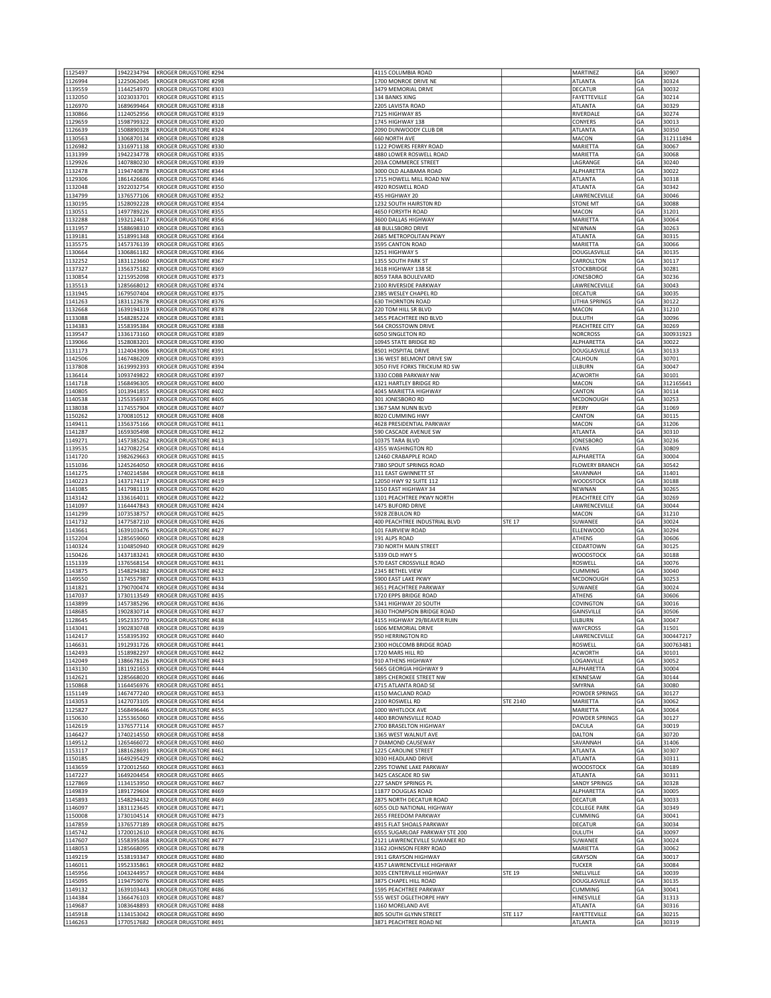| 1125497            |                          |                                                            |                                                      |                 |                                   |          |                    |
|--------------------|--------------------------|------------------------------------------------------------|------------------------------------------------------|-----------------|-----------------------------------|----------|--------------------|
| 1126994            | 1942234794<br>1225062045 | KROGER DRUGSTORE #294<br>KROGER DRUGSTORE #298             | 4115 COLUMBIA ROAD<br>1700 MONROE DRIVE NE           |                 | MARTINEZ<br><b>ATLANTA</b>        | GA<br>GA | 30907<br>30324     |
| 1139559            | 1144254970               | KROGER DRUGSTORE #303                                      | 3479 MEMORIAL DRIVE                                  |                 | <b>DECATUR</b>                    | GA       | 30032              |
| 1132050            | 1023033701               | KROGER DRUGSTORE #315                                      | 134 BANKS XING                                       |                 | FAYETTEVILLE                      | GA       | 30214              |
| 1126970            | 1689699464               | KROGER DRUGSTORE #318                                      | 2205 LAVISTA ROAD                                    |                 | <b>ATLANTA</b>                    | GА       | 30329              |
| 1130866            | 1124052956               | KROGER DRUGSTORE #319                                      | 7125 HIGHWAY 85                                      |                 | RIVERDALE                         | GА       | 30274              |
| 1129659<br>1126639 | 1598799322<br>1508890328 | KROGER DRUGSTORE #320<br>KROGER DRUGSTORE #324             | 1745 HIGHWAY 138<br>2090 DUNWOODY CLUB DR            |                 | CONYERS<br><b>ATLANTA</b>         | GA<br>GA | 30013<br>30350     |
| 1130563            | 1306870134               | KROGER DRUGSTORE #328                                      | 660 NORTH AVE                                        |                 | MACON                             | GA       | 312111494          |
| 1126982            | 1316971138               | KROGER DRUGSTORE #330                                      | 1122 POWERS FERRY ROAD                               |                 | MARIETTA                          | GA       | 30067              |
| 1131399            | 1942234778               | KROGER DRUGSTORE #335                                      | 4880 LOWER ROSWELL ROAD                              |                 | MARIETTA                          | GA       | 30068              |
| 1129926            | 1407880230               | KROGER DRUGSTORE #339                                      | 203A COMMERCE STREET                                 |                 | LAGRANGE                          | GA       | 30240              |
| 1132478            | 1194740878               | KROGER DRUGSTORE #344                                      | 3000 OLD ALABAMA ROAD                                |                 | ALPHARETTA                        | GА       | 30022              |
| 1129306<br>1132048 | 1861426686<br>1922032754 | KROGER DRUGSTORE #346<br>KROGER DRUGSTORE #350             | 1715 HOWELL MILL ROAD NW<br>4920 ROSWELL ROAD        |                 | ATLANTA<br>ATLANTA                | GA<br>GA | 30318<br>30342     |
| 1134799            | 1376577106               | KROGER DRUGSTORE #352                                      | 455 HIGHWAY 20                                       |                 | LAWRENCEVILLE                     | GA       | 30046              |
| 1130195            | 1528092228               | KROGER DRUGSTORE #354                                      | 1232 SOUTH HAIRSTON RD                               |                 | <b>STONE MT</b>                   | GА       | 30088              |
| 1130551            | 1497789226               | KROGER DRUGSTORE #355                                      | 4650 FORSYTH ROAD                                    |                 | MACON                             | GА       | 31201              |
| 1132288            | 1932124617               | KROGER DRUGSTORE #356                                      | 3600 DALLAS HIGHWAY                                  |                 | MARIETTA                          | GA       | 30064              |
| 1131957<br>1139181 | 1588698310<br>1518991348 | KROGER DRUGSTORE #363<br>KROGER DRUGSTORE #364             | 48 BULLSBORO DRIVE<br>2685 METROPOLITAN PKWY         |                 | NEWNAN<br>ATLANTA                 | GA<br>GA | 30263<br>30315     |
| 1135575            | 1457376139               | KROGER DRUGSTORE #365                                      | 3595 CANTON ROAD                                     |                 | MARIETTA                          | GA       | 30066              |
| 1130664            | 1306861182               | KROGER DRUGSTORE #366                                      | 3251 HIGHWAY 5                                       |                 | DOUGLASVILLE                      | GА       | 30135              |
| 1132252            | 1831123660               | KROGER DRUGSTORE #367                                      | 1355 SOUTH PARK ST                                   |                 | CARROLLTON                        | GА       | 30117              |
| 1137327            | 1356375182               | KROGER DRUGSTORE #369                                      | 3618 HIGHWAY 138 SE                                  |                 | <b>STOCKBRIDGE</b>                | GA       | 30281              |
| 1130854<br>1135513 | 1215952098<br>1285668012 | KROGER DRUGSTORE #373<br>KROGER DRUGSTORE #374             | 8059 TARA BOULEVARD<br>2100 RIVERSIDE PARKWAY        |                 | <b>JONESBORO</b><br>LAWRENCEVILLE | GA<br>GA | 30236<br>30043     |
| 1131945            | 1679507404               | KROGER DRUGSTORE #375                                      | 2385 WESLEY CHAPEL RD                                |                 | <b>DECATUR</b>                    | GA       | 30035              |
| 1141263            | 1831123678               | KROGER DRUGSTORE #376                                      | <b>630 THORNTON ROAD</b>                             |                 | LITHIA SPRINGS                    | GA       | 30122              |
| 1132668            | 1639194319               | KROGER DRUGSTORE #378                                      | 220 TOM HILL SR BLVD                                 |                 | MACON                             | GА       | 31210              |
| 1133088            | 1548285224               | KROGER DRUGSTORE #381                                      | 3455 PEACHTREE IND BLVD                              |                 | DULUTH                            | GА       | 30096              |
| 1134383<br>1139547 | 1558395384               | KROGER DRUGSTORE #388<br>KROGER DRUGSTORE #389             | 564 CROSSTOWN DRIVE                                  |                 | PEACHTREE CITY<br><b>NORCROSS</b> | GA<br>GA | 30269<br>300931923 |
| 1139066            | 1336173160<br>1528083201 | KROGER DRUGSTORE #390                                      | 6050 SINGLETON RD<br>10945 STATE BRIDGE RD           |                 | ALPHARETTA                        | GA       | 30022              |
| 1131173            | 1124043906               | KROGER DRUGSTORE #391                                      | 8501 HOSPITAL DRIVE                                  |                 | DOUGLASVILLE                      | GA       | 30133              |
| 1142506            | 1467486209               | KROGER DRUGSTORE #393                                      | 136 WEST BELMONT DRIVE SW                            |                 | CALHOUN                           | GA       | 30701              |
| 1137808            | 1619992393               | KROGER DRUGSTORE #394                                      | 3050 FIVE FORKS TRICKUM RD SW                        |                 | LILBURN                           | GА       | 30047              |
| 1136414            | 1093749822               | KROGER DRUGSTORE #397                                      | 3330 COBB PARKWAY NW                                 |                 | <b>ACWORTH</b>                    | GA       | 30101              |
| 1141718<br>1140805 | 1568496305<br>1013941855 | KROGER DRUGSTORE #400<br>KROGER DRUGSTORE #402             | 4321 HARTLEY BRIDGE RD<br>4045 MARIETTA HIGHWAY      |                 | MACON<br>CANTON                   | GA<br>GA | 312165641<br>30114 |
| 1140538            | 1255356937               | KROGER DRUGSTORE #405                                      | 301 JONESBORO RD                                     |                 | MCDONOUGH                         | GA       | 30253              |
| 1138038            | 1174557904               | KROGER DRUGSTORE #407                                      | 1367 SAM NUNN BLVD                                   |                 | PERRY                             | GА       | 31069              |
| 1150262            | 1700810512               | KROGER DRUGSTORE #408                                      | 8020 CUMMING HWY                                     |                 | CANTON                            | GA       | 30115              |
| 1149411            | 1356375166               | KROGER DRUGSTORE #411                                      | 4628 PRESIDENTIAL PARKWAY                            |                 | MACON                             | GA       | 31206              |
| 1141287<br>1149271 | 1659305498<br>1457385262 | KROGER DRUGSTORE #412<br>KROGER DRUGSTORE #413             | 590 CASCADE AVENUE SW                                |                 | ATLANTA<br><b>JONESBORO</b>       | GA<br>GA | 30310<br>30236     |
| 1139535            | 1427082254               | KROGER DRUGSTORE #414                                      | 10375 TARA BLVD<br>4355 WASHINGTON RD                |                 | <b>EVANS</b>                      | GA       | 30809              |
| 1141720            | 1982629663               | KROGER DRUGSTORE #415                                      | 12460 CRABAPPLE ROAD                                 |                 | ALPHARETTA                        | GА       | 30004              |
| 1151036            | 1245264050               | KROGER DRUGSTORE #416                                      | 7380 SPOUT SPRINGS ROAD                              |                 | <b>FLOWERY BRANCH</b>             | GA       | 30542              |
| 1141275            | 1740214584               | KROGER DRUGSTORE #418                                      | 311 EAST GWINNETT ST                                 |                 | SAVANNAH                          | GA       | 31401              |
| 1140223            | 1437174117               | KROGER DRUGSTORE #419                                      | 12050 HWY 92 SUITE 112                               |                 | <b>WOODSTOCK</b>                  | GA       | 30188              |
| 1141085<br>1143142 | 1417981119<br>1336164011 | KROGER DRUGSTORE #420<br>KROGER DRUGSTORE #422             | 3150 EAST HIGHWAY 34<br>1101 PEACHTREE PKWY NORTH    |                 | <b>NEWNAN</b><br>PEACHTREE CITY   | GA<br>GA | 30265<br>30269     |
|                    |                          |                                                            |                                                      |                 |                                   |          |                    |
|                    |                          |                                                            |                                                      |                 |                                   |          |                    |
| 1141097<br>1141299 | 1164447843<br>1073538757 | KROGER DRUGSTORE #424<br>KROGER DRUGSTORE #425             | 1475 BUFORD DRIVE<br>5928 ZEBULON RD                 |                 | LAWRENCEVILLE<br>MACON            | GA<br>GА | 30044<br>31210     |
| 1141732            | 1477587210               | KROGER DRUGSTORE #426                                      | 400 PEACHTREE INDUSTRIAL BLVD                        | <b>STE 17</b>   | SUWANEE                           | GА       | 30024              |
| 1143661            | 1639103476               | KROGER DRUGSTORE #427                                      | 101 FAIRVIEW ROAD                                    |                 | ELLENWOOD                         | GА       | 30294              |
| 1152204            | 1285659060               | KROGER DRUGSTORE #428                                      | 191 ALPS ROAD                                        |                 | ATHENS                            | GA       | 30606              |
| 1140324            | 1104850940               | KROGER DRUGSTORE #429                                      | 730 NORTH MAIN STREET                                |                 | CEDARTOWN                         | GA       | 30125              |
| 1150426<br>1151339 | 1437183241<br>1376568154 | KROGER DRUGSTORE #430<br>KROGER DRUGSTORE #431             | 5339 OLD HWY 5<br>570 EAST CROSSVILLE ROAD           |                 | <b>WOODSTOCK</b><br>ROSWELL       | GA<br>GA | 30188<br>30076     |
| 1143875            | 1548294382               | KROGER DRUGSTORE #432                                      | 2345 BETHEL VIEW                                     |                 | <b>CUMMING</b>                    | GА       | 30040              |
| 1149550            | 1174557987               | KROGER DRUGSTORE #433                                      | 5900 EAST LAKE PKWY                                  |                 | MCDONOUGH                         | GA       | 30253              |
| 1141821            | 1790700474               | KROGER DRUGSTORE #434                                      | 3651 PEACHTREE PARKWAY                               |                 | SUWANEE                           | GA       | 30024              |
| 1147037            | 1730113549               | KROGER DRUGSTORE #435                                      | 1720 EPPS BRIDGE ROAD                                |                 | ATHENS                            | GA       | 30606              |
| 1143899<br>1148685 | 1457385296<br>1902830714 | KROGER DRUGSTORE #436<br>KROGER DRUGSTORE #437             | 5341 HIGHWAY 20 SOUTH<br>3630 THOMPSON BRIDGE ROAD   |                 | COVINGTON<br>GAINSVILLE           | GA<br>GA | 30016<br>30506     |
| 1128645            | 1952335770               | KROGER DRUGSTORE #438                                      | 4155 HIGHWAY 29/BEAVER RUIN                          |                 | LILBURN                           | GА       | 30047              |
| 1143041            | 1902830748               | KROGER DRUGSTORE #439                                      | 1606 MEMORIAL DRIVE                                  |                 | WAYCROSS                          | GA       | 31501              |
| 1142417            | 1558395392               | KROGER DRUGSTORE #440                                      | 950 HERRINGTON RD                                    |                 | LAWRENCEVILLE                     | GA       | 300447217          |
| 1146631            | 1912931726<br>1518982297 | KROGER DRUGSTORE #441                                      | 2300 HOLCOMB BRIDGE ROAD                             |                 | ROSWELL                           | GA       | 300763481          |
| 1142493<br>1142049 | 1386678126               | <b>KROGER DRUGSTORE #442</b><br>KROGER DRUGSTORE #443      | 1720 MARS HILL RD<br>910 ATHENS HIGHWAY              |                 | <b>ACWORTH</b><br>LOGANVILLE      | GA<br>GA | 30101<br>30052     |
| 1143130            | 1811921653               | KROGER DRUGSTORE #444                                      | 5665 GEORGIA HIGHWAY 9                               |                 | ALPHARETTA                        | GA       | 30004              |
| 1142621            | 1285668020               | <b>KROGER DRUGSTORE #446</b>                               | 3895 CHEROKEE STREET NW                              |                 | KENNESAW                          | GA       | 30144              |
| 1150868            | 1164456976               | KROGER DRUGSTORE #451                                      | 4715 ATLANTA ROAD SE                                 |                 | SMYRNA                            | GA       | 30080              |
| 1151149            | 1467477240               | KROGER DRUGSTORE #453                                      | 4150 MACLAND ROAD                                    |                 | POWDER SPRINGS                    | GA       | 30127              |
| 1143053<br>1125827 | 1427073105<br>1568496446 | KROGER DRUGSTORE #454<br>KROGER DRUGSTORE #455             | 2100 ROSWELL RD<br>1000 WHITLOCK AVE                 | <b>STE 2140</b> | MARIETTA<br>MARIETTA              | GA<br>GA | 30062<br>30064     |
| 1150630            | 1255365060               | KROGER DRUGSTORE #456                                      | 4400 BROWNSVILLE ROAD                                |                 | POWDER SPRINGS                    | GA       | 30127              |
| 1142619            | 1376577114               | KROGER DRUGSTORE #457                                      | 2700 BRASELTON HIGHWAY                               |                 | DACULA                            | GA       | 30019              |
| 1146427            | 1740214550               | KROGER DRUGSTORE #458                                      | 1365 WEST WALNUT AVE                                 |                 | DALTON                            | GA       | 30720              |
| 1149512<br>1153117 | 1265466072<br>1881628691 | KROGER DRUGSTORE #460<br>KROGER DRUGSTORE #461             | 7 DIAMOND CAUSEWAY<br>1225 CAROLINE STREET           |                 | SAVANNAH<br>ATLANTA               | GA<br>GA | 31406<br>30307     |
| 1150185            | 1649295429               | KROGER DRUGSTORE #462                                      | 3030 HEADLAND DRIVE                                  |                 | ATLANTA                           | GA       | 30311              |
| 1143659            | 1720012560               | KROGER DRUGSTORE #463                                      | 2295 TOWNE LAKE PARKWAY                              |                 | <b>WOODSTOCK</b>                  | GA       | 30189              |
| 1147227            | 1649204454               | <b>KROGER DRUGSTORE #465</b>                               | 3425 CASCADE RD SW                                   |                 | <b>ATLANTA</b>                    | GA       | 30311              |
| 1127869            | 1134153950               | KROGER DRUGSTORE #467                                      | 227 SANDY SPRINGS PL                                 |                 | <b>SANDY SPRINGS</b>              | GA       | 30328              |
| 1149839            | 1891729604               | KROGER DRUGSTORE #469                                      | 11877 DOUGLAS ROAD                                   |                 | ALPHARETTA                        | GA       | 30005              |
| 1145893<br>1146097 | 1548294432<br>1831123645 | KROGER DRUGSTORE #469<br>KROGER DRUGSTORE #471             | 2875 NORTH DECATUR ROAD<br>6055 OLD NATIONAL HIGHWAY |                 | DECATUR<br><b>COLLEGE PARK</b>    | GA<br>GA | 30033<br>30349     |
| 1150008            | 1730104514               | KROGER DRUGSTORE #473                                      | 2655 FREEDOM PARKWAY                                 |                 | CUMMING                           | GA       | 30041              |
| 1147859            | 1376577189               | <b>KROGER DRUGSTORE #475</b>                               | 4915 FLAT SHOALS PARKWAY                             |                 | <b>DECATUR</b>                    | GА       | 30034              |
| 1145742            | 1720012610               | KROGER DRUGSTORE #476                                      | 6555 SUGARLOAF PARKWAY STE 200                       |                 | DULUTH                            | GA       | 30097              |
| 1147607            | 1558395368               | KROGER DRUGSTORE #477                                      | 2121 LAWRENCEVILLE SUWANEE RD                        |                 | SUWANEE                           | GA       | 30024              |
| 1148053<br>1149219 | 1285668095<br>1538193347 | KROGER DRUGSTORE #478<br>KROGER DRUGSTORE #480             | 3162 JOHNSON FERRY ROAD<br>1911 GRAYSON HIGHWAY      |                 | MARIETTA<br>GRAYSON               | GA<br>GA | 30062<br>30017     |
| 1146011            | 1952335861               | <b>KROGER DRUGSTORE #482</b>                               | 4357 LAWRENCEVILLE HIGHWAY                           |                 | <b>TUCKER</b>                     | GA       | 30084              |
| 1145956            | 1043244957               | <b>KROGER DRUGSTORE #484</b>                               | 3035 CENTERVILLE HIGHWAY                             | <b>STE 19</b>   | SNELLVILLE                        | GA       | 30039              |
| 1145095            | 1194759076               | <b>KROGER DRUGSTORE #485</b>                               | 3875 CHAPEL HILL ROAD                                |                 | <b>DOUGLASVILLE</b>               | GA       | 30135              |
| 1149132            | 1639103443               | KROGER DRUGSTORE #486                                      | 1595 PEACHTREE PARKWAY                               |                 | CUMMING                           | GA       | 30041              |
| 1144384<br>1149687 | 1366476103<br>1083648893 | KROGER DRUGSTORE #487<br>KROGER DRUGSTORE #488             | 555 WEST OGLETHORPE HWY<br>1160 MORELAND AVE         |                 | HINESVILLE<br>ATLANTA             | GA<br>GA | 31313<br>30316     |
| 1145918<br>1146263 | 1134153042               | KROGER DRUGSTORE #490<br>1770517682  KROGER DRUGSTORE #491 | 805 SOUTH GLYNN STREET<br>3871 PEACHTREE ROAD NE     | <b>STE 117</b>  | FAYETTEVILLE<br><b>ATLANTA</b>    | GА<br>GA | 30215<br>30319     |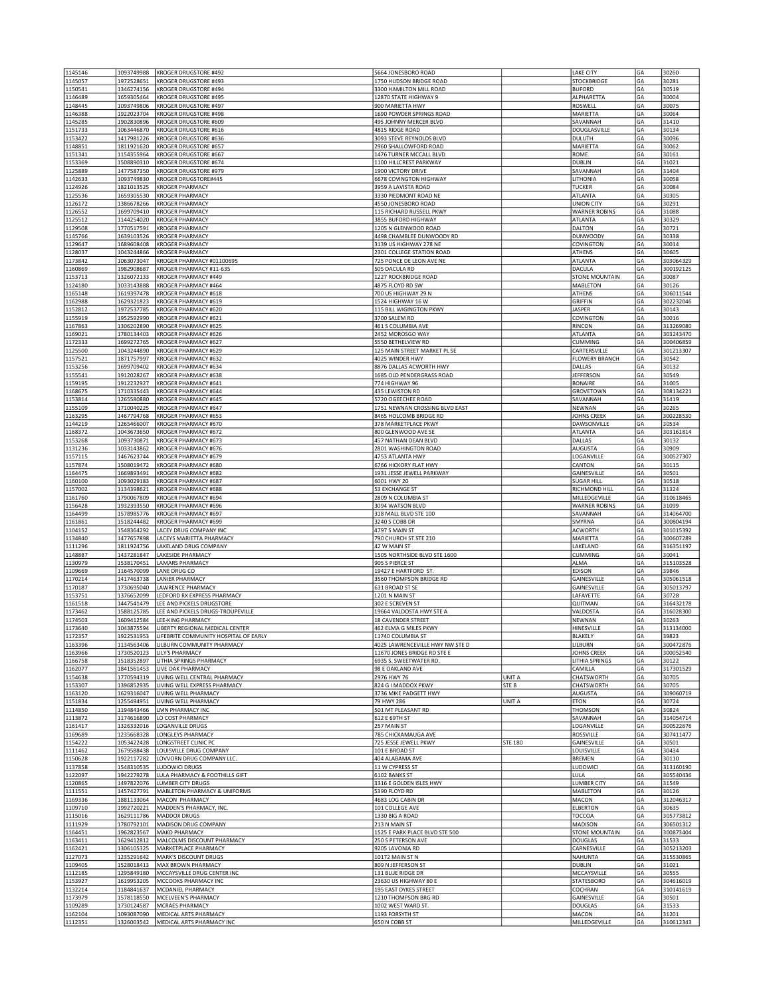| 1145146            | 1093749988               | <b>KROGER DRUGSTORE #492</b>                                 | 5664 JONESBORO ROAD                                  |                            | <b>LAKE CITY</b>                | GA        | 30260              |
|--------------------|--------------------------|--------------------------------------------------------------|------------------------------------------------------|----------------------------|---------------------------------|-----------|--------------------|
| 1145057            | 1972528651               | KROGER DRUGSTORE #493                                        | 1750 HUDSON BRIDGE ROAD                              |                            | <b>STOCKBRIDGE</b>              | GA        | 30281              |
| 1150541            | 1346274156               | KROGER DRUGSTORE #494                                        | 3300 HAMILTON MILL ROAD                              |                            | <b>BUFORD</b>                   | GA        | 30519              |
| 1146489            | 1659305464               | KROGER DRUGSTORE #495                                        | 12870 STATE HIGHWAY 9                                |                            | ALPHARETTA                      | GA        | 30004              |
| 1148445            | 1093749806               | KROGER DRUGSTORE #497                                        | 900 MARIETTA HWY                                     |                            | ROSWELL                         | GA        | 30075              |
| 1146388            | 1922023704               | KROGER DRUGSTORE #498                                        | 1690 POWDER SPRINGS ROAD                             |                            | MARIETTA                        | GA        | 30064              |
| 1145285            | 1902830896               | KROGER DRUGSTORE #609                                        | 495 JOHNNY MERCER BLVD                               |                            | SAVANNAH                        | GA        | 31410              |
| 1151733            | 1063446870               | KROGER DRUGSTORE #616                                        | 4815 RIDGE ROAD                                      |                            | DOUGLASVILLE                    | GA        | 30134              |
| 1153422            | 1417981226               | KROGER DRUGSTORE #636<br>KROGER DRUGSTORE #657               | 3093 STEVE REYNOLDS BLVD<br>2960 SHALLOWFORD ROAD    |                            | <b>DULUTH</b><br>MARIETTA       | GA        | 30096              |
| 1148851<br>1151341 | 1811921620<br>1154355964 | KROGER DRUGSTORE #667                                        | 1476 TURNER MCCALL BLVD                              |                            | ROME                            | GA<br>GA  | 30062<br>30161     |
| 1153369            | 1508890310               | KROGER DRUGSTORE #674                                        | 1100 HILLCREST PARKWAY                               |                            | <b>DUBLIN</b>                   | GA        | 31021              |
| 1125889            | 1477587350               | KROGER DRUGSTORE #979                                        | 1900 VICTORY DRIVE                                   |                            | SAVANNAH                        | GA        | 31404              |
| 1142633            | 1093749830               | KROGER DRUGSTORE#445                                         | 6678 COVINGTON HIGHWAY                               |                            | LITHONIA                        | GA        | 30058              |
| 1124926            | 1821013525               | <b>KROGER PHARMACY</b>                                       | 3959 A LAVISTA ROAD                                  |                            | <b>TUCKER</b>                   | GA        | 30084              |
| 1125536            | 1659305530               | <b>KROGER PHARMACY</b>                                       | 3330 PIEDMONT ROAD NE                                |                            | ATLANTA                         | GA        | 30305              |
| 1126172            | 1386678266               | <b>KROGER PHARMACY</b>                                       | 4550 JONESBORO ROAD                                  |                            | <b>UNION CITY</b>               | GA        | 30291              |
| 1126552            | 1699709410               | <b>KROGER PHARMACY</b>                                       | 115 RICHARD RUSSELL PKWY                             |                            | <b>WARNER ROBINS</b>            | GA        | 31088              |
| 1125512            | 1144254020               | <b>KROGER PHARMACY</b>                                       | 3855 BUFORD HIGHWAY                                  |                            | ATLANTA                         | GA        | 30329              |
| 1129508            | 1770517591               | <b>KROGER PHARMACY</b>                                       | 1205 N GLENWOOD ROAD                                 |                            | <b>DALTON</b>                   | GA        | 30721              |
| 1145766            | 1639103526               | <b>KROGER PHARMACY</b>                                       | 4498 CHAMBLEE DUNWOODY RD                            |                            | <b>DUNWOODY</b>                 | GA        | 30338              |
| 1129647            | 1689608408               | <b>KROGER PHARMACY</b>                                       | 3139 US HIGHWAY 278 NE                               |                            | COVINGTON                       | GA        | 30014              |
| 1128037            | 1043244866               | <b>KROGER PHARMACY</b>                                       | 2301 COLLEGE STATION ROAD                            |                            | ATHENS                          | GA        | 30605              |
| 1173842            | 1063073047               | KROGER PHARMACY #01100695                                    | 725 PONCE DE LEON AVE NE                             |                            | ATLANTA                         | GA        | 303064329          |
| 1160869<br>1153713 | 1982908687<br>1326072133 | KROGER PHARMACY #11-635<br>KROGER PHARMACY #449              | 505 DACULA RD<br>1227 ROCKBRIDGE ROAD                |                            | DACULA<br>STONE MOUNTAIN        | GA<br>GA  | 300192125<br>30087 |
| 1124180            | 1033143888               | KROGER PHARMACY #464                                         | 4875 FLOYD RD SW                                     |                            | MABLETON                        | GA        | 30126              |
| 1165148            | 1619397478               | KROGER PHARMACY #618                                         | 700 US HIGHWAY 29 N                                  |                            | ATHENS                          | GA        | 306011544          |
| 1162988            | 1629321823               | KROGER PHARMACY #619                                         | 1524 HIGHWAY 16 W                                    |                            | GRIFFIN                         | GA        | 302232046          |
| 1152812            | 1972537785               | KROGER PHARMACY #620                                         | 115 BILL WIGINGTON PKWY                              |                            | JASPER                          | GA        | 30143              |
| 1155919            | 1952592990               | KROGER PHARMACY #621                                         | 3700 SALEM RD                                        |                            | COVINGTON                       | GA        | 30016              |
| 1167863            | 1306202890               | KROGER PHARMACY #625                                         | 461 S COLUMBIA AVE                                   |                            | <b>RINCON</b>                   | GA        | 313269080          |
| 1169021            | 1780134403               | KROGER PHARMACY #626                                         | 2452 MOROSGO WAY                                     |                            | ATLANTA                         | GA        | 303243470          |
| 1172333            | 1699272765               | KROGER PHARMACY #627                                         | 5550 BETHELVIEW RD                                   |                            | CUMMING                         | GA        | 300406859          |
| 1125500            | 1043244890               | KROGER PHARMACY #629                                         | 125 MAIN STREET MARKET PL SE                         |                            | CARTERSVILLE                    | GA        | 301213307          |
| 1157521            | 1871757997               | KROGER PHARMACY #632                                         | 4025 WINDER HWY                                      |                            | <b>FLOWERY BRANCH</b>           | GA        | 30542              |
| 1153256            | 1699709402               | KROGER PHARMACY #634                                         | 8876 DALLAS ACWORTH HWY                              |                            | DALLAS                          | GA        | 30132              |
| 1155541            | 1912028267               | KROGER PHARMACY #638                                         | 1685 OLD PENDERGRASS ROAD                            |                            | <b>JEFFERSON</b>                | GA        | 30549              |
| 1159195            | 1912232927               | KROGER PHARMACY #641                                         | 774 HIGHWAY 96                                       |                            | <b>BONAIRE</b>                  | GA        | 31005              |
| 1168675            | 1710335443               | KROGER PHARMACY #644                                         | 435 LEWISTON RD                                      |                            | <b>GROVETOWN</b>                | GA        | 308134221          |
| 1153814            | 1265580880<br>1710040225 | KROGER PHARMACY #645<br>KROGER PHARMACY #647                 | 5720 OGEECHEE ROAD<br>1751 NEWNAN CROSSING BLVD EAST |                            | SAVANNAH<br>NEWNAN              | GA<br>GA  | 31419<br>30265     |
| 1155109<br>1163295 | 1467794768               | KROGER PHARMACY #653                                         | 8465 HOLCOMB BRIDGE RD                               |                            | JOHNS CREEK                     | GA        | 300228530          |
| 1144219            | 1265466007               | KROGER PHARMACY #670                                         | 378 MARKETPLACE PKWY                                 |                            | DAWSONVILLE                     | GA        | 30534              |
| 1168372            | 1043673650               | KROGER PHARMACY #672                                         | 800 GLENWOOD AVE SE                                  |                            | ATLANTA                         | GA        | 303161814          |
| 1153268            | 1093730871               | KROGER PHARMACY #673                                         | 457 NATHAN DEAN BLVD                                 |                            | DALLAS                          | GA        | 30132              |
| 1131236            | 1033143862               | KROGER PHARMACY #676                                         | 2801 WASHINGTON ROAD                                 |                            | <b>AUGUSTA</b>                  | GA        | 30909              |
| 1157115            | 1467623744               | KROGER PHARMACY #679                                         | 4753 ATLANTA HWY                                     |                            | LOGANVILLE                      | GA        | 300527307          |
| 1157874            | 1508019472               | KROGER PHARMACY #680                                         | 6766 HICKORY FLAT HWY                                |                            | CANTON                          | GA        | 30115              |
| 1164475            | 1669893491               | KROGER PHARMACY #682                                         | 1931 JESSE JEWELL PARKWAY                            |                            | GAINESVILLE                     | GA        | 30501              |
| 1160100            | 1093029183               | KROGER PHARMACY #687                                         | 6001 HWY 20                                          |                            | <b>SUGAR HILL</b>               | GA        | 30518              |
| 1157002            | 1134398621               | KROGER PHARMACY #688                                         | 53 EXCHANGE ST                                       |                            | RICHMOND HILL                   | GA        | 31324              |
|                    |                          |                                                              |                                                      |                            |                                 |           |                    |
| 1161760            | 1790067809               | KROGER PHARMACY #694                                         | 2809 N COLUMBIA ST                                   |                            | MILLEDGEVILLE                   | GA        | 310618465          |
| 1156428            | 1932393550               | KROGER PHARMACY #696                                         | 3094 WATSON BLVD                                     |                            | <b>WARNER ROBINS</b>            | GA        | 31099              |
| 1164499            | 1578985776               | KROGER PHARMACY #697                                         | 318 MALL BLVD STE 100                                |                            | SAVANNAH                        | GA        | 314064700          |
| 1161861            | 1518244482               | KROGER PHARMACY #699                                         | 3240 S COBB DR                                       |                            | SMYRNA                          | GA        | 300804194          |
| 1104152            | 1548364292               | LACEY DRUG COMPANY INC                                       | 4797 S MAIN ST                                       |                            | <b>ACWORTH</b>                  | GA        | 301015392          |
| 1134840            | 1477657898               | LACEYS MARIETTA PHARMACY                                     | 790 CHURCH ST STE 210                                |                            | MARIETTA                        | GA        | 300607289          |
| 1111296            | 1811924756               | LAKELAND DRUG COMPANY                                        | 42 W MAIN ST                                         |                            | LAKELAND                        | GA        | 316351197          |
| 1148887            | 1437281847               | LAKESIDE PHARMACY                                            | 1505 NORTHSIDE BLVD STE 1600                         |                            | CUMMING                         | GA        | 30041              |
| 1130979            | 1538170451               | LAMARS PHARMACY                                              | 905 S PIERCE ST                                      |                            | ALMA                            | GA        | 315103528          |
| 1109669<br>1170214 | 1164570099<br>1417463738 | LANE DRUG CO<br><b>LANIER PHARMACY</b>                       | 19427 E HARTFORD ST<br>3560 THOMPSON BRIDGE RD       |                            | <b>EDISON</b><br>GAINESVILLE    | GA<br> GA | 39846<br>305061518 |
| 1170187            | 1730695040               | LAWRENCE PHARMACY                                            | 631 BROAD ST SE                                      |                            | GAINESVILLE                     | GA        | 305013797          |
| 1153751            | 1376652099               | LEDFORD RX EXPRESS PHARMACY                                  | 1201 N MAIN ST                                       |                            | LAFAYETTE                       | GA        | 30728              |
| 1161518            | 1447541479               | LEE AND PICKELS DRUGSTORE                                    | 302 E SCREVEN ST                                     |                            | QUITMAN                         | GA        | 316432178          |
| 1173462            | 1588125785               | LEE AND PICKELS DRUGS-TROUPEVILLE                            | 19664 VALDOSTA HWY STE A                             |                            | VALDOSTA                        | GA        | 316028300          |
| 1174503            | 1609412584               | LEE-KING PHARMACY                                            | <b>18 CAVENDER STREET</b>                            |                            | NEWNAN                          | GA        | 30263              |
| 1173640            | 1043875594               | LIBERTY REGIONAL MEDICAL CENTER                              | 462 ELMA G MILES PKWY                                |                            | HINESVILLE                      | GA        | 313134000          |
| 1172357            | 1922531953               | LIFEBRITE COMMUNITY HOSPITAL OF EARLY                        | 11740 COLUMBIA ST                                    |                            | <b>BLAKELY</b>                  | GA        | 39823              |
| 1163396            | 1134563406               | LILBURN COMMUNITY PHARMACY                                   | 4025 LAWRENCEVILLE HWY NW STE D                      |                            | LILBURN                         | GA        | 300472876          |
| 1163966            | 1730520123               | LILY'S PHARMACY                                              | 11670 JONES BRIDGE RD STE E                          |                            | <b>JOHNS CREEK</b>              | GA        | 300052540          |
| 1166758            | 1518352897               | LITHIA SPRINGS PHARMACY<br>LIVE OAK PHARMACY                 | 6935 S. SWEETWATER RD.                               |                            | <b>LITHIA SPRINGS</b>           | GA        | 30122              |
| 1162077            | 1841561453               |                                                              | 98 E OAKLAND AVE                                     |                            | CAMILLA                         | GA        | 317301529          |
| 1154638<br>1153307 | 1770594319<br>1396852935 | LIVING WELL CENTRAL PHARMACY<br>LIVING WELL EXPRESS PHARMACY | 2976 HWY 76<br>824 G I MADDOX PKWY                   | UNIT A<br>STE <sub>B</sub> | CHATSWORTH<br><b>CHATSWORTH</b> | GA<br>GA  | 30705<br>30705     |
| 1163120            | 1629316047               | LIVING WELL PHARMACY                                         | 3736 MIKE PADGETT HWY                                |                            | <b>AUGUSTA</b>                  | GA        | 309060719          |
| 1151834            | 1255494951               | LIVING WELL PHARMACY                                         | 79 HWY 286                                           | UNIT A                     | <b>ETON</b>                     | GA        | 30724              |
| 1114850            | 1194843466               | <b>LMN PHARMACY INC</b>                                      | 501 MT PLEASANT RD                                   |                            | THOMSON                         | GA        | 30824              |
| 1113872            | 1174616890               | LO COST PHARMACY                                             | 612 E 69TH ST                                        |                            | SAVANNAH                        | GA        | 314054714          |
| 1161417            | 1326332016               | LOGANVILLE DRUGS                                             | 257 MAIN ST                                          |                            | LOGANVILLE                      | GA        | 300522676          |
| 1169689            | 1235668328               | LONGLEYS PHARMACY                                            | 785 CHICKAMAUGA AVE                                  |                            | <b>ROSSVILLE</b>                | GA        | 307411477          |
| 1154222            | 1053422428               | LONGSTREET CLINIC PC                                         | 725 JESSE JEWELL PKWY                                | STE 180                    | GAINESVILLE                     | GA        | 30501              |
| 1111462            | 1679588438               | LOUISVILLE DRUG COMPANY                                      | 101 E BROAD ST                                       |                            | LOUISVILLE                      | GA        | 30434              |
| 1150628            | 1922117282               | LOVVORN DRUG COMPANY LLC.                                    | 404 ALABAMA AVE                                      |                            | <b>BREMEN</b>                   | GA        | 30110              |
| 1137858            | 1548310535               | LUDOWICI DRUGS                                               | 11 W CYPRESS ST                                      |                            | LUDOWICI                        | GA        | 313160190          |
| 1122097            | 1942279278               | LULA PHARMACY & FOOTHILLS GIFT                               | 6102 BANKS ST                                        |                            | LULA<br><b>LUMBER CITY</b>      | GA        | 305540436          |
| 1120865            | 1497822076               | LUMBER CITY DRUGS                                            | 3316 E GOLDEN ISLES HWY<br>5390 FLOYD RD             |                            |                                 | GA        | 31549              |
| 1111551<br>1169336 | 1457427791<br>1881133064 | MABLETON PHARMACY & UNIFORMS<br>MACON PHARMACY               | 4683 LOG CABIN DR                                    |                            | <b>MABLETON</b><br>MACON        | GA<br>GA  | 30126<br>312046317 |
| 1109710            | 1992720221               | MADDEN'S PHARMACY, INC.                                      | 101 COLLEGE AVE                                      |                            | <b>ELBERTON</b>                 | GA        | 30635              |
| 1115016            | 1629111786               | MADDOX DRUGS                                                 | 1330 BIG A ROAD                                      |                            | TOCCOA                          | GA        | 305773812          |
| 1111929            | 1780792101               | MADISON DRUG COMPANY                                         | 213 N MAIN ST                                        |                            | <b>MADISON</b>                  | GA        | 306501312          |
| 1164451            | 1962823567               | MAKO PHARMACY                                                | 1525 E PARK PLACE BLVD STE 500                       |                            | <b>STONE MOUNTAIN</b>           | GA        | 300873404          |
| 1163411            | 1629412812               | MALCOLMS DISCOUNT PHARMACY                                   | 250 S PETERSON AVE                                   |                            | <b>DOUGLAS</b>                  | GA        | 31533              |
| 1162421            | 1306105325               | MARKETPLACE PHARMACY                                         | 9205 LAVONIA RD                                      |                            | CARNESVILLE                     | GA        | 305213203          |
| 1127073            | 1235291642               | MARK'S DISCOUNT DRUGS                                        | 10172 MAIN ST N                                      |                            | NAHUNTA                         | GA        | 315530865          |
| 1109405            | 1528018413               | MAX BROWN PHARMACY                                           | 809 N JEFFERSON ST                                   |                            | <b>DUBLIN</b>                   | GA        | 31021              |
| 1112185            | 1295849180               | MCCAYSVILLE DRUG CENTER INC                                  | 131 BLUE RIDGE DR                                    |                            | MCCAYSVILLE                     | GA        | 30555              |
| 1153927            | 1619953205               | MCCOOKS PHARMACY INC                                         | 23630 US HIGHWAY 80 E                                |                            | <b>STATESBORO</b>               | GA        | 304616019          |
| 1132214            | 1184841637               | MCDANIEL PHARMACY                                            | 195 EAST DYKES STREET                                |                            | <b>COCHRAN</b>                  | GA        | 310141619          |
| 1173979            | 1578118550               | MCELVEEN'S PHARMACY                                          | 1210 THOMPSON BRG RD                                 |                            | GAINESVILLE                     | GA        | 30501              |
| 1109289<br>1162104 | 1730124587<br>1093087090 | MCRAES PHARMACY<br>MEDICAL ARTS PHARMACY                     | 1002 WEST WARD ST.<br>1193 FORSYTH ST                |                            | <b>DOUGLAS</b><br>MACON         | GA<br>GA  | 31533<br>31201     |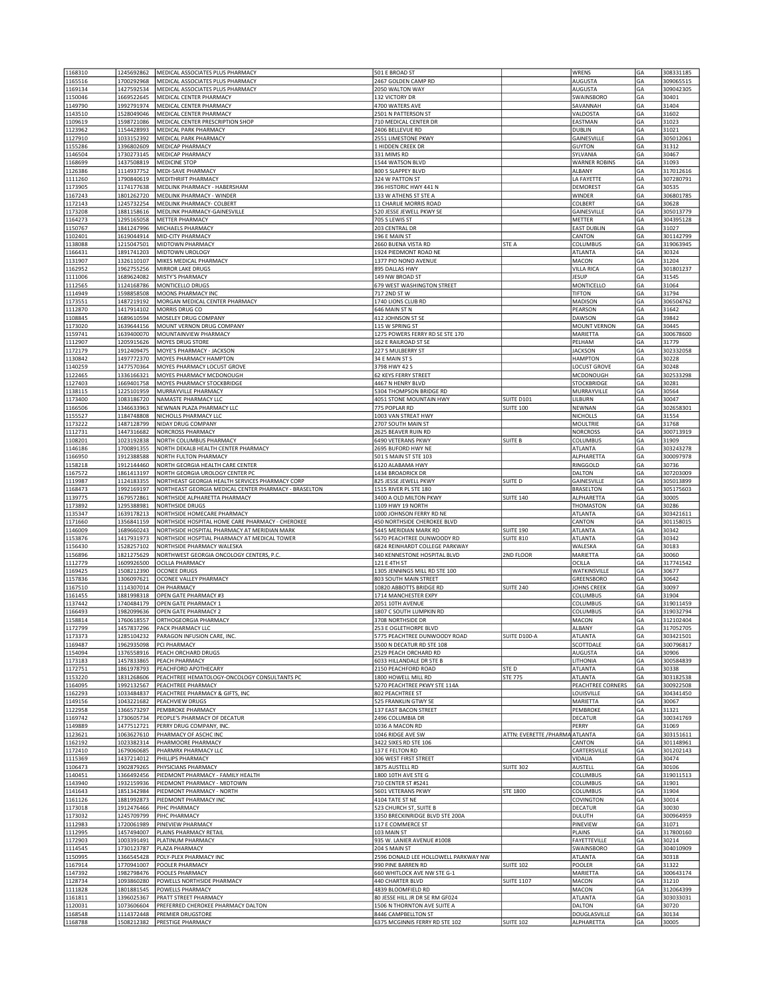| 1168310            |                          | 1245692862 MEDICAL ASSOCIATES PLUS PHARMACY                                                              | 501 E BROAD ST                                             |                                      | <b>WRENS</b>                         | GA        | 308331185              |
|--------------------|--------------------------|----------------------------------------------------------------------------------------------------------|------------------------------------------------------------|--------------------------------------|--------------------------------------|-----------|------------------------|
| 1165516            | 1700292968               | MEDICAL ASSOCIATES PLUS PHARMACY                                                                         | 2467 GOLDEN CAMP RD                                        |                                      | <b>AUGUSTA</b>                       | GA        | 309065515              |
| 1169134<br>1150046 | 1427592534<br>1669522645 | MEDICAL ASSOCIATES PLUS PHARMACY<br>MEDICAL CENTER PHARMACY                                              | 2050 WALTON WAY<br>132 VICTORY DR                          |                                      | AUGUSTA<br>SWAINSBORO                | GA<br>GA  | 309042305<br>30401     |
| 1149790            | 1992791974               | MEDICAL CENTER PHARMACY                                                                                  | 4700 WATERS AVE                                            |                                      | SAVANNAH                             | GA        | 31404                  |
| 1143510            | 1528049046               | MEDICAL CENTER PHARMACY                                                                                  | 2501 N PATTERSON ST                                        |                                      | VALDOSTA                             | GA        | 31602                  |
| 1109619            | 1598721086               | MEDICAL CENTER PRESCRIPTION SHOP                                                                         | 710 MEDICAL CENTER DR                                      |                                      | EASTMAN                              | GA        | 31023                  |
| 1123962            | 1154428993               | MEDICAL PARK PHARMACY<br>MEDICAL PARK PHARMACY                                                           | 2406 BELLEVUE RD                                           |                                      | <b>DUBLIN</b>                        | GA<br>GA  | 31021                  |
| 1127910<br>1155286 | 1033152392<br>1396802609 | MEDICAP PHARMACY                                                                                         | 2551 LIMESTONE PKWY<br>1 HIDDEN CREEK DR                   |                                      | GAINESVILLE<br><b>GUYTON</b>         | GA        | 305012061<br>31312     |
| 1146504            | 1730273145               | MEDICAP PHARMACY                                                                                         | 331 MIMS RD                                                |                                      | SYLVANIA                             | GA        | 30467                  |
| 1168699            | 1437508819               | <b>MEDICINE STOP</b>                                                                                     | 1544 WATSON BLVD                                           |                                      | <b>WARNER ROBINS</b>                 | GA        | 31093                  |
| 1126386            | 1114937752               | MEDI-SAVE PHARMACY                                                                                       | 800 S SLAPPEY BLVD                                         |                                      | ALBANY                               | GA        | 317012616              |
| 1111260<br>1173905 | 1790840619<br>1174177638 | MEDITHRIFT PHARMACY<br>MEDLINK PHARMACY - HABERSHAM                                                      | 324 W PATTON ST<br>396 HISTORIC HWY 441 N                  |                                      | LA FAYETTE<br><b>DEMOREST</b>        | GA<br>GA  | 307280791<br>30535     |
| 1167243            | 1801262720               | MEDLINK PHARMACY - WINDER                                                                                | 133 W ATHENS ST STE A                                      |                                      | WINDER                               | GA        | 306801785              |
| 1172143            | 1245732254               | MEDLINK PHARMACY- COLBERT                                                                                | 11 CHARLIE MORRIS ROAD                                     |                                      | COLBERT                              | GA        | 30628                  |
| 1173208            | 1881158616               | MEDLINK PHARMACY-GAINESVILLE                                                                             | 520 JESSE JEWELL PKWY SE                                   |                                      | GAINESVILLE                          | GA        | 305013779              |
| 1164273<br>1150767 | 1295165058<br>1841247996 | <b>METTER PHARMACY</b><br>MICHAELS PHARMACY                                                              | 705 S LEWIS ST<br>203 CENTRAL DR                           |                                      | METTER<br><b>EAST DUBLIN</b>         | GA<br> GA | 304395128<br>31027     |
| 1102401            | 1619044914               | MID-CITY PHARMACY                                                                                        | 196 E MAIN ST                                              |                                      | CANTON                               | GA        | 301142799              |
| 1138088            | 1215047501               | MIDTOWN PHARMACY                                                                                         | 2660 BUENA VISTA RD                                        | STE A                                | COLUMBUS                             | GA        | 319063945              |
| 1166431            | 1891741203               | MIDTOWN UROLOGY                                                                                          | 1924 PIEDMONT ROAD NE                                      |                                      | <b>ATLANTA</b>                       | GA        | 30324                  |
| 1131907<br>1162952 | 1326110107<br>1962755256 | MIKES MEDICAL PHARMACY<br>MIRROR LAKE DRUGS                                                              | 1377 PIO NONO AVENUE<br>895 DALLAS HWY                     |                                      | MACON<br><b>VILLA RICA</b>           | GA<br>GA  | 31204<br>301801237     |
| 1111006            | 1689624082               | MISTY'S PHARMACY                                                                                         | 149 NW BROAD ST                                            |                                      | JESUP                                | GA        | 31545                  |
| 1112565            | 1124168786               | MONTICELLO DRUGS                                                                                         | 679 WEST WASHINGTON STREET                                 |                                      | MONTICELLO                           | GA        | 31064                  |
| 1114949            | 1598858508               | MOONS PHARMACY INC                                                                                       | 717 2ND ST W                                               |                                      | <b>TIFTON</b>                        | GA        | 31794                  |
| 1173551            | 1487219192               | MORGAN MEDICAL CENTER PHARMACY                                                                           | 1740 LIONS CLUB RD                                         |                                      | <b>MADISON</b>                       | GA        | 306504762              |
| 1112870<br>1108845 | 1417914102<br>1689610594 | MORRIS DRUG CO<br>MOSELEY DRUG COMPANY                                                                   | 646 MAIN ST N<br>412 JOHNSON ST SE                         |                                      | PEARSON<br><b>DAWSON</b>             | GA<br>GA  | 31642<br>39842         |
| 1173020            | 1639644156               | MOUNT VERNON DRUG COMPANY                                                                                | 115 W SPRING ST                                            |                                      | <b>MOUNT VERNON</b>                  | GA        | 30445                  |
| 1159741            | 1639400070               | MOUNTAINVIEW PHARMACY                                                                                    | 1275 POWERS FERRY RD SE STE 170                            |                                      | MARIETTA                             | GA        | 300678600              |
| 1112907            | 1205915626               | MOYES DRUG STORE                                                                                         | 162 E RAILROAD ST SE                                       |                                      | PELHAM                               | GA        | 31779                  |
| 1172179<br>1130842 | 1912409475<br>1497772370 | MOYE'S PHARMACY - JACKSON<br>MOYES PHARMACY HAMPTON                                                      | 227 S MULBERRY ST<br>34 E MAIN ST S                        |                                      | <b>JACKSON</b><br><b>HAMPTON</b>     | GA<br>GA  | 302332058<br>30228     |
| 1140259            | 1477570364               | MOYES PHARMACY LOCUST GROVE                                                                              | 3798 HWY 42 S                                              |                                      | <b>LOCUST GROVE</b>                  | GA        | 30248                  |
| 1122465            | 1336166321               | MOYES PHARMACY MCDONOUGH                                                                                 | 62 KEYS FERRY STREET                                       |                                      | MCDONOUGH                            | GA        | 302533298              |
| 1127403            | 1669401758               | MOYES PHARMACY STOCKBRIDGE                                                                               | 4467 N HENRY BLVD                                          |                                      | <b>STOCKBRIDGE</b>                   | GA        | 30281                  |
| 1138115<br>1173400 | 1225101959<br>1083186720 | MURRAYVILLE PHARMACY<br>NAMASTE PHARMACY LLC                                                             | 5304 THOMPSON BRIDGE RD<br>4051 STONE MOUNTAIN HWY         | SUITE D101                           | MURRAYVILLE<br>LILBURN               | GA<br>GA  | 30564<br>30047         |
| 1166506            | 1346633963               | NEWNAN PLAZA PHARMACY LLC                                                                                | 775 POPLAR RD                                              | <b>SUITE 100</b>                     | <b>NEWNAN</b>                        | GA        | 302658301              |
| 1155527            | 1184748808               | NICHOLLS PHARMACY LLC                                                                                    | 1003 VAN STREAT HWY                                        |                                      | <b>NICHOLLS</b>                      | GA        | 31554                  |
| 1173222            | 1487128799               | NIDAY DRUG COMPANY                                                                                       | 2707 SOUTH MAIN ST                                         |                                      | <b>MOULTRIE</b>                      | GA        | 31768                  |
| 1112731<br>1108201 | 1447316682<br>1023192838 | NORCROSS PHARMACY<br>NORTH COLUMBUS PHARMACY                                                             | 2625 BEAVER RUIN RD<br>6490 VETERANS PKWY                  | <b>SUITE B</b>                       | <b>NORCROSS</b><br>COLUMBUS          | GA<br>GA  | 300713919<br>31909     |
| 1146186            | 1700891355               | NORTH DEKALB HEALTH CENTER PHARMACY                                                                      | 2695 BUFORD HWY NE                                         |                                      | <b>ATLANTA</b>                       | GA        | 303243278              |
| 1166950            | 1912388588               | NORTH FULTON PHARMACY                                                                                    | 501 S MAIN ST STE 103                                      |                                      | ALPHARETTA                           | GA        | 300097978              |
| 1158218            | 1912144460               | NORTH GEORGIA HEALTH CARE CENTER                                                                         | 6120 ALABAMA HWY                                           |                                      | RINGGOLD                             | GA        | 30736                  |
| 1167572            | 1861413197               | NORTH GEORGIA UROLOGY CENTER PC                                                                          | 1434 BROADRICK DR                                          |                                      | DALTON                               | GA        | 307203009              |
| 1119987<br>1168473 | 1124183355<br>1992169197 | NORTHEAST GEORGIA HEALTH SERVICES PHARMACY CORP<br>NORTHEAST GEORGIA MEDICAL CENTER PHARMACY - BRASELTON | 825 JESSE JEWELL PKWY<br>1515 RIVER PL STE 180             | SUITE D                              | GAINESVILLE<br><b>BRASELTON</b>      | GA<br>GA  | 305013899<br>305175603 |
|                    |                          |                                                                                                          |                                                            |                                      |                                      |           |                        |
| 1139775            | 1679572861               | NORTHSIDE ALPHARETTA PHARMACY                                                                            | 3400 A OLD MILTON PKWY                                     | <b>SUITE 140</b>                     | ALPHARETTA                           | GA        | 30005                  |
| 1173892            | 1295388981               | NORTHSIDE DRUGS                                                                                          | 1109 HWY 19 NORTH                                          |                                      | THOMASTON                            | GA        | 30286                  |
| 1135347            | 1639178213               | NORTHSIDE HOMECARE PHARMACY                                                                              | 1000 JOHNSON FERRY RD NE                                   |                                      | ATLANTA                              | GA        | 303421611              |
| 1171660            | 1356841159               | NORTHSIDE HOSPITAL HOME CARE PHARMACY - CHEROKEE                                                         | 450 NORTHSIDE CHEROKEE BLVD                                |                                      | CANTON                               | GA        | 301158015              |
| 1146009<br>1153876 | 1689660243<br>1417931973 | NORTHSIDE HOSPITAL PHARMACY AT MERIDIAN MARK<br>NORTHSIDE HOSPTIAL PHARMACY AT MEDICAL TOWER             | 5445 MERIDIAN MARK RD<br>5670 PEACHTREE DUNWOODY RD        | <b>SUITE 190</b><br><b>SUITE 810</b> | ATLANTA<br><b>ATLANTA</b>            | GA<br>GA  | 30342<br>30342         |
| 1156430            | 1528257102               | NORTHSIDE PHARMACY WALESKA                                                                               | 6824 REINHARDT COLLEGE PARKWAY                             |                                      | WALESKA                              | GA        | 30183                  |
| 1156896            | 1821275629               | NORTHWEST GEORGIA ONCOLOGY CENTERS, P.C.                                                                 | 340 KENNESTONE HOSPITAL BLVD                               | 2ND FLOOR                            | MARIETTA                             | GA        | 30060                  |
| 1112779            | 1609926500               | OCILLA PHARMACY                                                                                          | 121 E 4TH ST                                               |                                      | OCILLA<br>WATKINSVILLE               | GA<br>GA  | 317741542<br>30677     |
| 1169425<br>1157836 | 1508212390<br>1306097621 | OCONEE DRUGS<br>OCONEE VALLEY PHARMACY                                                                   | 1305 JENNINGS MILL RD STE 100<br>803 SOUTH MAIN STREET     |                                      | GREENSBORO                           | GA        | 30642                  |
| 1167510            | 1114307014               | OH PHARMACY                                                                                              | 10820 ABBOTTS BRIDGE RD                                    | <b>SUITE 240</b>                     | JOHNS CREEK                          | GA        | 30097                  |
| 1161455            | 1881998318               | OPEN GATE PHARMACY #3                                                                                    | 1714 MANCHESTER EXPY                                       |                                      | <b>COLUMBUS</b>                      | GA        | 31904                  |
| 1137442            | 1740484179               | OPEN GATE PHARMACY 1                                                                                     | 2051 10TH AVENUE                                           |                                      | COLUMBUS                             | GA        | 319011459              |
| 1166493<br>1158814 | 1982099636<br>1760618557 | OPEN GATE PHARMACY 2<br>ORTHOGEORGIA PHARMACY                                                            | 1807 C SOUTH LUMPKIN RD<br>3708 NORTHSIDE DR               |                                      | COLUMBUS<br>MACON                    | GA<br>GA  | 319032794<br>312102404 |
| 1172799            | 1457837296               | PACK PHARMACY LLC                                                                                        | 253 E OGLETHORPE BLVD                                      |                                      | ALBANY                               | GA        | 317052705              |
| 1173373            |                          | 1285104232 PARAGON INFUSION CARE. INC                                                                    | 5775 PEACHTREE DUNWOODY ROAD                               | SUITE D100-A                         | ATLANTA                              | GA        | 303421501              |
| 1169487            | 1962935098               | PCI PHARMACY                                                                                             | 3500 N DECATUR RD STE 108                                  |                                      | SCOTTDALE                            | GA        | 300796817              |
| 1154094<br>1173183 | 1376558916<br>1457833865 | PEACH ORCHARD DRUGS<br>PEACH PHARMACY                                                                    | 2529 PEACH ORCHARD RD<br>6033 HILLANDALE DR STE B          |                                      | AUGUSTA<br>LITHONIA                  | GA<br>GA  | 30906<br>300584839     |
| 1172751            | 1861978793               | PEACHFORD APOTHECARY                                                                                     | 2150 PEACHFORD ROAD                                        | STED                                 | <b>ATLANTA</b>                       | GA        | 30338                  |
| 1153220            | 1831268606               | PEACHTREE HEMATOLOGY-ONCOLOGY CONSULTANTS PC                                                             | 1800 HOWELL MILL RD                                        | <b>STE 775</b>                       | <b>ATLANTA</b>                       | GA        | 303182538              |
| 1164095            | 1992132567               | PEACHTREE PHARMACY<br>PEACHTREE PHARMACY & GIFTS, INC                                                    | 5270 PEACHTREE PKWY STE 114A<br>802 PEACHTREE ST           |                                      | PEACHTREE CORNERS                    | GA        | 300922508<br>304341450 |
| 1162293<br>1149156 | 1033484837<br>1043221682 | PEACHVIEW DRUGS                                                                                          | 525 FRANKLIN GTWY SE                                       |                                      | LOUISVILLE<br>MARIETTA               | GA<br>GA  | 30067                  |
| 1122958            | 1366573297               | PEMBROKE PHARMACY                                                                                        | 137 EAST BACON STREET                                      |                                      | PEMBROKE                             | GA        | 31321                  |
| 1169742            | 1730605734               | PEOPLE'S PHARMACY OF DECATUR                                                                             | 2496 COLUMBIA DR                                           |                                      | DECATUR                              | GA        | 300341769              |
| 1149889            | 1477512721               | PERRY DRUG COMPANY, INC.                                                                                 | 1036 A MACON RD                                            |                                      | PERRY                                | GA        | 31069                  |
| 1123621<br>1162192 | 1063627610<br>1023382314 | PHARMACY OF ASCHC INC<br>PHARMOORE PHARMACY                                                              | 1046 RIDGE AVE SW<br>3422 SIXES RD STE 106                 | ATTN: EVERETTE / PHARMA ATLANTA      | CANTON                               | GA<br> GA | 303151611<br>301148961 |
| 1172410            | 1679060685               | PHARMRX PHARMACY LLC                                                                                     | 137 E FELTON RD                                            |                                      | CARTERSVILLE                         | GA        | 301202143              |
| 1115369            | 1437214012               | PHILLIPS PHARMACY                                                                                        | 306 WEST FIRST STREET                                      |                                      | VIDALIA                              | GA        | 30474                  |
| 1106473            | 1902879265               | PHYSICIANS PHARMACY                                                                                      | 3875 AUSTELL RD                                            | <b>SUITE 302</b>                     | AUSTELL                              | GA        | 30106                  |
| 1140451<br>1143940 | 1366492456<br>1932159936 | PIEDMONT PHARMACY - FAMILY HEALTH<br>PIEDMONT PHARMACY - MIDTOWN                                         | 1800 10TH AVE STE G<br>710 CENTER ST #S241                 |                                      | COLUMBUS<br><b>COLUMBUS</b>          | GA<br>GA  | 319011513<br>31901     |
| 1141643            | 1851342984               | PIEDMONT PHARMACY - NORTH                                                                                | 5601 VETERANS PKWY                                         | <b>STE 1800</b>                      | COLUMBUS                             | GA        | 31904                  |
| 1161126            | 1881992873               | PIEDMONT PHARMACY INC                                                                                    | 4104 TATE ST NE                                            |                                      | COVINGTON                            | GA        | 30014                  |
| 1173018            | 1912476466               | PIHC PHARMACY                                                                                            | 523 CHURCH ST, SUITE B                                     |                                      | DECATUR                              | GA        | 30030                  |
| 1173032<br>1112983 | 1245709799<br>1720061989 | PIHC PHARMACY<br>PINEVIEW PHARMACY                                                                       | 3350 BRECKINRIDGE BLVD STE 200A<br>117 E COMMERCE ST       |                                      | DULUTH<br>PINEVIEW                   | GA<br>GA  | 300964959<br>31071     |
| 1112995            | 1457494007               | PLAINS PHARMACY RETAIL                                                                                   | 103 MAIN ST                                                |                                      | PLAINS                               | GA        | 317800160              |
| 1172903            | 1003391491               | PLATINUM PHARMACY                                                                                        | 935 W. LANIER AVENUE #1008                                 |                                      | FAYETTEVILLE                         | GA        | 30214                  |
| 1114545            | 1730123787               | PLAZA PHARMACY                                                                                           | 204 S MAIN ST                                              |                                      | <b>SWAINSBORO</b>                    | GA        | 304010909              |
| 1150995<br>1167914 | 1366545428<br>1770941007 | POLY-PLEX PHARMACY INC<br>POOLER PHARMACY                                                                | 2596 DONALD LEE HOLLOWELL PARKWAY NW<br>990 PINE BARREN RD | <b>SUITE 102</b>                     | <b>ATLANTA</b><br>POOLER             | GA<br>GA  | 30318<br>31322         |
| 1147392            | 1982798476               | POOLES PHARMACY                                                                                          | 660 WHITLOCK AVE NW STE G-1                                |                                      | MARIETTA                             | GA        | 300643174              |
| 1128734            | 1093860280               | POWELLS NORTHSIDE PHARMACY                                                                               | 440 CHARTER BLVD                                           | <b>SUITE 1107</b>                    | MACON                                | GA        | 31210                  |
| 1111828            | 1801881545               | POWELLS PHARMACY                                                                                         | 4839 BLOOMFIELD RD                                         |                                      | MACON                                | GA        | 312064399              |
| 1161811            | 1396025367               | PRATT STREET PHARMACY                                                                                    | 80 JESSE HILL JR DR SE RM GF024                            |                                      | <b>ATLANTA</b>                       | GA        | 303033031              |
| 1120031<br>1168548 | 1073606604<br>1114372448 | PREFERRED CHEROKEE PHARMACY DALTON<br>PREMIER DRUGSTORE                                                  | 1506 N THORNTON AVE SUITE A<br>8446 CAMPBELLTON ST         |                                      | <b>DALTON</b><br><b>DOUGLASVILLE</b> | GA<br>GA  | 30720<br>30134         |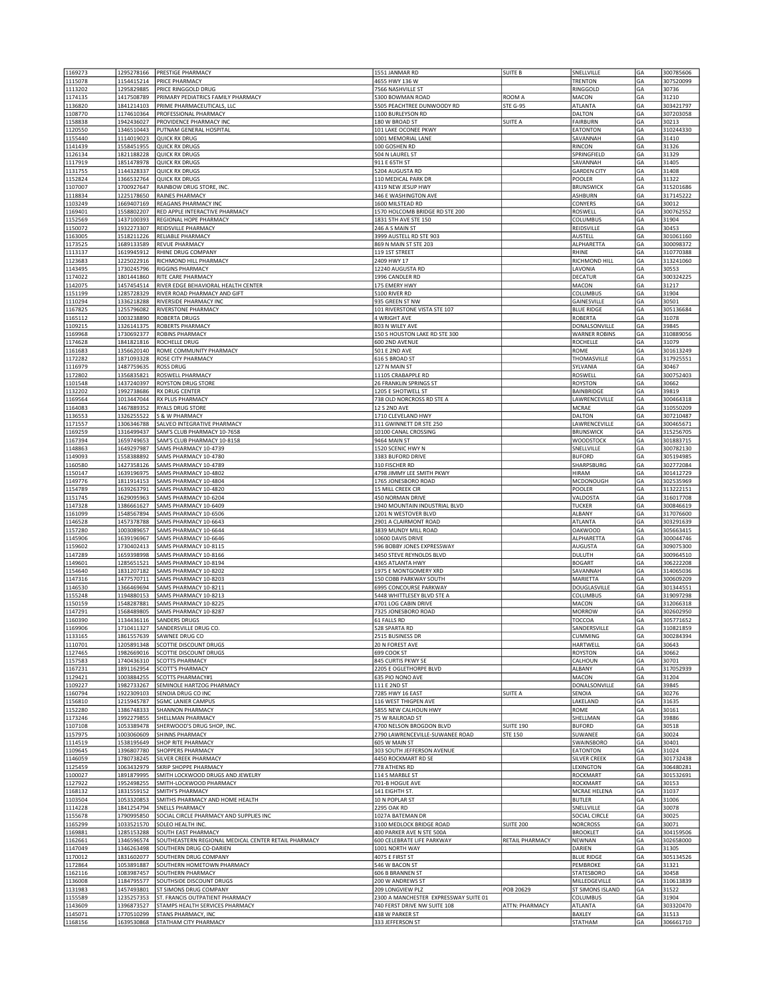| 1169273            | 1295278166               | <b>PRESTIGE PHARMACY</b>                                                        | 1551 JANMAR RD                                                        | <b>SUITE B</b>   | SNELLVILLE                             | GА       | 300785606              |
|--------------------|--------------------------|---------------------------------------------------------------------------------|-----------------------------------------------------------------------|------------------|----------------------------------------|----------|------------------------|
| 1115078<br>1113202 | 1154415214<br>1295829885 | PRICE PHARMACY<br>PRICE RINGGOLD DRUG                                           | 4655 HWY 136 W<br>7566 NASHVILLE ST                                   |                  | <b>TRENTON</b><br>RINGGOLD             | GA<br>GA | 307520099<br>30736     |
| 1174135            | 1417508789               | PRIMARY PEDIATRICS FAMILY PHARMACY                                              | 5300 BOWMAN ROAD                                                      | ROOM A           | MACON                                  | GA       | 31210                  |
| 1136820<br>1108770 | 1841214103               | PRIME PHARMACEUTICALS, LLC<br>PROFESSIONAL PHARMACY                             | 5505 PEACHTREE DUNWOODY RD                                            | <b>STE G-95</b>  | <b>ATLANTA</b><br>DALTON               | GA       | 303421797              |
| 1158838            | 1174610364<br>1942436027 | PROVIDENCE PHARMACY INC                                                         | 1100 BURLEYSON RD<br>180 W BROAD ST                                   | <b>SUITE A</b>   | <b>FAIRBURN</b>                        | GA<br>GA | 307203058<br>30213     |
| 1120550            | 1346510443               | PUTNAM GENERAL HOSPITAL                                                         | 101 LAKE OCONEE PKWY                                                  |                  | <b>EATONTON</b>                        | GA       | 310244330              |
| 1155440<br>1141439 | 1114019023<br>1558451955 | <b>QUICK RX DRUG</b><br><b>QUICK RX DRUGS</b>                                   | 1001 MEMORIAL LANE<br>100 GOSHEN RD                                   |                  | SAVANNAH<br>RINCON                     | GA<br>GА | 31410<br>31326         |
| 1126134            | 1821188228               | <b>QUICK RX DRUGS</b>                                                           | 504 N LAUREL ST                                                       |                  | SPRINGFIELD                            | GA       | 31329                  |
| 1117919            | 1851478978               | <b>QUICK RX DRUGS</b>                                                           | 911 E 65TH ST                                                         |                  | SAVANNAH                               | GA       | 31405                  |
| 1131755<br>1152824 | 1144328337<br>1366532764 | <b>QUICK RX DRUGS</b><br><b>QUICK RX DRUGS</b>                                  | 5204 AUGUSTA RD<br>110 MEDICAL PARK DR                                |                  | <b>GARDEN CITY</b><br>POOLER           | GА<br>GA | 31408<br>31322         |
| 1107007            | 1700927647               | RAINBOW DRUG STORE, INC                                                         | 4319 NEW JESUP HWY                                                    |                  | <b>BRUNSWICK</b>                       | GA       | 315201686              |
| 1118834<br>1103249 | 1225178650<br>1669407169 | RAINES PHARMACY<br>REAGANS PHARMACY INC                                         | 346 E WASHINGTON AVE<br>1600 MILSTEAD RD                              |                  | <b>ASHBURN</b><br>CONYERS              | GA<br>GA | 317145222<br>30012     |
| 1169401            | 1558802207               | RED APPLE INTERACTIVE PHARMACY                                                  | 1570 HOLCOMB BRIDGE RD STE 200                                        |                  | ROSWELL                                | GA       | 300762552              |
| 1152569            | 1437100393               | REGIONAL HOPE PHARMACY                                                          | 1831 5TH AVE STE 150                                                  |                  | COLUMBUS                               | GA       | 31904                  |
| 1150072<br>1163005 | 1932273307<br>1518211226 | REIDSVILLE PHARMACY<br>RELIABLE PHARMACY                                        | 246 A S MAIN ST<br>3999 AUSTELL RD STE 903                            |                  | REIDSVILLE<br>AUSTELL                  | GA<br>GA | 30453<br>301061160     |
| 1173525            | 1689133589               | REVUE PHARMACY                                                                  | 869 N MAIN ST STE 203                                                 |                  | ALPHARETTA                             | GA       | 300098372              |
| 1113137<br>1123683 | 1619945912<br>1225022916 | RHINE DRUG COMPANY<br>RICHMOND HILL PHARMACY                                    | 119 1ST STREET<br>2409 HWY 17                                         |                  | RHINE<br>RICHMOND HILL                 | GА<br>GA | 310770388<br>313241060 |
| 1143495            | 1730245796               | <b>RIGGINS PHARMACY</b>                                                         | 12240 AUGUSTA RD                                                      |                  | LAVONIA                                | GA       | 30553                  |
| 1174022            | 1801441860               | RITE CARE PHARMACY                                                              | 1996 CANDLER RD                                                       |                  | <b>DECATUR</b>                         | GA       | 300324225              |
| 1142075<br>1151199 | 1457454514<br>1285728329 | RIVER EDGE BEHAVIORAL HEALTH CENTER<br>RIVER ROAD PHARMACY AND GIFT             | 175 EMERY HWY<br>5100 RIVER RD                                        |                  | MACON<br>COLUMBUS                      | GA<br>GA | 31217<br>31904         |
| 1110294            | 1336218288               | RIVERSIDE PHARMACY INC                                                          | 935 GREEN ST NW                                                       |                  | GAINESVILLE                            | GA       | 30501                  |
| 1167825            | 1255796082               | RIVERSTONE PHARMACY                                                             | 101 RIVERSTONE VISTA STE 107                                          |                  | <b>BLUE RIDGE</b>                      | GA       | 305136684              |
| 1165112<br>1109215 | 1003238890<br>1326141375 | ROBERTA DRUGS<br>ROBERTS PHARMACY                                               | 4 WRIGHT AVE<br>803 N WILEY AVE                                       |                  | <b>ROBERTA</b><br>DONALSONVILLE        | GA<br>GA | 31078<br>39845         |
| 1169968            | 1730692377               | <b>ROBINS PHARMACY</b>                                                          | 150 S HOUSTON LAKE RD STE 300                                         |                  | <b>WARNER ROBINS</b>                   | GA       | 310889056              |
| 1174628<br>1161683 | 1841821816<br>1356620140 | ROCHELLE DRUG<br>ROME COMMUNITY PHARMACY                                        | 600 2ND AVENUE<br><b>501 E 2ND AVE</b>                                |                  | ROCHELLE<br><b>ROME</b>                | GA<br>GА | 31079<br>301613249     |
| 1172282            | 1871093328               | ROSE CITY PHARMACY                                                              | 616 S BROAD ST                                                        |                  | THOMASVILLE                            | GA       | 317925551              |
| 1116979            | 1487759635               | <b>ROSS DRUG</b>                                                                | 127 N MAIN ST                                                         |                  | SYLVANIA                               | GА       | 30467                  |
| 1172802<br>1101548 | 1356835821<br>1437240397 | ROSWELL PHARMACY<br><b>ROYSTON DRUG STORE</b>                                   | 11105 CRABAPPLE RD<br>26 FRANKLIN SPRINGS ST                          |                  | ROSWELL<br><b>ROYSTON</b>              | GA<br>GA | 300752403<br>30662     |
| 1132202            | 1992738686               | RX DRUG CENTER                                                                  | 1205 E SHOTWELL ST                                                    |                  | BAINBRIDGE                             | GA       | 39819                  |
| 1169564            | 1013447044<br>1467889352 | RX PLUS PHARMACY<br><b>RYALS DRUG STORE</b>                                     | 738 OLD NORCROSS RD STE A<br><b>12 S 2ND AVE</b>                      |                  | LAWRENCEVILLE<br><b>MCRAE</b>          | GA<br>GA | 300464318<br>310550209 |
| 1164083<br>1136553 | 1326255522               | S & W PHARMACY                                                                  | 1710 CLEVELAND HWY                                                    |                  | <b>DALTON</b>                          | GА       | 307210487              |
| 1171557            | 1306346788               | SALVEO INTEGRATIVE PHARMACY                                                     | 311 GWINNETT DR STE 250                                               |                  | LAWRENCEVILLE                          | GA       | 300465671              |
| 1169259<br>1167394 | 1316499437<br>1659749653 | SAM'S CLUB PHARMACY 10-7658<br>SAM'S CLUB PHARMACY 10-8158                      | 10100 CANAL CROSSING<br>9464 MAIN ST                                  |                  | <b>BRUNSWICK</b><br>WOODSTOCK          | GА<br>GA | 315256705<br>301883715 |
| 1148863            | 1649297987               | SAMS PHARMACY 10-4739                                                           | 1520 SCENIC HWY N                                                     |                  | SNELLVILLE                             | GA       | 300782130              |
| 1149093            | 1558388892               | SAMS PHARMACY 10-4780                                                           | 3383 BUFORD DRIVE                                                     |                  | <b>BUFORD</b>                          | GА       | 305194985              |
| 1160580<br>1150147 | 1427358126<br>1639196975 | SAMS PHARMACY 10-4789<br>SAMS PHARMACY 10-4802                                  | 310 FISCHER RD<br>4798 JIMMY LEE SMITH PKWY                           |                  | SHARPSBURG<br><b>HIRAM</b>             | GА<br>GA | 302772084<br>301412729 |
| 1149776            | 1811914153               | SAMS PHARMACY 10-4804                                                           | 1765 JONESBORO ROAD                                                   |                  | MCDONOUGH                              | GA       | 302535969              |
| 1154789<br>1151745 | 1639263791<br>1629095963 | SAMS PHARMACY 10-4820<br>SAMS PHARMACY 10-6204                                  | 15 MILL CREEK CIR<br>450 NORMAN DRIVE                                 |                  | POOLER<br>VALDOSTA                     | GA<br>GA | 313222151<br>316017708 |
| 1147328            | 1386661627               | SAMS PHARMACY 10-6409                                                           | 1940 MOUNTAIN INDUSTRIAL BLVD                                         |                  | <b>TUCKER</b>                          | GA       | 300846619              |
| 1161099            | 1548567894               | SAMS PHARMACY 10-6506                                                           | 1201 N WESTOVER BLVD                                                  |                  | ALBANY                                 | GA       | 317076600              |
| 1146528<br>1157280 | 1457378788<br>1003089657 | SAMS PHARMACY 10-6643<br>SAMS PHARMACY 10-6644                                  | 2901 A CLAIRMONT ROAD<br>3839 MUNDY MILL ROAD                         |                  | ATLANTA<br><b>OAKWOOD</b>              | GA<br>GA | 303291639<br>305663415 |
| 1145906            | 1639196967               | SAMS PHARMACY 10-6646                                                           | 10600 DAVIS DRIVE                                                     |                  | ALPHARETTA                             | GA       | 300044746              |
| 1159602<br>1147289 | 1730402413<br>1659398998 | SAMS PHARMACY 10-8115<br>SAMS PHARMACY 10-8166                                  | 596 BOBBY JONES EXPRESSWAY<br>3450 STEVE REYNOLDS BLVD                |                  | AUGUSTA<br><b>DULUTH</b>               | GA<br>GA | 309075300<br>300964510 |
| 1149601            | 1285651521               | SAMS PHARMACY 10-8194                                                           | 4365 ATLANTA HWY                                                      |                  | <b>BOGART</b>                          | GA       | 306222208              |
| 1154640            | 1831207182               | SAMS PHARMACY 10-8202                                                           | 1975 E MONTGOMERY XRD                                                 |                  | SAVANNAH                               | GА       | 314065036              |
| 1147316<br>1146530 | 1477570711<br>1366469694 | SAMS PHARMACY 10-8203<br>SAMS PHARMACY 10-8211                                  | 150 COBB PARKWAY SOUTH<br>6995 CONCOURSE PARKWAY                      |                  | MARIETTA<br>DOUGLASVILLE               | GA<br>GA | 300609209<br>301344551 |
| 1155248            | 1194880153               | SAMS PHARMACY 10-8213                                                           | 5448 WHITTLESEY BLVD STE A                                            |                  | COLUMBUS                               | GA       | 319097298              |
| 1150159<br>1147291 | 1548287881<br>1568489805 | SAMS PHARMACY 10-8225<br>SAMS PHARMACY 10-8287                                  | 4701 LOG CABIN DRIVE<br>7325 JONESBORO ROAD                           |                  | MACON<br><b>MORROW</b>                 | GA<br>GA | 312066318<br>302602950 |
| 1160390            | 1134436116               | <b>SANDERS DRUGS</b>                                                            | 61 FALLS RD                                                           |                  | TOCCOA                                 | GA       | 305771652              |
| 1169906            | 1710411327               | SANDERSVILLE DRUG CO.                                                           | 528 SPARTA RD                                                         |                  | SANDERSVILLE                           | GA       | 310821859              |
| 1133165<br>1110701 | 1861557639<br>1205891348 | <b>ISAWNEE DRUG CO</b><br>SCOTTIE DISCOUNT DRUGS                                | 2515 BUSINESS DR<br>20 N FOREST AVE                                   |                  | <b>CUMMING</b><br>HARTWELL             | GA<br>GA | 300284394<br>30643     |
| 1127465            | 1982669016               | SCOTTIE DISCOUNT DRUGS                                                          | 699 COOK ST                                                           |                  | <b>ROYSTON</b>                         | GA       | 30662                  |
| 1157583<br>1167231 | 1740436310<br>1891162954 | <b>SCOTTS PHARMACY</b><br><b>SCOTT'S PHARMACY</b>                               | 845 CURTIS PKWY SE<br>2205 E OGLETHORPE BLVD                          |                  | CALHOUN<br>ALBANY                      | GA<br>GA | 30701<br>317052939     |
| 1129421            | 1003884255               | SCOTTS PHARMACY#1                                                               | 635 PIO NONO AVE                                                      |                  | MACON                                  | GA       | 31204                  |
| 1109227            | 1982733267               | SEMINOLE HARTZOG PHARMACY                                                       | 111 E 2ND ST                                                          |                  | DONALSONVILLE                          | GA       | 39845                  |
| 1160794<br>1156810 | 1922309103<br>1215945787 | SENOIA DRUG CO INC<br><b>SGMC LANIER CAMPUS</b>                                 | 7285 HWY 16 EAST<br>116 WEST THIGPEN AVE                              | <b>SUITE A</b>   | SENOIA<br>LAKELAND                     | GA<br>GA | 30276<br>31635         |
| 1152280            | 1386748333               | SHANNON PHARMACY                                                                | 5855 NEW CALHOUN HWY                                                  |                  | <b>ROME</b>                            | GА       | 30161                  |
| 1173246<br>1107108 | 1992279855<br>1053389478 | SHELLMAN PHARMACY<br>SHERWOOD'S DRUG SHOP, INC.                                 | 75 W RAILROAD ST<br>4700 NELSON BROGDON BLVD                          | <b>SUITE 190</b> | SHELLMAN<br><b>BUFORD</b>              | GA       | 39886                  |
| 1157975            | 1003060609               | SHINNS PHARMACY                                                                 | 2790 LAWRENCEVILLE-SUWANEE ROAD                                       | <b>STE 150</b>   | SUWANEE                                | GA<br>GA | 30518<br>30024         |
| 1114519            | 1538195649               | SHOP RITE PHARMACY                                                              | 605 W MAIN ST                                                         |                  | <b>SWAINSBORO</b>                      | GA       | 30401                  |
| 1109645<br>1146059 | 1396807780<br>1780738245 | SHOPPERS PHARMACY<br>SILVER CREEK PHARMACY                                      | 303 SOUTH JEFFERSON AVENUE<br>4450 ROCKMART RD SE                     |                  | <b>EATONTON</b><br><b>SILVER CREEK</b> | GA<br>GА | 31024<br>301732438     |
| 1125459            | 1063432979               | SKRIP SHOPPE PHARMACY                                                           | 778 ATHENS RD                                                         |                  | LEXINGTON                              | GA       | 306480281              |
| 1100027            | 1891879995               | SMITH LOCKWOOD DRUGS AND JEWELRY                                                | 114 S MARBLE ST                                                       |                  | ROCKMART                               | GА       | 301532691              |
| 1127922<br>1168132 | 1952498255<br>1831559152 | SMITH-LOCKWOOD PHARMACY<br>SMITH'S PHARMACY                                     | 701-B HOGUE AVE<br>141 EIGHTH ST.                                     |                  | <b>ROCKMART</b><br>MCRAE HELENA        | GA<br>GA | 30153<br>31037         |
| 1103504            | 1053320853               | SMITHS PHARMACY AND HOME HEALTH                                                 | 10 N POPLAR ST                                                        |                  | <b>BUTLER</b>                          | GА       | 31006                  |
| 1114228<br>1155678 | 1841254794<br>1790995850 | SNELLS PHARMACY<br>SOCIAL CIRCLE PHARMACY AND SUPPLIES INC                      | 2295 OAK RD<br>1027A BATEMAN DR                                       |                  | SNELLVILLE<br><b>SOCIAL CIRCLE</b>     | GА<br>GA | 30078<br>30025         |
| 1165299            | 1033521570               | SOLEO HEALTH INC.                                                               | 3100 MEDLOCK BRIDGE ROAD                                              | <b>SUITE 200</b> | <b>NORCROSS</b>                        | GА       | 30071                  |
| 1169881            | 1285153288               | SOUTH EAST PHARMACY                                                             | 400 PARKER AVE N STE 500A                                             |                  | <b>BROOKLET</b>                        | GA       | 304159506              |
| 1162661<br>1147049 | 1346596574<br>1346263498 | SOUTHEASTERN REGIONAL MEDICAL CENTER RETAIL PHARMACY<br>SOUTHERN DRUG CO-DARIEN | 600 CELEBRATE LIFE PARKWAY<br>1001 NORTH WAY                          | RETAIL PHARMACY  | <b>NEWNAN</b><br>DARIEN                | GA<br>GA | 302658000<br>31305     |
| 1170012            | 1831602077               | SOUTHERN DRUG COMPANY                                                           | 4075 E FIRST ST                                                       |                  | <b>BLUE RIDGE</b>                      | GA       | 305134526              |
| 1172864<br>1162116 | 1053891887               | SOUTHERN HOMETOWN PHARMACY<br>SOUTHERN PHARMACY                                 | 546 W BACON ST<br><b>606 B BRANNEN ST</b>                             |                  | PEMBROKE<br><b>STATESBORO</b>          | GA<br>GA | 31321<br>30458         |
| 1136008            | 1083987457<br>1184795577 | SOUTHSIDE DISCOUNT DRUGS                                                        | 200 W ANDREWS ST                                                      |                  | MILLEDGEVILLE                          | GA       | 310613839              |
| 1131983            | 1457493801               | ST SIMONS DRUG COMPANY                                                          | 209 LONGVIEW PLZ                                                      | POB 20629        | ST SIMONS ISLAND                       | GA       | 31522                  |
| 1155589<br>1143609 | 1235257353<br>1396873527 | ST. FRANCIS OUTPATIENT PHARMACY<br>STAMPS HEALTH SERVICES PHARMACY              | 2300 A MANCHESTER EXPRESSWAY SUITE 01<br>740 FERST DRIVE NW SUITE 108 | ATTN: PHARMACY   | COLUMBUS<br><b>ATLANTA</b>             | GA<br>GA | 31904<br>303320470     |
| 1145071            | 1770510299               | STANS PHARMACY, INC                                                             | 438 W PARKER ST                                                       |                  | BAXLEY                                 | GA       | 31513                  |
| 1168156            | 1639530868               | <b>STATHAM CITY PHARMACY</b>                                                    | 333 JEFFERSON ST                                                      |                  | STATHAM                                | GA       | 306661710              |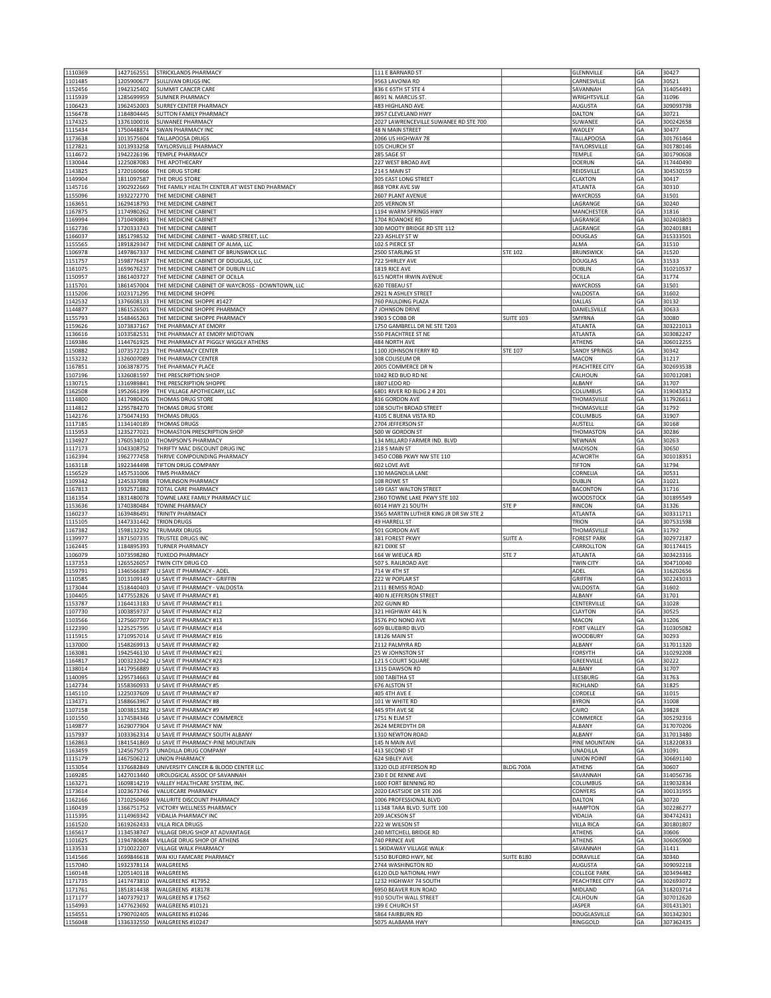| 1110369            | 1427162551               | STRICKLANDS PHARMACY                                         | 111 E BARNARD ST                                  |                   | GLENNVILLE                         | GA       | 30427                  |
|--------------------|--------------------------|--------------------------------------------------------------|---------------------------------------------------|-------------------|------------------------------------|----------|------------------------|
| 1101485            | 1205900677               | SULLIVAN DRUGS INC                                           | 9563 LAVONIA RD                                   |                   | CARNESVILLE                        | GA       | 30521                  |
| 1152456            | 1942325402               | SUMMIT CANCER CARE                                           | 836 E 65TH ST STE 4                               |                   | SAVANNAH                           | GA       | 314054491              |
| 1115939<br>1106423 | 1285699959<br>1962452003 | <b>SUMNER PHARMACY</b><br>SURREY CENTER PHARMACY             | 8691 N. MARCUS ST<br>483 HIGHLAND AVE             |                   | WRIGHTSVILLE<br><b>AUGUSTA</b>     | GA<br>GA | 31096<br>309093798     |
| 1156478            | 1184804445               | SUTTON FAMILY PHARMACY                                       | 3957 CLEVELAND HWY                                |                   | DALTON                             | GA       | 30721                  |
| 1174325            | 1376100016               | SUWANEE PHARMACY                                             | 2027 LAWRENCEVILLE SUWANEE RD STE 700             |                   | SUWANEE                            | GA       | 300242658              |
| 1115434            | 1750448874               | <b>SWAN PHARMACY INC</b>                                     | 48 N MAIN STREET                                  |                   | WADLEY                             | GA       | 30477                  |
| 1173638            | 1013575604               | TALLAPOOSA DRUGS                                             | 2066 US HIGHWAY 78                                |                   | TALLAPOOSA                         | GA       | 301761464              |
| 1127821            | 1013933258               | TAYLORSVILLE PHARMACY                                        | 105 CHURCH ST                                     |                   | TAYLORSVILLE                       | GA       | 301780146              |
| 1114672            | 1942226196               | <b>TEMPLE PHARMACY</b>                                       | 285 SAGE ST                                       |                   | TEMPLE                             | GA       | 301790608              |
| 1130044            | 1225087083               | THE APOTHECARY                                               | 227 WEST BROAD AVE                                |                   | <b>DOERUN</b>                      | GA       | 317440490              |
| 1143825            | 1720160666               | THE DRUG STORE                                               | 214 S MAIN ST                                     |                   | REIDSVILLE                         | GA       | 304530159              |
| 1149904            | 1811097587               | THE DRUG STORE                                               | 305 EAST LONG STREET                              |                   | CLAXTON                            | GA       | 30417                  |
| 1145716            | 1902922669<br>1932272770 | THE FAMILY HEALTH CENTER AT WEST END PHARMACY                | 868 YORK AVE SW<br>2607 PLANT AVENUE              |                   | ATLANTA                            | GA       | 30310<br>31501         |
| 1155096<br>1163651 | 1629418793               | THE MEDICINE CABINET<br>THE MEDICINE CABINET                 | 205 VERNON ST                                     |                   | WAYCROSS<br>LAGRANGE               | GA<br>GA | 30240                  |
| 1167875            | 1174980262               | THE MEDICINE CABINET                                         | 1194 WARM SPRINGS HWY                             |                   | MANCHESTER                         | GA       | 31816                  |
| 1169994            | 1710490891               | THE MEDICINE CABINET                                         | 1704 ROANOKE RD                                   |                   | LAGRANGE                           | GA       | 302403803              |
| 1162736            | 1720333743               | THE MEDICINE CABINET                                         | 300 MOOTY BRIDGE RD STE 112                       |                   | LAGRANGE                           | GA       | 302401881              |
| 1166037            | 1851798532               | THE MEDICINE CABINET - WARD STREET, LLC                      | 223 ASHLEY ST W                                   |                   | <b>DOUGLAS</b>                     | GA       | 315333501              |
| 1155565            | 1891829347               | THE MEDICINE CABINET OF ALMA, LLC                            | 102 S PIERCE ST                                   |                   | ALMA                               | GA       | 31510                  |
| 1106978            | 1497867337               | THE MEDICINE CABINET OF BRUNSWICK LLC                        | 2500 STARLING ST                                  | STE 102           | <b>BRUNSWICK</b>                   | GA       | 31520                  |
| 1151757            | 1598776437               | THE MEDICINE CABINET OF DOUGLAS, LLC                         | 722 SHIRLEY AVE                                   |                   | <b>DOUGLAS</b>                     | GA       | 31533                  |
| 1161075            | 1659676237               | THE MEDICINE CABINET OF DUBLIN LLC                           | 1819 RICE AVE                                     |                   | <b>DUBLIN</b>                      | GA       | 310210537              |
| 1150957            | 1861403727               | THE MEDICINE CABINET OF OCILLA                               | 615 NORTH IRWIN AVENUE                            |                   | <b>OCILLA</b>                      | GA       | 31774                  |
| 1115701            | 1861457004               | THE MEDICINE CABINET OF WAYCROSS - DOWNTOWN, LLC             | 620 TEBEAU ST                                     |                   | WAYCROSS                           | GA       | 31501                  |
| 1115206            | 1023171295               | THE MEDICINE SHOPPE                                          | 2921 N ASHLEY STREET                              |                   | VALDOSTA                           | GA       | 31602                  |
| 1142532            | 1376608133               | THE MEDICINE SHOPPE #1427                                    | 760 PAULDING PLAZA                                |                   | <b>DALLAS</b>                      | GA       | 30132                  |
| 1144877<br>1155793 | 1861526501<br>1548465263 | THE MEDICINE SHOPPE PHARMACY<br>THE MEDICINE SHOPPE PHARMACY | 7 JOHNSON DRIVE<br>3903 S COBB DR                 | <b>SUITE 103</b>  | DANIELSVILLE<br>SMYRNA             | GA<br>GA | 30633<br>30080         |
| 1159626            | 1073837167               | THE PHARMACY AT EMORY                                        | 1750 GAMBRELL DR NE STE T203                      |                   | ATLANTA                            | GA       | 303221013              |
| 1136616            | 1033582531               | THE PHARMACY AT EMORY MIDTOWN                                | 550 PEACHTREE ST NE                               |                   | <b>ATLANTA</b>                     | GA       | 303082247              |
| 1169386            | 1144761925               | THE PHARMACY AT PIGGLY WIGGLY ATHENS                         | 484 NORTH AVE                                     |                   | ATHENS                             | GA       | 306012255              |
| 1150882            | 1073572723               | THE PHARMACY CENTER                                          | 1100 JOHNSON FERRY RD                             | STE 107           | <b>SANDY SPRINGS</b>               | GA       | 30342                  |
| 1153232            | 1326007089               | THE PHARMACY CENTER                                          | 308 COLISEUM DR                                   |                   | MACON                              | GA       | 31217                  |
| 1167851            | 1063878775               | THE PHARMACY PLACE                                           | 2005 COMMERCE DR N                                |                   | PEACHTREE CITY                     | GA       | 302693538              |
| 1107196            | 1326081597               | THE PRESCRIPTION SHOP                                        | 1042 RED BUD RD NE                                |                   | CALHOUN                            | GA       | 307012081              |
| 1130715            | 1316989841               | THE PRESCRIPTION SHOPPE                                      | 1807 LEDO RD                                      |                   | ALBANY                             | GA       | 31707                  |
| 1162508            | 1952661399               | THE VILLAGE APOTHECARY, LLC                                  | 6801 RIVER RD BLDG 2 # 201                        |                   | COLUMBUS                           | GA       | 319043352              |
| 1114800            | 1417980426               | THOMAS DRUG STORE                                            | 816 GORDON AVE                                    |                   | THOMASVILLE                        | GA       | 317926611              |
| 1114812            | 1295784270               | THOMAS DRUG STORE                                            | 108 SOUTH BROAD STREET                            |                   | THOMASVILLE                        | GA       | 31792                  |
| 1142176            | 1750474193               | THOMAS DRUGS                                                 | 4105 C BUENA VISTA RD                             |                   | COLUMBUS                           | GA       | 31907                  |
| 1117185            | 1134140189               | <b>THOMAS DRUGS</b>                                          | 2704 JEFFERSON ST                                 |                   | AUSTELL                            | GA       | 30168                  |
| 1115953            | 1235277021               | THOMASTON PRESCRIPTION SHOP                                  | 500 W GORDON ST                                   |                   | THOMASTON                          | GA       | 30286                  |
| 1134927            | 1760534010               | THOMPSON'S PHARMACY                                          | 134 MILLARD FARMER IND. BLVD                      |                   | NEWNAN                             | GA       | 30263                  |
| 1117173<br>1162394 | 1043308752<br>1962777458 | THRIFTY MAC DISCOUNT DRUG INC<br>THRIVE COMPOUNDING PHARMACY | 218 S MAIN ST<br>3450 COBB PKWY NW STE 110        |                   | MADISON<br><b>ACWORTH</b>          | GA<br>GA | 30650<br>301018351     |
| 1163118            | 1922344498               | TIFTON DRUG COMPANY                                          | 602 LOVE AVE                                      |                   | <b>TIFTON</b>                      | GA       | 31794                  |
| 1156529            | 1457531006               | <b>TIMS PHARMACY</b>                                         | 130 MAGNOLIA LANE                                 |                   | CORNELIA                           | GA       | 30531                  |
| 1109342            | 1245337088               | TOMLINSON PHARMACY                                           | 108 ROWE ST                                       |                   | <b>DUBLIN</b>                      | GA       | 31021                  |
| 1167813            | 1932571882               | TOTAL CARE PHARMACY                                          | 149 EAST WALTON STREET                            |                   | <b>BACONTON</b>                    | GA       | 31716                  |
|                    |                          |                                                              |                                                   |                   | <b>WOODSTOCK</b>                   | GA       | 301895549              |
|                    |                          |                                                              |                                                   |                   |                                    |          |                        |
| 1161354<br>1153636 | 1831480078<br>1740380484 | TOWNE LAKE FAMILY PHARMACY LLC<br>TOWNE PHARMACY             | 2360 TOWNE LAKE PKWY STE 102<br>6014 HWY 21 SOUTH | STE P             | RINCON                             | GA       | 31326                  |
| 1160237            | 1639486491               | TRINITY PHARMACY                                             | 3565 MARTIN LUTHER KING JR DR SW STE 2            |                   | ATLANTA                            | GA       | 303311711              |
| 1115105            | 1447331442               | <b>TRION DRUGS</b>                                           | <b>49 HARRELL ST</b>                              |                   | TRION                              | GA       | 307531598              |
| 1167382            | 1598132292               | TRUMARX DRUGS                                                | 501 GORDON AVE                                    |                   | THOMASVILLE                        | GA       | 31792                  |
| 1139977            | 1871507335               | TRUSTEE DRUGS INC                                            | 381 FOREST PKWY                                   | <b>SUITE A</b>    | <b>FOREST PARK</b>                 | GA       | 302972187              |
| 1162445            | 1184895393               | <b>TURNER PHARMACY</b>                                       | 821 DIXIE ST                                      |                   | CARROLLTON                         | GA       | 301174415              |
| 1106079            | 1073598280               | <b>TUXEDO PHARMACY</b>                                       | 164 W WIEUCA RD                                   | STE <sub>7</sub>  | ATLANTA                            | GA       | 303423316              |
| 1137353            | 1265526057               | TWIN CITY DRUG CO                                            | 507 S. RAILROAD AVE                               |                   | <b>TWIN CITY</b>                   | GA       | 304710040              |
| 1159791            | 1346566387               | <b>U SAVE IT PHARMACY - ADEL</b>                             | 714 W 4TH ST                                      |                   | ADEL                               | GA       | 316202656              |
| 1110585            | 1013109149               | U SAVE IT PHARMACY - GRIFFIN                                 | 222 W POPLAR ST                                   |                   | GRIFFIN                            | GA       | 302243033              |
| 1173044            | 1518440403               | U SAVE IT PHARMACY - VALDOSTA                                | 2111 BEMISS ROAD                                  |                   | VALDOSTA                           | GA       | 31602                  |
| 1104405            | 1477552826               | U SAVE IT PHARMACY #1                                        | 400 N JEFFERSON STREET                            |                   | ALBANY                             | GA       | 31701                  |
| 1153787<br>1107730 | 1164413183<br>1003859737 | U SAVE IT PHARMACY #11<br>U SAVE IT PHARMACY #12             | 202 GUNN RD<br>321 HIGHWAY 441 N                  |                   | CENTERVILLE<br>CLAYTON             | GA<br>GA | 31028<br>30525         |
| 1103566            | 1275607707               | U SAVE IT PHARMACY #13                                       | 3576 PIO NONO AVE                                 |                   | MACON                              | GA       | 31206                  |
| 1122390            | 1225257595               | U SAVE IT PHARMACY #14                                       | 609 BLUEBIRD BLVD                                 |                   | <b>FORT VALLEY</b>                 | GA       | 310305082              |
| 1115915            | 1710957014               | <b>JU SAVE IT PHARMACY #16</b>                               | 18126 MAIN ST                                     |                   | <b>WOODBURY</b>                    | GA       | 30293                  |
| 1137000            | 1548269913               | <b>U SAVE IT PHARMACY #2</b>                                 | 2112 PALMYRA RD                                   |                   | ALBANY                             | GA       | 317011320              |
| 1163081            | 1942546130               | U SAVE IT PHARMACY #21                                       | 25 W JOHNSTON ST                                  |                   | <b>FORSYTH</b>                     | GA       | 310292208              |
| 1164817            | 1003232042               | <b>U SAVE IT PHARMACY #23</b>                                | 121 S COURT SQUARE                                |                   | GREENVILLE                         | GA       | 30222                  |
| 1138014            | 1417956889               | U SAVE IT PHARMACY #3                                        | 1315 DAWSON RD                                    |                   | ALBANY                             | GA       | 31707                  |
| 1140095            | 1295734663               | <b>U SAVE IT PHARMACY #4</b>                                 | 100 TABITHA ST                                    |                   | LEESBURG                           | GA       | 31763                  |
| 1142734            | 1558360933               | <b>U SAVE IT PHARMACY #5</b>                                 | 676 ALSTON ST                                     |                   | RICHLAND                           | GA       | 31825                  |
| 1145110            | 1225037609               | <b>U SAVE IT PHARMACY #7</b>                                 | 405 4TH AVE E                                     |                   | CORDELE                            | GA       | 31015                  |
| 1134371            | 1588663967               | U SAVE IT PHARMACY #8                                        | 101 W WHITE RD                                    |                   | <b>BYRON</b>                       | GA       | 31008                  |
| 1107158<br>1101550 | 1003815382<br>1174584346 | U SAVE IT PHARMACY #9<br>U SAVE IT PHARMACY COMMERCE         | 445 9TH AVE SE<br>1751 N ELM ST                   |                   | CAIRO<br>COMMERCE                  | GA<br>GA | 39828<br>305292316     |
| 1149877            | 1629077904               | <b>U SAVE IT PHARMACY NW</b>                                 | 2624 MEREDYTH DR                                  |                   | ALBANY                             | GA       | 317070206              |
| 1157937            | 1033362314               | U SAVE IT PHARMACY SOUTH ALBANY                              | 1310 NEWTON ROAD                                  |                   | ALBANY                             | GA       | 317013480              |
| 1162863            | 1841541869               | U SAVE IT PHARMACY-PINE MOUNTAIN                             | 145 N MAIN AVE                                    |                   | PINE MOUNTAIN                      | GA       | 318220833              |
| 1163459            | 1245675073               | UNADILLA DRUG COMPANY                                        | 413 SECOND ST                                     |                   | UNADILLA                           | GA       | 31091                  |
| 1115179            | 1467506212               | UNION PHARMACY                                               | 624 SIBLEY AVE                                    |                   | <b>UNION POINT</b>                 | GA       | 306691140              |
| 1153054            | 1376682849               | UNIVERSITY CANCER & BLOOD CENTER LLC                         | 3320 OLD JEFFERSON RD                             | BLDG 700A         | ATHENS                             | GA       | 30607                  |
| 1169285            | 1427013440               | UROLOGICAL ASSOC OF SAVANNAH                                 | 230 E DE RENNE AVE                                |                   | SAVANNAH                           | GA       | 314056736              |
| 1163271            | 1609814219               | VALLEY HEALTHCARE SYSTEM, INC.                               | 1600 FORT BENNING RD                              |                   | COLUMBUS                           | GA       | 319032834              |
| 1173614            | 1023673746               | VALUECARE PHARMACY                                           | 2020 EASTSIDE DR STE 206                          |                   | CONYERS                            | GA       | 300131955              |
| 1162166            | 1710250469               | VALURITE DISCOUNT PHARMACY                                   | 1006 PROFESSIONAL BLVD                            |                   | <b>DALTON</b>                      | GA       | 30720                  |
| 1160439            | 1366751752               | VICTORY WELLNESS PHARMACY                                    | 11348 TARA BLVD. SUITE 100                        |                   | <b>HAMPTON</b>                     | GA       | 302286277              |
| 1115395            | 1114969342               | VIDALIA PHARMACY INC                                         | 209 JACKSON ST                                    |                   | VIDALIA                            | GA       | 304742431              |
| 1161520            | 1619262433<br>1134538747 | VILLA RICA DRUGS<br>VILLAGE DRUG SHOP AT ADVANTAGE           | 222 W WILSON ST<br>240 MITCHELL BRIDGE RD         |                   | <b>VILLA RICA</b><br><b>ATHENS</b> | GA<br>GA | 301801807<br>30606     |
| 1165617<br>1101625 | 1194780684               | VILLAGE DRUG SHOP OF ATHENS                                  | 740 PRINCE AVE                                    |                   | <b>ATHENS</b>                      | GA       | 306065900              |
| 1133533            | 1710022207               | VILLAGE WALK PHARMACY                                        | 1 SKIDAWAY VILLAGE WALK                           |                   | SAVANNAH                           | GA       | 31411                  |
| 1141566            | 1699846618               | WAI KIU FAMCARE PHARMACY                                     | 5150 BUFORD HWY, NE                               | <b>SUITE B180</b> | DORAVILLE                          | GA       | 30340                  |
| 1157040            | 1932378114               | WALGREENS                                                    | 2744 WASHINGTON RD                                |                   | AUGUSTA                            | GA       | 309092218              |
| 1160148            | 1205140118               | WALGREENS                                                    | 6120 OLD NATIONAL HWY                             |                   | <b>COLLEGE PARK</b>                | GA       | 303494482              |
| 1171735            | 1417473810               | WALGREENS #17952                                             | 1232 HIGHWAY 74 SOUTH                             |                   | PEACHTREE CITY                     | GA       | 302693072              |
| 1171761            | 1851814438               | WALGREENS #18178                                             | 6950 BEAVER RUN ROAD                              |                   | MIDLAND                            | GA       | 318203714              |
| 1171177            | 1407379217               | WALGREENS #17562                                             | 910 SOUTH WALL STREET                             |                   | CALHOUN                            | GA       | 307012620              |
| 1154993            | 1477623692               | WALGREENS #10121                                             | 199 E CHURCH ST                                   |                   | JASPER                             | GA       | 301431301              |
| 1154551<br>1156048 | 1790702405<br>1336332550 | WALGREENS #10246<br>WALGREENS #10247                         | 5864 FAIRBURN RD<br>5075 ALABAMA HWY              |                   | <b>DOUGLASVILLE</b><br>RINGGOLD    | GA<br>GA | 301342301<br>307362435 |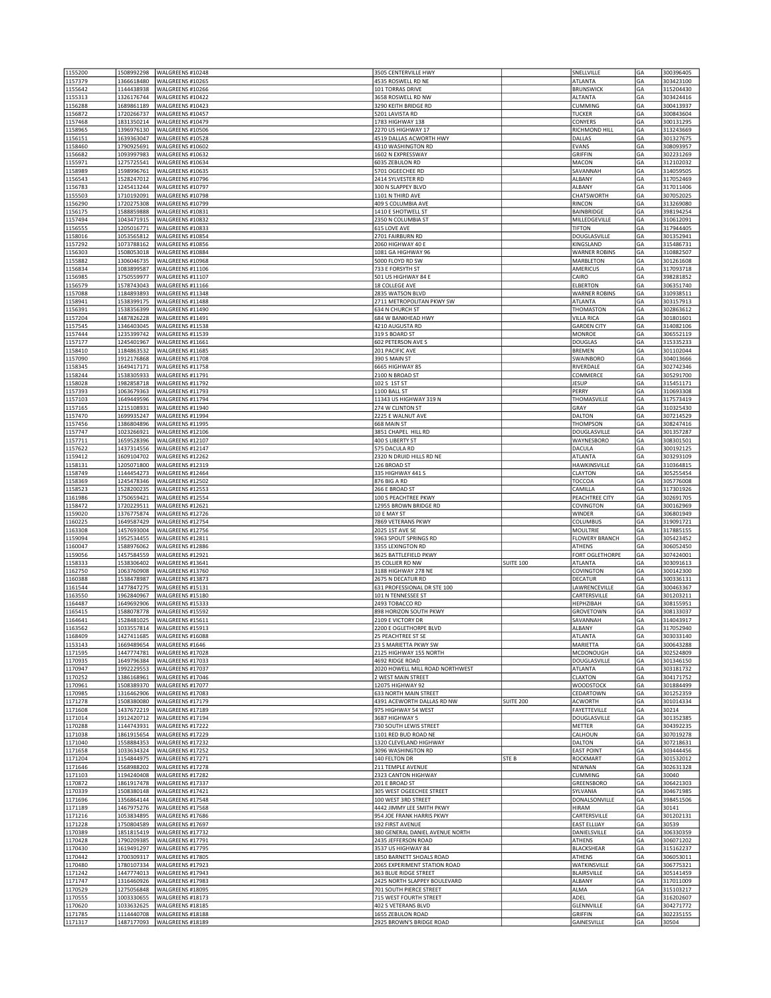| 1155200<br>1157379 | 1508992298<br>1366618480 | WALGREENS #10248<br>WALGREENS #10265 | 3505 CENTERVILLE HWY<br>4535 ROSWELL RD NE              |                  | SNELLVILLE<br><b>ATLANTA</b>            | GA<br>GA | 300396405<br>303423100 |
|--------------------|--------------------------|--------------------------------------|---------------------------------------------------------|------------------|-----------------------------------------|----------|------------------------|
| 1155642            | 1144438938               | WALGREENS #10266                     | 101 TORRAS DRIVE                                        |                  | <b>BRUNSWICK</b>                        | GA       | 315204430              |
| 1155313            | 1326176744               | WALGREENS #10422                     | 3658 ROSWELL RD NW                                      |                  | <b>ALTANTA</b>                          | GA       | 303424416              |
| 1156288<br>1156872 | 1689861189<br>1720266737 | WALGREENS #10423<br>WALGREENS #10457 | 3290 KEITH BRIDGE RD<br>5201 LAVISTA RD                 |                  | <b>CUMMING</b><br><b>TUCKER</b>         | GA<br>GA | 300413937<br>300843604 |
| 1157468            | 1831350214               | WALGREENS #10479                     | 1783 HIGHWAY 138                                        |                  | CONYERS                                 | GA       | 300131295              |
| 1158965<br>1156151 | 1396976130<br>1639363047 | WALGREENS #10506<br>WALGREENS #10528 | 2270 US HIGHWAY 17<br>4519 DALLAS ACWORTH HWY           |                  | RICHMOND HILL<br>DALLAS                 | GA<br>GA | 313243669<br>301327675 |
| 1158460            | 1790925691               | WALGREENS #10602                     | 4310 WASHINGTON RD                                      |                  | EVANS                                   | GA       | 308093957              |
| 1156682<br>1155971 | 1093997983<br>1275725541 | WALGREENS #10632<br>WALGREENS #10634 | 1602 N EXPRESSWAY<br>6035 ZEBULON RD                    |                  | <b>GRIFFIN</b><br>MACON                 | GA<br>GA | 302231269<br>312102032 |
| 1158989            | 1598996761               | WALGREENS #10635                     | 5701 OGEECHEE RD                                        |                  | SAVANNAH                                | GA       | 314059505              |
| 1156543            | 1528247012               | WALGREENS #10796                     | 2414 SYLVESTER RD                                       |                  | ALBANY                                  | GA       | 317052469              |
| 1156783<br>1155503 | 1245413244<br>1710192091 | WALGREENS #10797<br>WALGREENS #10798 | 300 N SLAPPEY BLVD<br>1101 N THIRD AVE                  |                  | ALBANY<br>CHATSWORTH                    | GA<br>GA | 317011406<br>307052025 |
| 1156290            | 1720275308               | WALGREENS #10799                     | 409 S COLUMBIA AVE                                      |                  | RINCON                                  | GA       | 313269080              |
| 1156175<br>1157494 | 1588859888<br>1043471915 | WALGREENS #10831<br>WALGREENS #10832 | 1410 E SHOTWELL ST<br>2350 N COLUMBIA ST                |                  | BAINBRIDGE<br>MILLEDGEVILLE             | GA<br>GA | 398194254<br>310612091 |
| 1156555            | 1205016771               | WALGREENS #10833                     | 615 LOVE AVE                                            |                  | <b>TIFTON</b>                           | GA       | 317944405              |
| 1158016<br>1157292 | 1053565812<br>1073788162 | WALGREENS #10854<br>WALGREENS #10856 | 2701 FAIRBURN RD<br>2060 HIGHWAY 40 E                   |                  | <b>DOUGLASVILLE</b><br>KINGSLAND        | GA<br>GA | 301352941<br>315486731 |
| 1156303            | 1508053018               | WALGREENS #10884                     | 1081 GA HIGHWAY 96                                      |                  | <b>WARNER ROBINS</b>                    | GA       | 310882507              |
| 1155882<br>1156834 | 1306046735<br>1083899587 | WALGREENS #10968<br>WALGREENS #11106 | 5000 FLOYD RD SW<br>733 E FORSYTH ST                    |                  | MARBLETON<br>AMERICUS                   | GA<br>GA | 301261608<br>317093718 |
| 1156985            | 1750559977               | WALGREENS #11107                     | 501 US HIGHWAY 84 E                                     |                  | CAIRO                                   | GA       | 398281852              |
| 1156579            | 1578743043               | WALGREENS #11166                     | 18 COLLEGE AVE                                          |                  | <b>ELBERTON</b>                         | GA       | 306351740              |
| 1157088<br>1158941 | 1184893893<br>1538399175 | WALGREENS #11348<br>WALGREENS #11488 | 2835 WATSON BLVD<br>2711 METROPOLITAN PKWY SW           |                  | <b>WARNER ROBINS</b><br>ATLANTA         | GA<br>GA | 310938511<br>303157913 |
| 1156391            | 1538356399               | WALGREENS #11490                     | 634 N CHURCH ST                                         |                  | THOMASTON                               | GA       | 302863612              |
| 1157204<br>1157545 | 1487826228<br>1346403045 | WALGREENS #11491<br>WALGREENS #11538 | 684 W BANKHEAD HWY<br>4210 AUGUSTA RD                   |                  | <b>VILLA RICA</b><br><b>GARDEN CITY</b> | GA<br>GA | 301801601<br>314082106 |
| 1157444            | 1235399742               | WALGREENS #11539                     | 319 S BOARD ST                                          |                  | MONROE                                  | GA       | 306552119              |
| 1157177<br>1158410 | 1245401967<br>1184863532 | WALGREENS #11661<br>WALGREENS #11685 | 602 PETERSON AVE S<br>201 PACIFIC AVE                   |                  | <b>DOUGLAS</b><br><b>BREMEN</b>         | GA<br>GA | 315335233<br>301102044 |
| 1157090            | 1912176868               | WALGREENS #11708                     | 390 S MAIN ST                                           |                  | SWAINBORO                               | GA       | 304013666              |
| 1158345            | 1649417171               | WALGREENS #11758                     | 6665 HIGHWAY 85                                         |                  | RIVERDALE                               | GA       | 302742346              |
| 1158244<br>1158028 | 1538305933<br>1982858718 | WALGREENS #11791<br>WALGREENS #11792 | 2100 N BROAD ST<br>102 S 1ST ST                         |                  | COMMERCE<br><b>JESUP</b>                | GA<br>GA | 305291700<br>315451171 |
| 1157393            | 1063679363               | WALGREENS #11793                     | 1100 BALL ST                                            |                  | PERRY                                   | GA       | 310693308              |
| 1157103<br>1157165 | 1649449596<br>1215108931 | WALGREENS #11794<br>WALGREENS #11940 | 11343 US HIGHWAY 319 N<br>274 W CLINTON ST              |                  | THOMASVILLE<br>GRAY                     | GA<br>GA | 317573419<br>310325430 |
| 1157470            | 1699935247               | WALGREENS #11994                     | 2225 E WALNUT AVE                                       |                  | DALTON                                  | GA       | 307214529              |
| 1157456            | 1386804896               | WALGREENS #11995                     | 668 MAIN ST                                             |                  | THOMPSON                                | GA       | 308247416              |
| 1157747<br>1157711 | 1023266921<br>1659528396 | WALGREENS #12106<br>WALGREENS #12107 | 3851 CHAPEL HILL RD<br>400 S LIBERTY ST                 |                  | <b>DOUGLASVILLE</b><br>WAYNESBORO       | GA<br>GA | 301357287<br>308301501 |
| 1157622            | 1437314556               | WALGREENS #12147                     | 575 DACULA RD                                           |                  | <b>DACULA</b>                           | GA       | 300192125              |
| 1159412<br>1158131 | 1609104702<br>1205071800 | WALGREENS #12262<br>WALGREENS #12319 | 2320 N DRUID HILLS RD NE<br>126 BROAD ST                |                  | <b>ATLANTA</b><br>HAWKINSVILLE          | GA<br>GA | 303293109<br>310364815 |
| 1158749            | 1144454273               | WALGREENS #12464                     | 335 HIGHWAY 441 S                                       |                  | <b>CLAYTON</b>                          | GA       | 305255454              |
| 1158369            | 1245478346               | WALGREENS #12502                     | 876 BIG A RD                                            |                  | TOCCOA                                  | GA       | 305776008              |
| 1158523<br>1161986 | 1528200235<br>1750659421 | WALGREENS #12553<br>WALGREENS #12554 | 266 E BROAD ST<br>100 S PEACHTREE PKWY                  |                  | CAMILLA<br>PEACHTREE CITY               | GA<br>GA | 317301926<br>302691705 |
| 1158472            | 1720229511               | WALGREENS #12621                     | 12955 BROWN BRIDGE RD                                   |                  | COVINGTON                               | GA       | 300162969              |
| 1159020<br>1160225 | 1376775874<br>1649587429 | WALGREENS #12726<br>WALGREENS #12754 | 10 E MAY ST<br>7869 VETERANS PKWY                       |                  | WINDER<br>COLUMBUS                      | GA<br>GA | 306801949<br>319091721 |
| 1163308            | 1457693004               | WALGREENS #12756                     | 2025 1ST AVE SE                                         |                  | <b>MOULTRIE</b>                         | GA       | 317885155              |
| 1159094            | 1952534455               | WALGREENS #12811                     | 5963 SPOUT SPRINGS RD                                   |                  | <b>FLOWERY BRANCH</b><br>ATHENS         | GA<br>GA | 305423452              |
| 1160047<br>1159056 | 1588976062<br>1457584559 | WALGREENS #12886<br>WALGREENS #12921 | 3355 LEXINGTON RD<br>3625 BATTLEFIELD PKWY              |                  | FORT OGLETHORPE                         | GA       | 306052450<br>307424001 |
| 1158333            | 1538306402               | WALGREENS #13641                     | 35 COLLIER RD NW                                        | <b>SUITE 100</b> | <b>ATLANTA</b>                          | GA       | 303091613              |
| 1162750<br>1160388 | 1063760908<br>1538478987 | WALGREENS #13760<br>WALGREENS #13873 | 3188 HIGHWAY 278 NE<br>2675 N DECATUR RD                |                  | COVINGTON<br><b>DECATUR</b>             | GA<br>GA | 300142300<br>300336131 |
| 1161544            | 1477847275               | WALGREENS #15131                     | 631 PROFESSIONAL DR STE 100                             |                  | LAWRENCEVILLE                           | GA       | 300463367              |
| 1163550<br>1164487 | 1962840967<br>1649692906 | WALGREENS #15180<br>WALGREENS #15333 | 101 N TENNESSEE ST<br>2493 TOBACCO RD                   |                  | CARTERSVILLE<br>HEPHZIBAH               | GA<br>GA | 301203211<br>308155951 |
| 1165415            | 1588078778               | WALGREENS #15592                     | 898 HORIZON SOUTH PKWY                                  |                  | <b>GROVETOWN</b>                        | GA       | 308133037              |
| 1164641<br>1163562 | 1528481025<br>1033557814 | WALGREENS #15611<br>WALGREENS #15913 | 2109 E VICTORY DR<br>2200 E OGLETHORPE BLVD             |                  | SAVANNAH<br>ALBANY                      | GA<br>GA | 314043917<br>317052940 |
| 1168409            | 1427411685               | WALGREENS #16088                     | 25 PEACHTREE ST SE                                      |                  | <b>ATLANTA</b>                          | GA       | 303033140              |
| 1153143            | 1669489654               | WALGREENS #1646                      | 23 S MARIETTA PKWY SW                                   |                  | MARIETTA                                | GA       | 300643288              |
| 1171595<br>1170935 | 1447774781<br>1649796384 | WALGREENS #17028<br>WALGREENS #17033 | 2125 HIGHWAY 155 NORTH<br>4692 RIDGE ROAD               |                  | MCDONOUGH<br><b>DOUGLASVILLE</b>        | GA<br>GA | 302524809<br>301346150 |
| 1170947            | 1992229553               | WALGREENS #17037                     | 2020 HOWELL MILL ROAD NORTHWEST                         |                  | <b>ATLANTA</b>                          | GA       | 303181732              |
| 1170252<br>1170961 | 1386168961<br>1508389370 | WALGREENS #17046<br>WALGREENS #17077 | 2 WEST MAIN STREET<br>12075 HIGHWAY 92                  |                  | CLAXTON<br><b>WOODSTOCK</b>             | GA<br>GA | 304171752<br>301884499 |
| 1170985            | 1316462906               | WALGREENS #17083                     | <b>633 NORTH MAIN STREET</b>                            |                  | CEDARTOWN                               | GA       | 301252359              |
| 1171278<br>1171608 | 1508380080<br>1437672219 | WALGREENS #17179<br>WALGREENS #17189 | 4391 ACEWORTH DALLAS RD NW<br>975 HIGHWAY 54 WEST       | <b>SUITE 200</b> | <b>ACWORTH</b><br>FAYETTEVILLE          | GA<br>GA | 301014334<br>30214     |
| 1171014            | 1912420712               | WALGREENS #17194                     | 3687 HIGHWAY 5                                          |                  | <b>DOUGLASVILLE</b>                     | GA       | 301352385              |
| 1170288            | 1144743931               | WALGREENS #17222                     | 730 SOUTH LEWIS STREET                                  |                  | METTER                                  | GA       | 304392235              |
| 1171038<br>1171040 | 1861915654<br>1558884353 | WALGREENS #17229<br>WALGREENS #17232 | 1101 RED BUD ROAD NE<br>1320 CLEVELAND HIGHWAY          |                  | CALHOUN<br>DALTON                       | GA<br>GA | 307019278<br>307218631 |
| 1171658            | 1033634324               | WALGREENS #17252                     | 3096 WASHINGTON RD                                      |                  | <b>EAST POINT</b>                       | GA       | 303444456              |
| 1171204<br>1171646 | 1154844975<br>1568988202 | WALGREENS #17271<br>WALGREENS #17278 | 140 FELTON DR<br>211 TEMPLE AVENUE                      | STE B            | <b>ROCKMART</b><br><b>NEWNAN</b>        | GA<br>GA | 301532012<br>302631328 |
| 1171103            | 1194240408               | WALGREENS #17282                     | 2323 CANTON HIGHWAY                                     |                  | <b>CUMMING</b>                          | GA       | 30040                  |
| 1170872            | 1861917478<br>1508380148 | WALGREENS #17337<br>WALGREENS #17421 | 201 E BROAD ST                                          |                  | GREENSBORO<br>SYLVANIA                  | GA<br>GA | 306421303<br>304671985 |
| 1170339<br>1171696 | 1356864144               | WALGREENS #17548                     | 305 WEST OGEECHEE STREET<br>100 WEST 3RD STREET         |                  | DONALSONVILLE                           | GA       | 398451506              |
| 1171189            | 1467975276               | WALGREENS #17568                     | 4442 JIMMY LEE SMITH PKWY                               |                  | <b>HIRAM</b>                            | GA       | 30141                  |
| 1171216<br>1171228 | 1053834895<br>1750804589 | WALGREENS #17686<br>WALGREENS #17697 | 954 JOE FRANK HARRIS PKWY<br>192 FIRST AVENUE           |                  | CARTERSVILLE<br><b>EAST ELLIJAY</b>     | GA<br>GA | 301202131<br>30539     |
| 1170389            | 1851815419               | WALGREENS #17732                     | 380 GENERAL DANIEL AVENUE NORTH                         |                  | DANIELSVILLE                            | GA       | 306330359              |
| 1170428            | 1790209385               | WALGREENS #17791                     | 2435 JEFFERSON ROAD                                     |                  | ATHENS                                  | GA       | 306071202              |
| 1170430<br>1170442 | 1619491297<br>1700309317 | WALGREENS #17795<br>WALGREENS #17805 | 3537 US HIGHWAY 84<br>1850 BARNETT SHOALS ROAD          |                  | <b>BLACKSHEAR</b><br>ATHENS             | GA<br>GA | 315162237<br>306053011 |
| 1170480            | 1780107334               | WALGREENS #17923                     | 2065 EXPERIMENT STATION ROAD                            |                  | WATKINSVILLE                            | GA       | 306775321              |
| 1171242            |                          | WALGREENS #17943                     | 363 BLUE RIDGE STREET                                   |                  | <b>BLAIRSVILLE</b>                      | GA       | 305141459<br>317011009 |
|                    | 1447774013               |                                      |                                                         |                  |                                         |          |                        |
| 1171747<br>1170529 | 1316460926<br>1275056848 | WALGREENS #17983<br>WALGREENS #18095 | 2425 NORTH SLAPPEY BOULEVARD<br>701 SOUTH PIERCE STREET |                  | ALBANY<br>ALMA                          | GA<br>GA | 315103217              |
| 1170555            | 1003330655               | WALGREENS #18173                     | 715 WEST FOURTH STREET                                  |                  | ADEL                                    | GA       | 316202607              |
| 1170620<br>1171785 | 1033632625<br>1114440708 | WALGREENS #18185<br>WALGREENS #18188 | 402 S VETERANS BLVD<br>1655 ZEBULON ROAD                |                  | GLENNVILLE<br>GRIFFIN                   | GA<br>GA | 304271772<br>302235155 |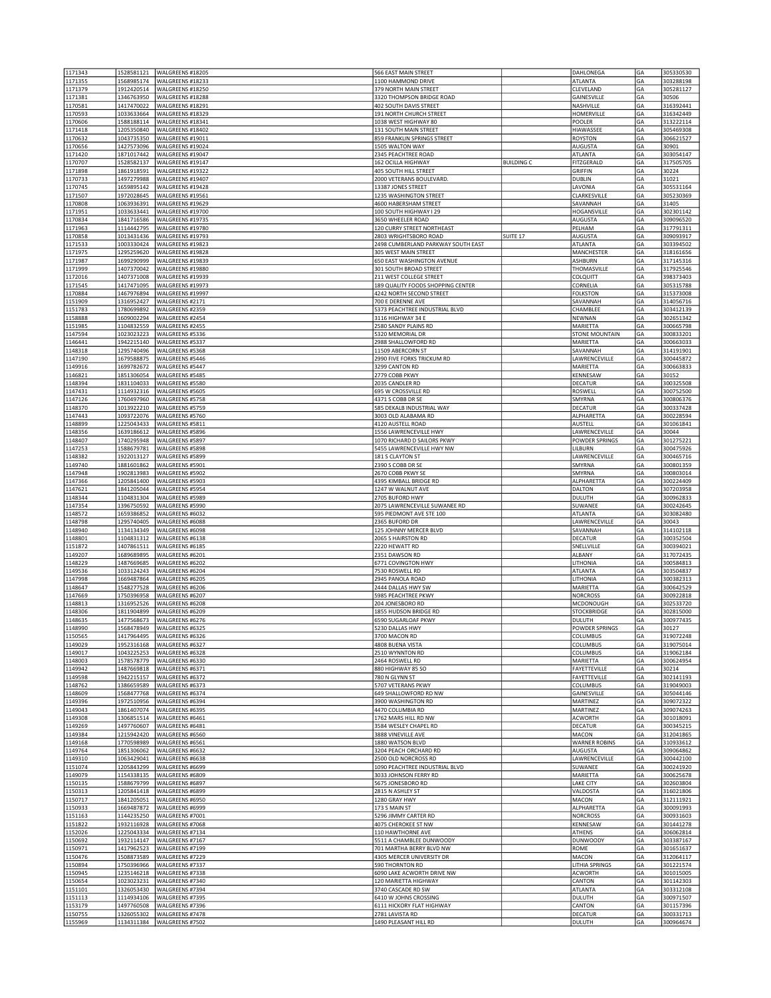|                    | 1528581121               | WALGREENS #18205                                | 566 EAST MAIN STREET                                |                     | DAHLONEGA                            | GA        | 305330530              |
|--------------------|--------------------------|-------------------------------------------------|-----------------------------------------------------|---------------------|--------------------------------------|-----------|------------------------|
| 1171355            | 1568985174               | WALGREENS #18233                                | 1100 HAMMOND DRIVE                                  |                     | <b>ATLANTA</b>                       | GA        | 303288198              |
| 1171379            | 1912420514               | WALGREENS #18250                                | 379 NORTH MAIN STREET                               |                     | CLEVELAND                            | GA        | 305281127              |
| 1171381<br>1170581 | 1346763950<br>1417470022 | WALGREENS #18288<br>WALGREENS #18291            | 3320 THOMPSON BRIDGE ROAD<br>402 SOUTH DAVIS STREET |                     | GAINESVILLE<br>NASHVILLE             | GA<br>GA  | 30506<br>316392441     |
| 1170593            | 1033633664               | WALGREENS #18329                                | 191 NORTH CHURCH STREET                             |                     | HOMERVILLE                           | GA        | 316342449              |
| 1170606            | 1588188114               | WALGREENS #18341                                | 1038 WEST HIGHWAY 80                                |                     | POOLER                               | GA        | 313222114              |
| 1171418            | 1205350840               | WALGREENS #18402                                | 131 SOUTH MAIN STREET                               |                     | HIAWASSEE                            | GA        | 305469308              |
| 1170632            | 1043735350               | WALGREENS #19011                                | 859 FRANKLIN SPRINGS STREET                         |                     | <b>ROYSTON</b>                       | GA        | 306621527              |
| 1170656            | 1427573096<br>1871017442 | WALGREENS #19024                                | 1505 WALTON WAY                                     |                     | <b>AUGUSTA</b>                       | GA        | 30901<br>303054147     |
| 1171420<br>1170707 | 1528582137               | WALGREENS #19047<br>WALGREENS #19147            | 2345 PEACHTREE ROAD<br>162 OCILLA HIGHWAY           | <b>BUILDING C</b>   | ATLANTA<br>FITZGERALD                | GA<br> GA | 317505705              |
| 1171898            | 1861918591               | WALGREENS #19322                                | 405 SOUTH HILL STREET                               |                     | <b>GRIFFIN</b>                       | GA        | 30224                  |
| 1170733            | 1497279988               | WALGREENS #19407                                | 2000 VETERANS BOULEVARD.                            |                     | <b>DUBLIN</b>                        | GA        | 31021                  |
| 1170745            | 1659895142               | WALGREENS #19428                                | 13387 JONES STREET                                  |                     | LAVONIA                              | GA        | 305531164              |
| 1171507            | 1972028645               | WALGREENS #19561                                | 1235 WASHINGTON STREET                              |                     | CLARKESVILLE                         | GA        | 305230369              |
| 1170808<br>1171951 | 1063936391<br>1033633441 | WALGREENS #19629<br>WALGREENS #19700            | 4600 HABERSHAM STREET<br>100 SOUTH HIGHWAY I 29     |                     | SAVANNAH<br>HOGANSVILLE              | GA<br>GA  | 31405<br>302301142     |
| 1170834            | 1841716586               | WALGREENS #19735                                | 3650 WHEELER ROAD                                   |                     | <b>AUGUSTA</b>                       | GA        | 309096520              |
| 1171963            | 1114442795               | WALGREENS #19780                                | 120 CURRY STREET NORTHEAST                          |                     | PELHAM                               | GA        | 317791311              |
| 1170858            | 1013431436               | WALGREENS #19793                                | 2803 WRIGHTSBORO ROAD                               | SUITE <sub>17</sub> | <b>AUGUSTA</b>                       | GA        | 309093917              |
| 1171533            | 1003330424               | WALGREENS #19823                                | 2498 CUMBERLAND PARKWAY SOUTH EAST                  |                     | ATLANTA                              | GA        | 303394502              |
| 1171975<br>1171987 | 1295259620<br>1699290999 | WALGREENS #19828<br>WALGREENS #19839            | 305 WEST MAIN STREET<br>650 EAST WASHINGTON AVENUE  |                     | MANCHESTER<br>ASHBURN                | GA<br>GA  | 318161656<br>317145316 |
| 1171999            | 1407370042               | WALGREENS #19880                                | 301 SOUTH BROAD STREET                              |                     | THOMASVILLE                          | GA        | 317925546              |
| 1172016            | 1407371008               | WALGREENS #19939                                | 211 WEST COLLEGE STREET                             |                     | COLQUITT                             | GA        | 398373403              |
| 1171545            | 1417471095               | WALGREENS #19973                                | 189 QUALITY FOODS SHOPPING CENTER                   |                     | CORNELIA                             | GA        | 305315788              |
| 1170884            | 1467976894               | WALGREENS #19997                                | 4242 NORTH SECOND STREET                            |                     | <b>FOLKSTON</b>                      | GA        | 315373008              |
| 1151909            | 1316952427               | WALGREENS #2171                                 | 700 E DERENNE AVE                                   |                     | SAVANNAH                             | GA        | 314056716              |
| 1151783<br>1158888 | 1780699892<br>1609002294 | WALGREENS #2359<br>WALGREENS #2454              | 5373 PEACHTREE INDUSTRIAL BLVD<br>3116 HIGHWAY 34 E |                     | CHAMBLEE<br>NEWNAN                   | GA<br> GA | 303412139<br>302651342 |
| 1151985            | 1104832559               | WALGREENS #2455                                 | 2580 SANDY PLAINS RD                                |                     | MARIETTA                             | GA        | 300665798              |
| 1147594            | 1023023223               | WALGREENS #5336                                 | 5320 MEMORIAL DR                                    |                     | STONE MOUNTAIN                       | GA        | 300833201              |
| 1146441            | 1942215140               | WALGREENS #5337                                 | 2988 SHALLOWFORD RD                                 |                     | MARIETTA                             | GA        | 300663033              |
| 1148318            | 1295740496               | WALGREENS #5368                                 | 11509 ABERCORN ST                                   |                     | SAVANNAH                             | GA        | 314191901              |
| 1147190<br>1149916 | 1679588875<br>1699782672 | WALGREENS #5446                                 | 2990 FIVE FORKS TRICKUM RD                          |                     | LAWRENCEVILLE                        | GA        | 300445872<br>300663833 |
| 1146821            | 1851306054               | WALGREENS #5447<br>WALGREENS #5485              | 3299 CANTON RD<br>2779 COBB PKWY                    |                     | MARIETTA<br>KENNESAW                 | GA<br> GA | 30152                  |
| 1148394            | 1831104033               | WALGREENS #5580                                 | 2035 CANDLER RD                                     |                     | <b>DECATUR</b>                       | GA        | 300325508              |
| 1147431            | 1114932316               | WALGREENS #5605                                 | 695 W CROSSVILLE RD                                 |                     | <b>ROSWELL</b>                       | GA        | 300752500              |
| 1147126            | 1760497960               | WALGREENS #5758                                 | 4371 S COBB DR SE                                   |                     | SMYRNA                               | GA        | 300806376              |
| 1148370            | 1013922210               | WALGREENS #5759                                 | 585 DEKALB INDUSTRIAL WAY                           |                     | DECATUR                              | GA        | 300337428              |
| 1147443<br>1148899 | 1093722076<br>1225043433 | WALGREENS #5760<br>WALGREENS #5811              | 3003 OLD ALABAMA RD<br>4120 AUSTELL ROAD            |                     | ALPHARETTA<br>AUSTELL                | GA<br>GA  | 300228594<br>301061841 |
| 1148356            | 1639186612               | WALGREENS #5896                                 | 1556 LAWRENCEVILLE HWY                              |                     | LAWRENCEVILLE                        | GA        | 30044                  |
| 1148407            | 1740295948               | WALGREENS #5897                                 | 1070 RICHARD D SAILORS PKWY                         |                     | POWDER SPRINGS                       | GA        | 301275221              |
| 1147253            | 1588679781               | WALGREENS #5898                                 | 5455 LAWRENCEVILLE HWY NW                           |                     | LILBURN                              | GA        | 300475926              |
| 1148382            | 1922013127               | WALGREENS #5899                                 | 181 S CLAYTON ST                                    |                     | LAWRENCEVILLE                        | GA        | 300465716              |
| 1149740            | 1881601862               | WALGREENS #5901                                 | 2390 S COBB DR SE                                   |                     | SMYRNA                               | GA        | 300801359              |
| 1147948<br>1147366 | 1902813983<br>1205841400 | WALGREENS #5902<br>WALGREENS #5903              | 2670 COBB PKWY SE<br>4395 KIMBALL BRIDGE RD         |                     | SMYRNA<br>ALPHARETTA                 | GA<br>GA  | 300803014<br>300224409 |
| 1147621            | 1841205044               | WALGREENS #5954                                 | 1247 W WALNUT AVE                                   |                     | DALTON                               | GA        | 307203958              |
| 1148344            | 1104831304               | WALGREENS #5989                                 | 2705 BUFORD HWY                                     |                     | DULUTH                               | GA        | 300962833              |
| 1147354            | 1396750592               | WALGREENS #5990                                 | 2075 LAWRENCEVILLE SUWANEE RD                       |                     | SUWANEE                              | GA        | 300242645              |
|                    |                          |                                                 |                                                     |                     |                                      |           |                        |
| 1148572            | 1659386852               | WALGREENS #6032                                 | 595 PIEDMONT AVE STE 100                            |                     | ATLANTA                              | GA        | 303082480              |
| 1148798            | 1295740405               | WALGREENS #6088                                 | 2365 BUFORD DR                                      |                     | LAWRENCEVILLE                        | GA        | 30043                  |
| 1148940            | 1134134349               | WALGREENS #6098                                 | 125 JOHNNY MERCER BLVD                              |                     | SAVANNAH                             | GA        | 314102118              |
| 1148801<br>1151872 | 1104831312<br>1407861511 | WALGREENS #6138<br>WALGREENS #6185              | 2065 S HAIRSTON RD<br>2220 HEWATT RD                |                     | DECATUR<br>SNELLVILLE                | GA<br>GA  | 300352504<br>300394021 |
| 1149207            | 1689689895               | WALGREENS #6201                                 | 2351 DAWSON RD                                      |                     | ALBANY                               | GA        | 317072435              |
| 1148229            | 1487669685               | WALGREENS #6202                                 | 6771 COVINGTON HWY                                  |                     | LITHONIA                             | GA        | 300584813              |
| 1149536            | 1033124243               | WALGREENS #6204                                 | 7530 ROSWELL RD                                     |                     | ATLANTA                              | GA        | 303504837              |
| 1147998            | 1669487864               | WALGREENS #6205                                 | 2945 PANOLA ROAD                                    |                     | LITHONIA                             | GA        | 300382313              |
| 1148647<br>1147669 | 1548277528<br>1750396958 | WALGREENS #6206<br>WALGREENS #6207              | 2444 DALLAS HWY SW<br>5985 PEACHTREE PKWY           |                     | MARIETTA<br><b>NORCROSS</b>          | GA<br>GA  | 300642529<br>300922818 |
| 1148813            | 1316952526               | WALGREENS #6208                                 | 204 JONESBORO RD                                    |                     | MCDONOUGH                            | GA        | 302533720              |
| 1148306            | 1811904899               | WALGREENS #6209                                 | 1855 HUDSON BRIDGE RD                               |                     | STOCKBRIDGE                          | GA        | 302815000              |
| 1148635            | 1477568673               | WALGREENS #6276                                 | 6590 SUGARLOAF PKWY                                 |                     | DULUTH                               | GA        | 300977435              |
| 1148990<br>1150565 | 1568478949               | WALGREENS #6325<br>1417964495   WALGREENS #6326 | 5230 DALLAS HWY                                     |                     | POWDER SPRINGS<br>COLUMBUS           | GA        | 30127                  |
| 1149029            | 1952316168               | WALGREENS #6327                                 | 3700 MACON RD<br>4808 BUENA VISTA                   |                     | COLUMBUS                             | GA<br>GA  | 319072248<br>319075014 |
| 1149017            | 1043225253               | WALGREENS #6328                                 | 2510 WYNNTON RD                                     |                     | COLUMBUS                             | GA        | 319062184              |
| 1148003            | 1578578779               | WALGREENS #6330                                 | 2464 ROSWELL RD                                     |                     | MARIETTA                             | GA        | 300624954              |
| 1149942            | 1487669818               | WALGREENS #6371                                 | 880 HIGHWAY 85 SO                                   |                     | FAYETTEVILLE                         | GA        | 30214                  |
| 1149598<br>1148762 | 1942215157<br>1386659589 | WALGREENS #6372<br>WALGREENS #6373              | 780 N GLYNN ST<br>5707 VETERANS PKWY                |                     | FAYETTEVILLE<br><b>COLUMBUS</b>      | GA<br>GA  | 302141193<br>319049003 |
| 1148609            | 1568477768               | WALGREENS #6374                                 | 649 SHALLOWFORD RD NW                               |                     | GAINESVILLE                          | GA        | 305044146              |
| 1149396            | 1972510956               | WALGREENS #6394                                 | 3900 WASHINGTON RD                                  |                     | MARTINEZ                             | GA        | 309072322              |
| 1149043            | 1861407074               | WALGREENS #6395                                 | 4470 COLUMBIA RD                                    |                     | MARTINEZ                             | GA        | 309074263              |
| 1149308            | 1306851514               | WALGREENS #6461                                 | 1762 MARS HILL RD NW                                |                     | <b>ACWORTH</b>                       | GA        | 301018091              |
| 1149269            | 1497760607               | WALGREENS #6481                                 | 3584 WESLEY CHAPEL RD                               |                     | <b>DECATUR</b>                       | GA        | 300345215              |
| 1149384<br>1149168 | 1215942420<br>1770598989 | WALGREENS #6560<br>WALGREENS #6561              | 3888 VINEVILLE AVE<br>1880 WATSON BLVD              |                     | <b>MACON</b><br><b>WARNER ROBINS</b> | GA<br>GA  | 312041865<br>310933612 |
| 1149764            | 1851306062               | WALGREENS #6632                                 | 3204 PEACH ORCHARD RD                               |                     | <b>AUGUSTA</b>                       | GA        | 309064862              |
| 1149310            | 1063429041               | WALGREENS #6638                                 | 2500 OLD NORCROSS RD                                |                     | LAWRENCEVILLE                        | GA        | 300442100              |
| 1151074            | 1205843299               | WALGREENS #6699                                 | 1090 PEACHTREE INDUSTRIAL BLVD                      |                     | SUWANEE                              | GA        | 300241920              |
| 1149079            | 1154338135               | WALGREENS #6809                                 | 3033 JOHNSON FERRY RD<br>5675 JONESBORO RD          |                     | MARIETTA                             | GA        | 300625678              |
| 1150135<br>1150313 | 1588679799<br>1205841418 | WALGREENS #6897<br>WALGREENS #6899              | 2815 N ASHLEY ST                                    |                     | <b>LAKE CITY</b><br>VALDOSTA         | GA<br>GA  | 302603804<br>316021806 |
| 1150717            | 1841205051               | WALGREENS #6950                                 | 1280 GRAY HWY                                       |                     | MACON                                | GA        | 312111921              |
| 1150933            | 1669487872               | WALGREENS #6999                                 | 173 S MAIN ST                                       |                     | ALPHARETTA                           | GA        | 300091993              |
| 1151163            | 1144235250               | WALGREENS #7001                                 | 5296 JIMMY CARTER RD                                |                     | <b>NORCROSS</b>                      | GA        | 300931603              |
| 1151822            | 1932116928               | WALGREENS #7068                                 | 4075 CHEROKEE ST NW                                 |                     | KENNESAW                             | GA        | 301441278              |
| 1152026<br>1150692 | 1225043334<br>1932114147 | WALGREENS #7134<br>WALGREENS #7167              | 110 HAWTHORNE AVE<br>5511 A CHAMBLEE DUNWOODY       |                     | ATHENS<br><b>DUNWOODY</b>            | GA<br>GA  | 306062814<br>303387167 |
| 1150971            | 1417962523               | WALGREENS #7199                                 | 701 MARTHA BERRY BLVD NW                            |                     | ROME                                 | GA        | 301651637              |
| 1150476            | 1508873589               | WALGREENS #7229                                 | 4305 MERCER UNIVERSITY DR                           |                     | MACON                                | GA        | 312064117              |
| 1150894            | 1750396966               | WALGREENS #7337                                 | 590 THORNTON RD                                     |                     | <b>LITHIA SPRINGS</b>                | GA        | 301221574              |
| 1150945            | 1235146218               | WALGREENS #7338                                 | 6090 LAKE ACWORTH DRIVE NW                          |                     | <b>ACWORTH</b>                       | GA        | 301015005              |
| 1150654<br>1151101 | 1023023231<br>1326053430 | WALGREENS #7340<br>WALGREENS #7394              | 120 MARIETTA HIGHWAY<br>3740 CASCADE RD SW          |                     | CANTON<br>ATLANTA                    | GA<br>GA  | 301142303<br>303312108 |
| 1151113            | 1114934106               | WALGREENS #7395                                 | 6410 W JOHNS CROSSING                               |                     | <b>DULUTH</b>                        | GA        | 300971507              |
| 1153179            | 1497760508               | WALGREENS #7396                                 | 6111 HICKORY FLAT HIGHWAY                           |                     | CANTON                               | GA        | 301157396              |
| 1150755<br>1155969 | 1326055302<br>1134311384 | WALGREENS #7478<br>WALGREENS #7502              | 2781 LAVISTA RD<br>1490 PLEASANT HILL RD            |                     | <b>DECATUR</b><br><b>DULUTH</b>      | GA<br>GA  | 300331713<br>300964674 |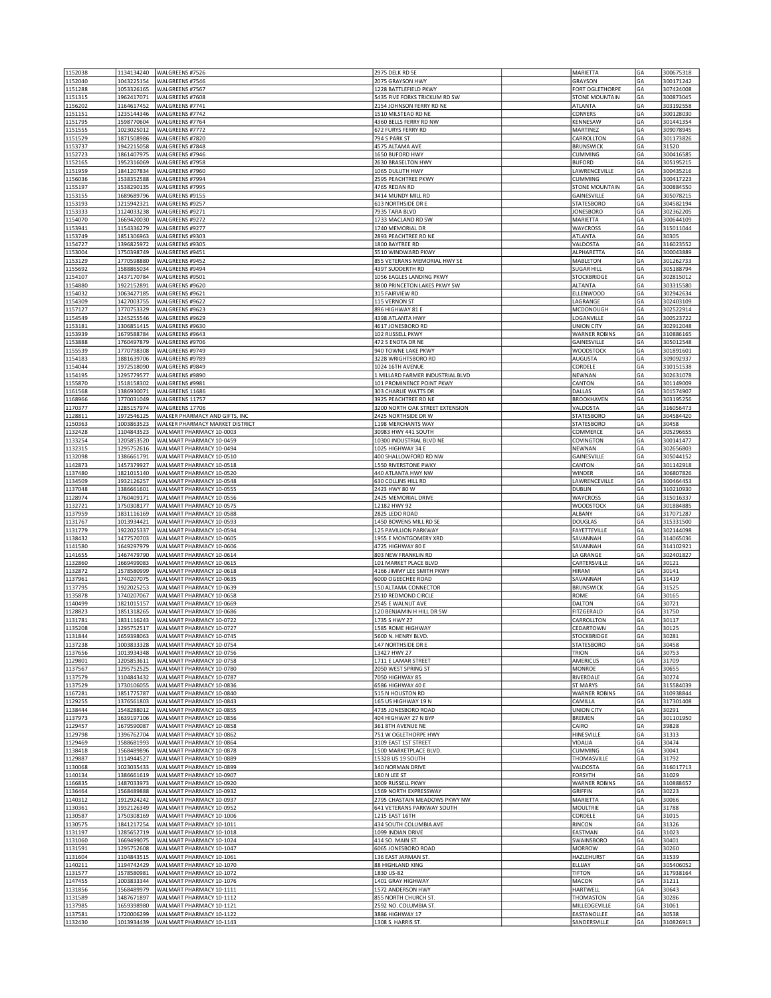| 1152038            | 1134134240               | WALGREENS #7526                                      | 2975 DELK RD SE                                    | MARIETTA                         | GA        | 300675318              |
|--------------------|--------------------------|------------------------------------------------------|----------------------------------------------------|----------------------------------|-----------|------------------------|
| 1152040            | 1043225154               | WALGREENS #7546                                      | 2075 GRAYSON HWY                                   | GRAYSON                          | GA        | 300171242              |
| 1151288            | 1053326165               | WALGREENS #7567                                      | 1228 BATTLEFIELD PKWY                              | FORT OGLETHORPE                  | GA        | 307424008              |
| 1151315            | 1962417071               | WALGREENS #7608                                      | 5435 FIVE FORKS TRICKUM RD SW                      | <b>STONE MOUNTAIN</b>            | GA        | 300873045              |
| 1156202<br>1151151 | 1164617452<br>1235144346 | WALGREENS #7741<br>WALGREENS #7742                   | 2154 JOHNSON FERRY RD NE<br>1510 MILSTEAD RD NE    | ATLANTA<br>CONYERS               | GA<br>GA  | 303192558<br>300128030 |
| 1151795            | 1598770604               | WALGREENS #7764                                      | 4360 BELLS FERRY RD NW                             | KENNESAW                         | GA        | 301441354              |
| 1151555            | 1023025012               | WALGREENS #7772                                      | 672 FURYS FERRY RD                                 | MARTINEZ                         | GA        | 309078945              |
| 1151529            | 1871508986               | WALGREENS #7820                                      | 794 S PARK ST                                      | CARROLLTON                       | GA        | 301173826              |
| 1153737            | 1942215058               | WALGREENS #7848                                      | 4575 ALTAMA AVE                                    | <b>BRUNSWICK</b>                 | GA        | 31520                  |
| 1152723            | 1861407975               | WALGREENS #7946                                      | 1650 BUFORD HWY                                    | CUMMING                          | GA        | 300416585              |
| 1152165            | 1952316069               | WALGREENS #7958                                      | 2630 BRASELTON HWY                                 | <b>BUFORD</b>                    | GA        | 305195215              |
| 1151959            | 1841207834               | WALGREENS #7960                                      | 1065 DULUTH HWY                                    | LAWRENCEVILLE                    | GA        | 300435216              |
| 1156036<br>1155197 | 1538352588<br>1538290135 | WALGREENS #7994<br>WALGREENS #7995                   | 2595 PEACHTREE PKWY<br>4765 REDAN RD               | <b>CUMMING</b><br>STONE MOUNTAIN | GA<br>GA  | 300417223<br>300884550 |
| 1153155            | 1689689796               | WALGREENS #9155                                      | 3414 MUNDY MILL RD                                 | GAINESVILLE                      | GA        | 305078215              |
| 1153193            | 1215942321               | WALGREENS #9257                                      | 613 NORTHSIDE DR E                                 | STATESBORO                       | GA        | 304582194              |
| 1153333            | 1124033238               | WALGREENS #9271                                      | 7935 TARA BLVD                                     | <b>JONESBORO</b>                 | GA        | 302362205              |
| 1154070            | 1669420030               | WALGREENS #9272                                      | 1733 MACLAND RD SW                                 | MARIETTA                         | GA        | 300644109              |
| 1153941            | 1154336279               | WALGREENS #9277                                      | 1740 MEMORIAL DR                                   | WAYCROSS                         | GA        | 315011044              |
| 1153749            | 1851306963               | WALGREENS #9303                                      | 2893 PEACHTREE RD NE                               | ATLANTA                          | GA        | 30305                  |
| 1154727            | 1396825972               | WALGREENS #9305                                      | 1800 BAYTREE RD                                    | VALDOSTA                         | GA        | 316023552              |
| 1153004            | 1750398749               | WALGREENS #9451                                      | 5510 WINDWARD PKWY<br>855 VETERANS MEMORIAL HWY SE | ALPHARETTA                       | GA        | 300043889              |
| 1153129<br>1155692 | 1770598880<br>1588865034 | WALGREENS #9452<br>WALGREENS #9494                   | 4397 SUDDERTH RD                                   | MABLETON<br><b>SUGAR HILL</b>    | GA<br> GA | 301262733<br>305188794 |
| 1154107            | 1437170784               | WALGREENS #9501                                      | 1056 EAGLES LANDING PKWY                           | <b>STOCKBRIDGE</b>               | GA        | 302815012              |
| 1154880            | 1922152891               | WALGREENS #9620                                      | 3800 PRINCETON LAKES PKWY SW                       | <b>ALTANTA</b>                   | GA        | 303315580              |
| 1154032            | 1063427185               | WALGREENS #9621                                      | 315 FAIRVIEW RD                                    | ELLENWOOD                        | GA        | 302942634              |
| 1154309            | 1427003755               | WALGREENS #9622                                      | 115 VERNON ST                                      | LAGRANGE                         | GA        | 302403109              |
| 1157127            | 1770753329               | WALGREENS #9623                                      | 896 HIGHWAY 81 E                                   | MCDONOUGH                        | GA        | 302522914              |
| 1154549            | 1245255546               | WALGREENS #9629                                      | 4398 ATLANTA HWY                                   | LOGANVILLE                       | GA        | 300523722              |
| 1153181            | 1306851415               | WALGREENS #9630                                      | 4617 JONESBORO RD                                  | <b>UNION CITY</b>                | GA        | 302912048              |
| 1153939            | 1679588784               | WALGREENS #9643                                      | 102 RUSSELL PKWY                                   | <b>WARNER ROBINS</b>             | GA        | 310886165              |
| 1153888            | 1760497879               | WALGREENS #9706                                      | 472 S ENOTA DR NE                                  | GAINESVILLE                      | GA        | 305012548              |
| 1155539            | 1770798308               | WALGREENS #9749                                      | 940 TOWNE LAKE PKWY<br>3228 WRIGHTSBORO RD         | <b>WOODSTOCK</b>                 | GA        | 301891601              |
| 1154183<br>1154044 | 1881639706<br>1972518090 | WALGREENS #9789<br>WALGREENS #9849                   | 1024 16TH AVENUE                                   | AUGUSTA<br>CORDELE               | GA<br> GA | 309092937<br>310151538 |
| 1154195            | 1295779577               | WALGREENS #9890                                      | 1 MILLARD FARMER INDUSTRIAL BLVD                   | NEWNAN                           | GA        | 302631078              |
| 1155870            | 1518158302               | WALGREENS #9981                                      | 101 PROMINENCE POINT PKWY                          | CANTON                           | GA        | 301149009              |
| 1161568            | 1386930071               | WALGREENS 11686                                      | 303 CHARLIE WATTS DR                               | DALLAS                           | GA        | 301574907              |
| 1168966            | 1770031049               | WALGREENS 11757                                      | 3925 PEACHTREE RD NE                               | <b>BROOKHAVEN</b>                | GA        | 303195256              |
| 1170377            | 1285157974               | WALGREENS 17706                                      | 3200 NORTH OAK STREET EXTENSION                    | VALDOSTA                         | GA        | 316056473              |
| 1128811            | 1972546125               | WALKER PHARMACY AND GIFTS, INC                       | 2425 NORTHSIDE DR W                                | <b>STATESBORO</b>                | GA        | 304584420              |
| 1150363            | 1003863523               | WALKER PHARMACY MARKET DISTRICT                      | 1198 MERCHANTS WAY                                 | STATESBORO                       | GA        | 30458                  |
| 1132428            | 1104843523               | WALMART PHARMACY 10-0003                             | 30983 HWY 441 SOUTH                                | COMMERCE                         | GA        | 305296655              |
| 1133254            | 1205853520               | WALMART PHARMACY 10-0459                             | 10300 INDUSTRIAL BLVD NE                           | COVINGTON                        | GA        | 300141477              |
| 1132315            | 1295752616               | WALMART PHARMACY 10-0494                             | 1025 HIGHWAY 34 E                                  | NEWNAN                           | GA        | 302656803              |
| 1132098<br>1142873 | 1386661791<br>1457379927 | WALMART PHARMACY 10-0510<br>WALMART PHARMACY 10-0518 | 400 SHALLOWFORD RD NW<br>1550 RIVERSTONE PWKY      | GAINESVILLE<br>CANTON            | GA<br>GA  | 305044152<br>301142918 |
| 1137480            | 1821015140               | WALMART PHARMACY 10-0520                             | 440 ATLANTA HWY NW                                 | WINDER                           | GA        | 306807826              |
| 1134509            | 1932126257               | WALMART PHARMACY 10-0548                             | 630 COLLINS HILL RD                                | LAWRENCEVILLE                    | GA        | 300464453              |
| 1137048            | 1386661601               | WALMART PHARMACY 10-0555                             | 2423 HWY 80 W                                      | <b>DUBLIN</b>                    | GA        | 310210930              |
| 1128974            | 1760409171               | WALMART PHARMACY 10-0556                             | 2425 MEMORIAL DRIVE                                | WAYCROSS                         | GA        | 315016337              |
| 1132721            | 1750308177               | WALMART PHARMACY 10-0575                             | 12182 HWY 92                                       | WOODSTOCK                        | GA        | 301884885              |
| 1137959            | 1831116169               | WALMART PHARMACY 10-0588                             | 2825 LEDO ROAD                                     | ALBANY                           | GA        | 317071287              |
| 1131767            | 1013934421               | WALMART PHARMACY 10-0593                             | 1450 BOWENS MILL RD SE                             | <b>DOUGLAS</b>                   | GA        | 315331500              |
| 1131779            | 1922025337               | WALMART PHARMACY 10-0594                             | 125 PAVILLION PARKWAY                              | <b>FAYETTEVILLE</b>              | GA        | 302144098              |
| 1138432            | 1477570703               | WALMART PHARMACY 10-0605                             | 1955 E MONTGOMERY XRD                              | SAVANNAH                         | GA        | 314065036              |
| 1141580            | 1649297979               | WALMART PHARMACY 10-0606<br>WALMART PHARMACY 10-0614 | 4725 HIGHWAY 80 E                                  | SAVANNAH<br>LA GRANGE            | GA        | 314102921              |
| 1141655<br>1132860 | 1467479790<br>1669499083 | WALMART PHARMACY 10-0615                             | 803 NEW FRANKLIN RD<br>101 MARKET PLACE BLVD       | CARTERSVILLE                     | GA<br>GA  | 302401827<br>30121     |
| 1132872            | 1578580999               | WALMART PHARMACY 10-0618                             | 4166 JIMMY LEE SMITH PKWY                          | HIRAM                            | GA        | 30141                  |
| 1137961            | 1740207075               | WALMART PHARMACY 10-0635                             | 6000 OGEECHEE ROAD                                 | SAVANNAH                         | GA        | 31419                  |
| 1137795            | 1922025253               | WALMART PHARMACY 10-0639                             | 150 ALTAMA CONNECTOR                               | <b>BRUNSWICK</b>                 | GA        | 31525                  |
| 1135878            | 1740207067               | WALMART PHARMACY 10-0658                             | 2510 REDMOND CIRCLE                                | ROME                             | GA        | 30165                  |
| 1140499            | 1821015157               | WALMART PHARMACY 10-0669                             | 2545 E WALNUT AVE                                  |                                  |           | 30721                  |
| 1128823            | 1851318265               |                                                      |                                                    | DALTON                           | GA        |                        |
| 1131781            |                          | WALMART PHARMACY 10-0686                             | 120 BENJAMIN H HILL DR SW                          | FITZGERALD                       | GA        | 31750                  |
|                    | 1831116243               | WALMART PHARMACY 10-0722                             | 1735 S HWY 27                                      | CARROLLTON                       | GA        | 30117                  |
| 1135208            | 1295752517               | WALMART PHARMACY 10-0727                             | 1585 ROME HIGHWAY                                  | CEDARTOWN                        | GA        | 30125                  |
| 1131844            | 1659398063               | WALMART PHARMACY 10-0745                             | 5600 N. HENRY BLVD.                                | <b>STOCKBRIDGE</b>               | GA        | 30281                  |
| 1137238            | 1003833328               | WALMART PHARMACY 10-0754                             | 147 NORTHSIDE DR E                                 | <b>STATESBORO</b>                | GA        | 30458                  |
| 1137656<br>1129801 | 1013934348               | WALMART PHARMACY 10-0756                             | 13427 HWY 27                                       | <b>TRION</b>                     | GA        | 30753                  |
| 1137567            | 1205853611<br>1295752525 | WALMART PHARMACY 10-0758<br>WALMART PHARMACY 10-0780 | 1711 E LAMAR STREET<br>2050 WEST SPRING ST         | AMERICUS<br><b>MONROE</b>        | GA<br>GA  | 31709<br>30655         |
| 1137579            | 1104843432               | WALMART PHARMACY 10-0787                             | 7050 HIGHWAY 85                                    | RIVERDALE                        | GA        | 30274                  |
| 1137529            | 1730106055               | WALMART PHARMACY 10-0836                             | 6586 HIGHWAY 40 E                                  | <b>ST MARYS</b>                  | GA        | 315584039              |
| 1167281            | 1851775787               | WALMART PHARMACY 10-0840                             | 515 N HOUSTON RD                                   | <b>WARNER ROBINS</b>             | GA        | 310938844              |
| 1129255            | 1376561803               | WALMART PHARMACY 10-0843                             | 165 US HIGHWAY 19 N                                | CAMILLA                          | GA        | 317301408              |
| 1138444            | 1548288012               | WALMART PHARMACY 10-0855                             | 4735 JONESBORO ROAD                                | <b>UNION CITY</b>                | GA        | 30291                  |
| 1137973            | 1639197106               | WALMART PHARMACY 10-0856                             | 404 HIGHWAY 27 N BYP                               | <b>BREMEN</b>                    | GA        | 301101950              |
| 1129457            | 1679590087               | WALMART PHARMACY 10-0858                             | 361 8TH AVENUE NE                                  | CAIRO                            | GA        | 39828                  |
| 1129798            | 1396762704               | WALMART PHARMACY 10-0862                             | 751 W OGLETHORPE HWY                               | <b>HINESVILLE</b>                | GA        | 31313                  |
| 1129469<br>1138418 | 1588681993<br>1568489896 | WALMART PHARMACY 10-0864<br>WALMART PHARMACY 10-0878 | 3109 EAST 1ST STREET<br>1500 MARKETPLACE BLVD.     | VIDALIA<br><b>CUMMING</b>        | GA<br>GA  | 30474<br>30041         |
| 1129887            | 1114944527               | WALMART PHARMACY 10-0889                             | 15328 US 19 SOUTH                                  | THOMASVILLE                      | GA        | 31792                  |
| 1130068            | 1023035433               | WALMART PHARMACY 10-0899                             | 340 NORMAN DRIVE                                   | VALDOSTA                         | GA        | 316017713              |
| 1140134            | 1386661619               | WALMART PHARMACY 10-0907                             | 180 N LEE ST                                       | FORSYTH                          | GA        | 31029                  |
| 1166835            | 1487033973               | WALMART PHARMACY 10-0920                             | 3009 RUSSELL PKWY                                  | <b>WARNER ROBINS</b>             | GA        | 310888657              |
| 1136464            | 1568489888               | WALMART PHARMACY 10-0932                             | 1569 NORTH EXPRESSWAY                              | <b>GRIFFIN</b>                   | GA        | 30223                  |
| 1140312            | 1912924242               | WALMART PHARMACY 10-0937                             | 2795 CHASTAIN MEADOWS PKWY NW                      | MARIETTA                         | GA        | 30066                  |
| 1130361            | 1932126349               | WALMART PHARMACY 10-0952                             | 641 VETERANS PARKWAY SOUTH                         | <b>MOULTRIE</b>                  | GA        | 31788                  |
| 1130587            | 1750308169               | WALMART PHARMACY 10-1006                             | 1215 EAST 16TH                                     | CORDELE                          | GA        | 31015                  |
| 1130575            | 1841217254               | WALMART PHARMACY 10-1011                             | 434 SOUTH COLUMBIA AVE                             | RINCON                           | GA        | 31326                  |
| 1131197<br>1131060 | 1285652719<br>1669499075 | WALMART PHARMACY 10-1018<br>WALMART PHARMACY 10-1024 | 1099 INDIAN DRIVE<br>414 SO. MAIN ST.              | EASTMAN<br>SWAINSBORO            | GA<br>GA  | 31023<br>30401         |
| 1131591            | 1295752608               | WALMART PHARMACY 10-1047                             | 6065 JONESBORO ROAD                                | <b>MORROW</b>                    | GA        | 30260                  |
| 1131604            | 1104843515               | WALMART PHARMACY 10-1061                             | 136 EAST JARMAN ST.                                | HAZLEHURST                       | GA        | 31539                  |
| 1140211            | 1194742429               | WALMART PHARMACY 10-1070                             | 88 HIGHLAND XING                                   | ELLIJAY                          | GA        | 305406052              |
| 1131577            | 1578580981               | WALMART PHARMACY 10-1072                             | 1830 US-82                                         | <b>TIFTON</b>                    | GA        | 317938164              |
| 1147455            | 1003833344               | WALMART PHARMACY 10-1076                             | 1401 GRAY HIGHWAY                                  | MACON                            | GA        | 31211                  |
| 1131856            | 1568489979               | WALMART PHARMACY 10-1111                             | 1572 ANDERSON HWY                                  | HARTWELL                         | GA        | 30643                  |
| 1131589            | 1487671897               | WALMART PHARMACY 10-1112                             | 855 NORTH CHURCH ST.                               | THOMASTON                        | GA        | 30286                  |
| 1137985<br>1137581 | 1659398980<br>1720006299 | WALMART PHARMACY 10-1121<br>WALMART PHARMACY 10-1122 | 2592 NO. COLUMBIA ST.<br>3886 HIGHWAY 17           | MILLEDGEVILLE<br>EASTANOLLEE     | GA<br>GA  | 31061<br>30538         |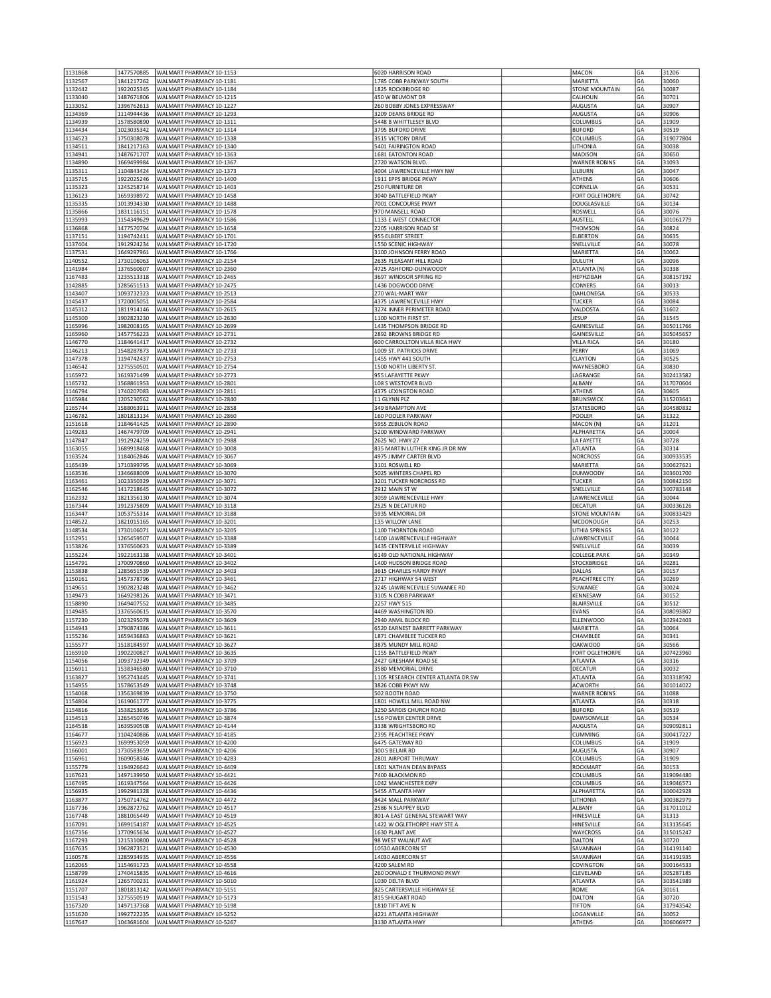| 1131868            | 1477570885               | WALMART PHARMACY 10-1153                                          | 6020 HARRISON ROAD                            | MACON                              | GA        | 31206              |
|--------------------|--------------------------|-------------------------------------------------------------------|-----------------------------------------------|------------------------------------|-----------|--------------------|
| 1132567            | 1841217262               | WALMART PHARMACY 10-1181                                          | 1785 COBB PARKWAY SOUTH                       | MARIETTA                           | GA        | 30060              |
| 1132442            | 1922025345               | WALMART PHARMACY 10-1184                                          | 1825 ROCKBRIDGE RD                            | <b>STONE MOUNTAIN</b>              | GA        | 30087              |
| 1133040            | 1487671806               | WALMART PHARMACY 10-1215                                          | 450 W BELMONT DR                              | CALHOUN                            | GA        | 30701              |
| 1133052            | 1396762613               | WALMART PHARMACY 10-1227                                          | 260 BOBBY JONES EXPRESSWAY                    | AUGUSTA                            | GA        | 30907              |
| 1134369            | 1114944436               | WALMART PHARMACY 10-1293                                          | 3209 DEANS BRIDGE RD                          | AUGUSTA                            | GA        | 30906              |
| 1134939            | 1578580890               | WALMART PHARMACY 10-1311                                          | 5448 B WHITTLESEY BLVD                        | COLUMBUS                           | GA        | 31909              |
| 1134434            | 1023035342               | WALMART PHARMACY 10-1314                                          | 3795 BUFORD DRIVE                             | <b>BUFORD</b>                      | GA        | 30519              |
| 1134523            | 1750308078               | WALMART PHARMACY 10-1338                                          | 3515 VICTORY DRIVE                            | COLUMBUS                           | GA        | 319077804          |
| 1134511            | 1841217163               | WALMART PHARMACY 10-1340                                          | 5401 FAIRINGTON ROAD                          | LITHONIA<br><b>MADISON</b>         | GA        | 30038              |
| 1134941<br>1134890 | 1487671707<br>1669499984 | WALMART PHARMACY 10-1363<br>WALMART PHARMACY 10-1367              | 1681 EATONTON ROAD<br>2720 WATSON BLVD        | <b>WARNER ROBINS</b>               | GA<br> GA | 30650<br>31093     |
| 1135311            | 1104843424               | WALMART PHARMACY 10-1373                                          | 4004 LAWRENCEVILLE HWY NW                     | LILBURN                            | GA        | 30047              |
| 1135715            | 1922025246               | WALMART PHARMACY 10-1400                                          | 1911 EPPS BRIDGE PKWY                         | ATHENS                             | GA        | 30606              |
| 1135323            | 1245258714               | WALMART PHARMACY 10-1403                                          | 250 FURNITURE DR                              | CORNELIA                           | GA        | 30531              |
| 1136123            | 1659398972               | WALMART PHARMACY 10-1458                                          | 3040 BATTLEFIELD PKWY                         | FORT OGLETHORPE                    | GA        | 30742              |
| 1135335            | 1013934330               | WALMART PHARMACY 10-1488                                          | 7001 CONCOURSE PKWY                           | DOUGLASVILLE                       | GA        | 30134              |
| 1135866            | 1831116151               | WALMART PHARMACY 10-1578                                          | 970 MANSELL ROAD                              | <b>ROSWELL</b>                     | GA        | 30076              |
| 1135993            | 1154349629               | WALMART PHARMACY 10-1586                                          | 1133 E WEST CONNECTOR                         | AUSTELL                            | GA        | 301061779          |
| 1136868            | 1477570794               | WALMART PHARMACY 10-1658                                          | 2205 HARRISON ROAD SE                         | THOMSON                            | GA        | 30824              |
| 1137151            | 1194742411               | WALMART PHARMACY 10-1701                                          | 955 ELBERT STREET                             | <b>ELBERTON</b>                    | GA        | 30635              |
| 1137404            | 1912924234               | WALMART PHARMACY 10-1720                                          | 1550 SCENIC HIGHWAY                           | SNELLVILLE                         | GA        | 30078              |
| 1137531            | 1649297961               | WALMART PHARMACY 10-1766                                          | 3100 JOHNSON FERRY ROAD                       | MARIETTA                           | GA        | 30062              |
| 1140552            | 1730106063               | WALMART PHARMACY 10-2154                                          | 2635 PLEASANT HILL ROAD                       | <b>DULUTH</b>                      | GA        | 30096              |
| 1141984            | 1376560607               | WALMART PHARMACY 10-2360                                          | 4725 ASHFORD-DUNWOODY                         | ATLANTA (N                         | GA        | 30338              |
| 1167483<br>1142885 | 1235513318<br>1285651513 | WALMART PHARMACY 10-2465<br>WALMART PHARMACY 10-2475              | 3697 WINDSOR SPRING RD<br>1436 DOGWOOD DRIVE  | HEPHZIBAH<br>CONYERS               | GA<br>GA  | 308157192<br>30013 |
| 1143407            | 1093732323               | WALMART PHARMACY 10-2513                                          | 270 WAL-MART WAY                              | DAHLONEGA                          | GA        | 30533              |
| 1145437            | 1720005051               | WALMART PHARMACY 10-2584                                          | 4375 LAWRENCEVILLE HWY                        | TUCKER                             | GA        | 30084              |
| 1145312            | 1811914146               | WALMART PHARMACY 10-2615                                          | 3274 INNER PERIMETER ROAD                     | VALDOSTA                           | GA        | 31602              |
| 1145300            | 1902823230               | WALMART PHARMACY 10-2630                                          | 1100 NORTH FIRST ST                           | <b>JESUP</b>                       | GA        | 31545              |
| 1165996            | 1982008165               | WALMART PHARMACY 10-2699                                          | 1435 THOMPSON BRIDGE RD                       | <b>GAINESVILLE</b>                 | GA        | 305011766          |
| 1165960            | 1457756223               | WALMART PHARMACY 10-2731                                          | 2892 BROWNS BRIDGE RD                         | GAINESVILLE                        | GA        | 305045657          |
| 1146770            | 1184641417               | WALMART PHARMACY 10-2732                                          | 600 CARROLLTON VILLA RICA HWY                 | <b>VILLA RICA</b>                  | GA        | 30180              |
| 1146213            | 1548287873               | WALMART PHARMACY 10-2733                                          | 1009 ST. PATRICKS DRIVE                       | PERRY                              | GA        | 31069              |
| 1147378            | 1194742437               | WALMART PHARMACY 10-2753                                          | 1455 HWY 441 SOUTH                            | CLAYTON                            | GA        | 30525              |
| 1146542            | 1275550501               | WALMART PHARMACY 10-2754                                          | 1500 NORTH LIBERTY ST                         | WAYNESBORO                         | GA        | 30830              |
| 1165972            | 1619371499               | WALMART PHARMACY 10-2773                                          | 955 LAFAYETTE PKWY                            | LAGRANGE                           | GA        | 302413582          |
| 1165732            | 1568861953               | WALMART PHARMACY 10-2801                                          | 108 S WESTOVER BLVD                           | ALBANY                             | GA        | 317070604          |
| 1146794            | 1740207083               | WALMART PHARMACY 10-2811                                          | 4375 LEXINGTON ROAD                           | ATHENS                             | GA        | 30605              |
| 1165984            | 1205230562               | WALMART PHARMACY 10-2840                                          | 11 GLYNN PLZ                                  | <b>BRUNSWICK</b>                   | GA        | 315203641          |
| 1165744            | 1588063911               | WALMART PHARMACY 10-2858                                          | 349 BRAMPTON AVE                              | <b>STATESBORO</b>                  | GA        | 304580832          |
| 1146782            | 1801813134               | WALMART PHARMACY 10-2860                                          | 160 POOLER PARKWAY                            | POOLER                             | GA        | 31322              |
| 1151618            | 1184641425<br>1467479709 | WALMART PHARMACY 10-2890                                          | 5955 ZEBULON ROAD<br>5200 WINDWARD PARKWAY    | MACON (N)                          | GA<br>GA  | 31201<br>30004     |
| 1149283<br>1147847 | 1912924259               | WALMART PHARMACY 10-2941<br>WALMART PHARMACY 10-2988              | 2625 NO. HWY 27                               | ALPHARETTA<br>LA FAYETTE           | GA        | 30728              |
| 1163055            | 1689918468               | WALMART PHARMACY 10-3008                                          | 835 MARTIN LUTHER KING JR DR NW               | <b>ATLANTA</b>                     | GA        | 30314              |
| 1163524            | 1184062846               | WALMART PHARMACY 10-3067                                          | 4975 JIMMY CARTER BLVD                        | <b>NORCROSS</b>                    | GA        | 300933535          |
| 1165439            | 1710399795               | WALMART PHARMACY 10-3069                                          | 3101 ROSWELL RD                               | MARIETTA                           | GA        | 300627621          |
| 1163536            | 1346688009               | WALMART PHARMACY 10-3070                                          | 5025 WINTERS CHAPEL RD                        | <b>DUNWOODY</b>                    | GA        | 303601700          |
| 1163461            | 1023350329               | WALMART PHARMACY 10-3071                                          | 3201 TUCKER NORCROSS RD                       | <b>TUCKER</b>                      | GA        | 300842150          |
| 1162546            | 1417218645               | WALMART PHARMACY 10-3072                                          | 2912 MAIN ST W                                | SNELLVILLE                         | GA        | 300783148          |
| 1162332            | 1821356130               | WALMART PHARMACY 10-3074                                          | 3059 LAWRENCEVILLE HWY                        | LAWRENCEVILLE                      | GA        | 30044              |
| 1167344            | 1912375809               | WALMART PHARMACY 10-3118                                          | 2525 N DECATUR RD                             | <b>DECATUR</b>                     | GA        | 300336126          |
| 1163447            | 1053755314               | WALMART PHARMACY 10-3188                                          | 5935 MEMORIAL DR                              | STONE MOUNTAIN                     | GA        | 300833429          |
|                    |                          |                                                                   |                                               |                                    |           |                    |
| 1148522            | 1821015165               | WALMART PHARMACY 10-3201                                          | 135 WILLOW LANE                               | MCDONOUGH                          | GA        | 30253              |
| 1148534            | 1730106071               | WALMART PHARMACY 10-3205                                          | 1100 THORNTON ROAD                            | <b>LITHIA SPRINGS</b>              | GA        | 30122              |
| 1152951            | 1265459507               | WALMART PHARMACY 10-3388                                          | 1400 LAWRENCEVILLE HIGHWAY                    | LAWRENCEVILLE                      | GA        | 30044              |
| 1153826            | 1376560623               | WALMART PHARMACY 10-3389                                          | 3435 CENTERVILLE HIGHWAY                      | SNELLVILLE                         | GA        | 30039              |
| 1155224            | 1922163138               | WALMART PHARMACY 10-3401                                          | 6149 OLD NATIONAL HIGHWAY                     | <b>COLLEGE PARK</b>                | GA        | 30349              |
| 1154791            | 1700970860               | WALMART PHARMACY 10-3402                                          | 1400 HUDSON BRIDGE ROAD                       | <b>STOCKBRIDGE</b>                 | GA        | 30281              |
| 1153838            | 1285651539               | WALMART PHARMACY 10-3403                                          | 3615 CHARLES HARDY PKWY                       | DALLAS                             | GA        | 30157              |
| 1150161            | 1457378796               | WALMART PHARMACY 10-3461                                          | 2717 HIGHWAY 54 WEST                          | PEACHTREE CITY                     | GA        | 30269              |
| 1149651            | 1902823248               | WALMART PHARMACY 10-3462                                          | 3245 LAWRENCEVILLE SUWANEE RD                 | SUWANEE                            | GA        | 30024              |
| 1149473            | 1649298126               | WALMART PHARMACY 10-3471                                          | 3105 N COBB PARKWAY                           | KENNESAW                           | GA        | 30152              |
| 1158890<br>1149485 | 1649407552<br>1376560615 | WALMART PHARMACY 10-3485<br>WALMART PHARMACY 10-3570              | 2257 HWY 515<br>4469 WASHINGTON RD            | <b>BLAIRSVILLE</b><br><b>EVANS</b> | GA<br>GA  | 30512<br>308093807 |
| 1157230            | 1023295078               | WALMART PHARMACY 10-3609                                          | 2940 ANVIL BLOCK RD                           | ELLENWOOD                          | GA        | 302942403          |
| 1154943            | 1790874386               | WALMART PHARMACY 10-3611                                          | 6520 EARNEST BARRETT PARKWAY                  | MARIETTA                           | GA        | 30064              |
| 1155236            | 1659436863               | WALMART PHARMACY 10-3621                                          | 1871 CHAMBLEE TUCKER RD                       | CHAMBLEE                           | GA        | 30341              |
| 1155577            | 1518184597               | WALMART PHARMACY 10-3627                                          | 3875 MUNDY MILL ROAD                          | <b>OAKWOOD</b>                     | GA        | 30566              |
| 1165910            | 1902200827               | WALMART PHARMACY 10-3635                                          | 1155 BATTLEFIELD PKWY                         | FORT OGLETHORPE                    | GA        | 307423960          |
| 1154056            | 1093732349               | WALMART PHARMACY 10-3709                                          | 2427 GRESHAM ROAD SE                          | <b>ATLANTA</b>                     | GA        | 30316              |
| 1156911            | 1538346580               | WALMART PHARMACY 10-3710                                          | 3580 MEMORIAL DRIVE                           | <b>DECATUR</b>                     | GA        | 30032              |
| 1163827            | 1952743445               | WALMART PHARMACY 10-3741                                          | 1105 RESEARCH CENTER ATLANTA DR SW            | <b>ATLANTA</b>                     | GA        | 303318592          |
| 1154955            | 1578653549               | WALMART PHARMACY 10-3748                                          | 3826 COBB PKWY NW                             | <b>ACWORTH</b>                     | GA        | 301014022          |
| 1154068            | 1356369839               | WALMART PHARMACY 10-3750                                          | 502 BOOTH ROAD                                | <b>WARNER ROBINS</b>               | GA        | 31088              |
| 1154804            | 1619061777               | WALMART PHARMACY 10-3775                                          | 1801 HOWELL MILL ROAD NW                      | <b>ATLANTA</b>                     | GA        | 30318              |
| 1154816            | 1538253695               | WALMART PHARMACY 10-3786                                          | 3250 SARDIS CHURCH ROAD                       | <b>BUFORD</b><br>DAWSONVILLE       | GA        | 30519              |
| 1154513<br>1164538 | 1265450746<br>1639590508 | WALMART PHARMACY 10-3874<br>WALMART PHARMACY 10-4144              | 156 POWER CENTER DRIVE<br>3338 WRIGHTSBORO RD | <b>AUGUSTA</b>                     | GA<br>GA  | 30534<br>309092811 |
| 1164677            | 1104240886               | WALMART PHARMACY 10-4185                                          | 2395 PEACHTREE PKWY                           | <b>CUMMING</b>                     | GA        | 300417227          |
| 1156923            | 1699953059               | WALMART PHARMACY 10-4200                                          | 6475 GATEWAY RD                               | <b>COLUMBUS</b>                    | GA        | 31909              |
| 1166001            | 1730583659               | WALMART PHARMACY 10-4206                                          | 300 S BELAIR RD                               | AUGUSTA                            | GA        | 30907              |
| 1156961            | 1609058346               | WALMART PHARMACY 10-4283                                          | 2801 AIRPORT THRUWAY                          | COLUMBUS                           | GA        | 31909              |
| 1155779            | 1194926642               | WALMART PHARMACY 10-4409                                          | 1801 NATHAN DEAN BYPASS                       | <b>ROCKMART</b>                    | GA        | 30153              |
| 1167623            | 1497139950               | WALMART PHARMACY 10-4421                                          | 7400 BLACKMON RD                              | COLUMBUS                           | GA        | 319094480          |
| 1167495            | 1619347564               | WALMART PHARMACY 10-4426                                          | 1042 MANCHESTER EXPY                          | COLUMBUS                           | GA        | 319046571          |
| 1156935            | 1992981328               | WALMART PHARMACY 10-4436                                          | 5455 ATLANTA HWY                              | ALPHARETTA                         | GA        | 300042928          |
| 1163877            | 1750714762               | WALMART PHARMACY 10-4472                                          | 8424 MALL PARKWAY                             | LITHONIA                           | GA        | 300382979          |
| 1167736            | 1962872762               | WALMART PHARMACY 10-4517                                          | 2586 N SLAPPEY BLVD                           | ALBANY                             | GA        | 317011012          |
| 1167748            | 1881065449               | WALMART PHARMACY 10-4519                                          | 801-A EAST GENERAL STEWART WAY                | HINESVILLE                         | GA        | 31313              |
| 1167091            | 1699154187               | WALMART PHARMACY 10-4525                                          | 1422 W OGLETHORPE HWY STE A                   | HINESVILLE                         | GA        | 313135645          |
| 1167356            | 1770965634               | WALMART PHARMACY 10-4527                                          | 1630 PLANT AVE                                | <b>WAYCROSS</b>                    | GA        | 315015247          |
| 1167293<br>1167635 | 1215310800<br>1962873521 | WALMART PHARMACY 10-4528<br>WALMART PHARMACY 10-4530              | 98 WEST WALNUT AVE<br>10530 ABERCORN ST       | DALTON<br>SAVANNAH                 | GA<br>GA  | 30720<br>314191140 |
| 1160578            | 1285934935               | WALMART PHARMACY 10-4556                                          | 14030 ABERCORN ST                             | SAVANNAH                           | GA        | 314191935          |
| 1162065            | 1154691723               | WALMART PHARMACY 10-4558                                          | 4200 SALEM RD                                 | COVINGTON                          | GA        | 300164533          |
| 1158799            | 1740415835               | WALMART PHARMACY 10-4616                                          | 260 DONALD E THURMOND PKWY                    | CLEVELAND                          | GA        | 305287185          |
| 1161924            | 1265700231               | WALMART PHARMACY 10-5010                                          | 1030 DELTA BLVD                               | <b>ATLANTA</b>                     | GA        | 303541989          |
| 1151707            | 1801813142               | WALMART PHARMACY 10-5151                                          | 825 CARTERSVILLE HIGHWAY SE                   | ROME                               | GA        | 30161              |
| 1151543            | 1275550519               | WALMART PHARMACY 10-5173                                          | 815 SHUGART ROAD                              | <b>DALTON</b>                      | GA        | 30720              |
| 1167320            | 1497137368               | WALMART PHARMACY 10-5198                                          | 1810 TIFT AVE N                               | <b>TIFTON</b>                      | GA        | 317943542          |
| 1151620<br>1167647 | 1992722235               | WALMART PHARMACY 10-5252<br>1043681604   WALMART PHARMACY 10-5267 | 4221 ATLANTA HIGHWAY<br>3130 ATLANTA HWY      | LOGANVILLE<br>ATHENS               | GA<br>GA  | 30052<br>306066977 |